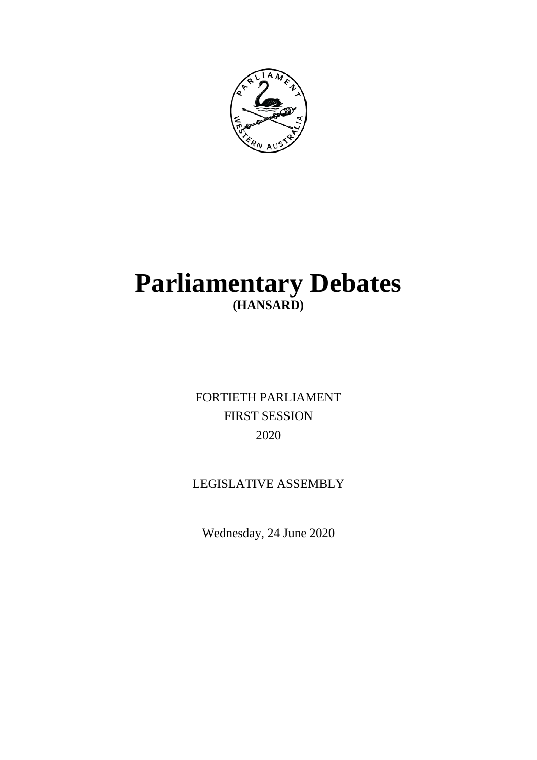

# **Parliamentary Debates (HANSARD)**

FORTIETH PARLIAMENT FIRST SESSION 2020

## LEGISLATIVE ASSEMBLY

Wednesday, 24 June 2020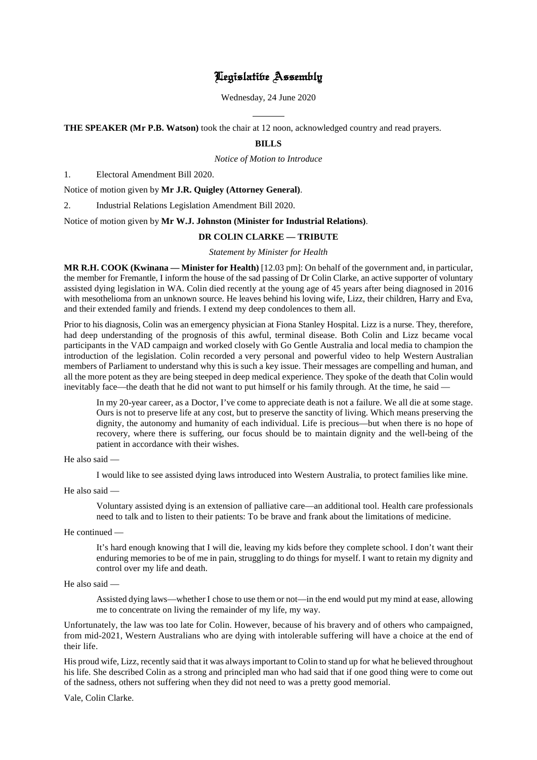## Legislative Assembly

Wednesday, 24 June 2020

 $\overline{a}$ **THE SPEAKER (Mr P.B. Watson)** took the chair at 12 noon, acknowledged country and read prayers.

## **BILLS**

*Notice of Motion to Introduce*

1. Electoral Amendment Bill 2020.

Notice of motion given by **Mr J.R. Quigley (Attorney General)**.

2. Industrial Relations Legislation Amendment Bill 2020.

Notice of motion given by **Mr W.J. Johnston (Minister for Industrial Relations)**.

## **DR COLIN CLARKE — TRIBUTE**

*Statement by Minister for Health*

**MR R.H. COOK (Kwinana — Minister for Health)** [12.03 pm]: On behalf of the government and, in particular, the member for Fremantle, I inform the house of the sad passing of Dr Colin Clarke, an active supporter of voluntary assisted dying legislation in WA. Colin died recently at the young age of 45 years after being diagnosed in 2016 with mesothelioma from an unknown source. He leaves behind his loving wife, Lizz, their children, Harry and Eva, and their extended family and friends. I extend my deep condolences to them all.

Prior to his diagnosis, Colin was an emergency physician at Fiona Stanley Hospital. Lizz is a nurse. They, therefore, had deep understanding of the prognosis of this awful, terminal disease. Both Colin and Lizz became vocal participants in the VAD campaign and worked closely with Go Gentle Australia and local media to champion the introduction of the legislation. Colin recorded a very personal and powerful video to help Western Australian members of Parliament to understand why this is such a key issue. Their messages are compelling and human, and all the more potent as they are being steeped in deep medical experience. They spoke of the death that Colin would inevitably face—the death that he did not want to put himself or his family through. At the time, he said —

In my 20-year career, as a Doctor, I've come to appreciate death is not a failure. We all die at some stage. Ours is not to preserve life at any cost, but to preserve the sanctity of living. Which means preserving the dignity, the autonomy and humanity of each individual. Life is precious—but when there is no hope of recovery, where there is suffering, our focus should be to maintain dignity and the well-being of the patient in accordance with their wishes.

He also said —

I would like to see assisted dying laws introduced into Western Australia, to protect families like mine.

He also said —

Voluntary assisted dying is an extension of palliative care—an additional tool. Health care professionals need to talk and to listen to their patients: To be brave and frank about the limitations of medicine.

He continued —

It's hard enough knowing that I will die, leaving my kids before they complete school. I don't want their enduring memories to be of me in pain, struggling to do things for myself. I want to retain my dignity and control over my life and death.

He also said —

Assisted dying laws—whether I chose to use them or not—in the end would put my mind at ease, allowing me to concentrate on living the remainder of my life, my way.

Unfortunately, the law was too late for Colin. However, because of his bravery and of others who campaigned, from mid-2021, Western Australians who are dying with intolerable suffering will have a choice at the end of their life.

His proud wife, Lizz, recently said that it was always important to Colin to stand up for what he believed throughout his life. She described Colin as a strong and principled man who had said that if one good thing were to come out of the sadness, others not suffering when they did not need to was a pretty good memorial.

Vale, Colin Clarke.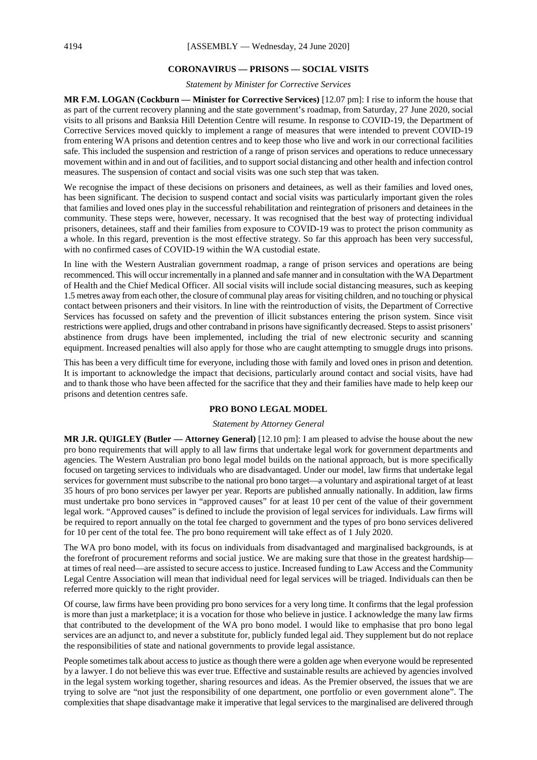#### **CORONAVIRUS — PRISONS — SOCIAL VISITS**

*Statement by Minister for Corrective Services*

**MR F.M. LOGAN (Cockburn — Minister for Corrective Services)** [12.07 pm]: I rise to inform the house that as part of the current recovery planning and the state government's roadmap, from Saturday, 27 June 2020, social visits to all prisons and Banksia Hill Detention Centre will resume. In response to COVID-19, the Department of Corrective Services moved quickly to implement a range of measures that were intended to prevent COVID-19 from entering WA prisons and detention centres and to keep those who live and work in our correctional facilities safe. This included the suspension and restriction of a range of prison services and operations to reduce unnecessary movement within and in and out of facilities, and to support social distancing and other health and infection control measures. The suspension of contact and social visits was one such step that was taken.

We recognise the impact of these decisions on prisoners and detainees, as well as their families and loved ones, has been significant. The decision to suspend contact and social visits was particularly important given the roles that families and loved ones play in the successful rehabilitation and reintegration of prisoners and detainees in the community. These steps were, however, necessary. It was recognised that the best way of protecting individual prisoners, detainees, staff and their families from exposure to COVID-19 was to protect the prison community as a whole. In this regard, prevention is the most effective strategy. So far this approach has been very successful, with no confirmed cases of COVID-19 within the WA custodial estate.

In line with the Western Australian government roadmap, a range of prison services and operations are being recommenced. This will occur incrementally in a planned and safe manner and in consultation with the WA Department of Health and the Chief Medical Officer. All social visits will include social distancing measures, such as keeping 1.5 metres away from each other, the closure of communal play areas for visiting children, and no touching or physical contact between prisoners and their visitors. In line with the reintroduction of visits, the Department of Corrective Services has focussed on safety and the prevention of illicit substances entering the prison system. Since visit restrictions were applied, drugs and other contraband in prisons have significantly decreased. Steps to assist prisoners' abstinence from drugs have been implemented, including the trial of new electronic security and scanning equipment. Increased penalties will also apply for those who are caught attempting to smuggle drugs into prisons.

This has been a very difficult time for everyone, including those with family and loved ones in prison and detention. It is important to acknowledge the impact that decisions, particularly around contact and social visits, have had and to thank those who have been affected for the sacrifice that they and their families have made to help keep our prisons and detention centres safe.

## **PRO BONO LEGAL MODEL**

#### *Statement by Attorney General*

**MR J.R. QUIGLEY (Butler — Attorney General)** [12.10 pm]: I am pleased to advise the house about the new pro bono requirements that will apply to all law firms that undertake legal work for government departments and agencies. The Western Australian pro bono legal model builds on the national approach, but is more specifically focused on targeting services to individuals who are disadvantaged. Under our model, law firms that undertake legal services for government must subscribe to the national pro bono target—a voluntary and aspirational target of at least 35 hours of pro bono services per lawyer per year. Reports are published annually nationally. In addition, law firms must undertake pro bono services in "approved causes" for at least 10 per cent of the value of their government legal work. "Approved causes" is defined to include the provision of legal services for individuals. Law firms will be required to report annually on the total fee charged to government and the types of pro bono services delivered for 10 per cent of the total fee. The pro bono requirement will take effect as of 1 July 2020.

The WA pro bono model, with its focus on individuals from disadvantaged and marginalised backgrounds, is at the forefront of procurement reforms and social justice. We are making sure that those in the greatest hardship at times of real need—are assisted to secure access to justice. Increased funding to Law Access and the Community Legal Centre Association will mean that individual need for legal services will be triaged. Individuals can then be referred more quickly to the right provider.

Of course, law firms have been providing pro bono services for a very long time. It confirms that the legal profession is more than just a marketplace; it is a vocation for those who believe in justice. I acknowledge the many law firms that contributed to the development of the WA pro bono model. I would like to emphasise that pro bono legal services are an adjunct to, and never a substitute for, publicly funded legal aid. They supplement but do not replace the responsibilities of state and national governments to provide legal assistance.

People sometimes talk about access to justice as though there were a golden age when everyone would be represented by a lawyer. I do not believe this was ever true. Effective and sustainable results are achieved by agencies involved in the legal system working together, sharing resources and ideas. As the Premier observed, the issues that we are trying to solve are "not just the responsibility of one department, one portfolio or even government alone". The complexities that shape disadvantage make it imperative that legal services to the marginalised are delivered through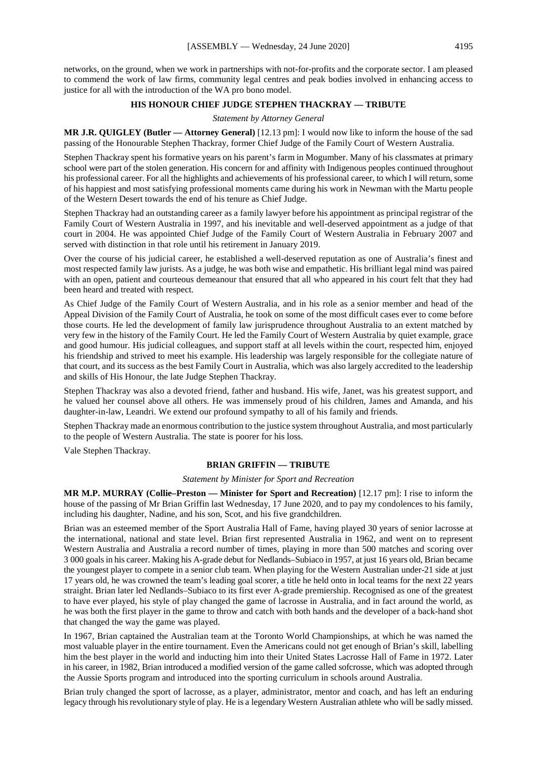networks, on the ground, when we work in partnerships with not-for-profits and the corporate sector. I am pleased to commend the work of law firms, community legal centres and peak bodies involved in enhancing access to justice for all with the introduction of the WA pro bono model.

## **HIS HONOUR CHIEF JUDGE STEPHEN THACKRAY — TRIBUTE**

#### *Statement by Attorney General*

**MR J.R. QUIGLEY (Butler — Attorney General)** [12.13 pm]: I would now like to inform the house of the sad passing of the Honourable Stephen Thackray, former Chief Judge of the Family Court of Western Australia.

Stephen Thackray spent his formative years on his parent's farm in Mogumber. Many of his classmates at primary school were part of the stolen generation. His concern for and affinity with Indigenous peoples continued throughout his professional career. For all the highlights and achievements of his professional career, to which I will return, some of his happiest and most satisfying professional moments came during his work in Newman with the Martu people of the Western Desert towards the end of his tenure as Chief Judge.

Stephen Thackray had an outstanding career as a family lawyer before his appointment as principal registrar of the Family Court of Western Australia in 1997, and his inevitable and well-deserved appointment as a judge of that court in 2004. He was appointed Chief Judge of the Family Court of Western Australia in February 2007 and served with distinction in that role until his retirement in January 2019.

Over the course of his judicial career, he established a well-deserved reputation as one of Australia's finest and most respected family law jurists. As a judge, he was both wise and empathetic. His brilliant legal mind was paired with an open, patient and courteous demeanour that ensured that all who appeared in his court felt that they had been heard and treated with respect.

As Chief Judge of the Family Court of Western Australia, and in his role as a senior member and head of the Appeal Division of the Family Court of Australia, he took on some of the most difficult cases ever to come before those courts. He led the development of family law jurisprudence throughout Australia to an extent matched by very few in the history of the Family Court. He led the Family Court of Western Australia by quiet example, grace and good humour. His judicial colleagues, and support staff at all levels within the court, respected him, enjoyed his friendship and strived to meet his example. His leadership was largely responsible for the collegiate nature of that court, and its success as the best Family Court in Australia, which was also largely accredited to the leadership and skills of His Honour, the late Judge Stephen Thackray.

Stephen Thackray was also a devoted friend, father and husband. His wife, Janet, was his greatest support, and he valued her counsel above all others. He was immensely proud of his children, James and Amanda, and his daughter-in-law, Leandri. We extend our profound sympathy to all of his family and friends.

Stephen Thackray made an enormous contribution to the justice system throughout Australia, and most particularly to the people of Western Australia. The state is poorer for his loss.

Vale Stephen Thackray.

## **BRIAN GRIFFIN — TRIBUTE**

*Statement by Minister for Sport and Recreation*

**MR M.P. MURRAY (Collie–Preston — Minister for Sport and Recreation)** [12.17 pm]: I rise to inform the house of the passing of Mr Brian Griffin last Wednesday, 17 June 2020, and to pay my condolences to his family, including his daughter, Nadine, and his son, Scot, and his five grandchildren.

Brian was an esteemed member of the Sport Australia Hall of Fame, having played 30 years of senior lacrosse at the international, national and state level. Brian first represented Australia in 1962, and went on to represent Western Australia and Australia a record number of times, playing in more than 500 matches and scoring over 3 000 goals in his career. Making his A-grade debut for Nedlands–Subiaco in 1957, at just 16 years old, Brian became the youngest player to compete in a senior club team. When playing for the Western Australian under-21 side at just 17 years old, he was crowned the team's leading goal scorer, a title he held onto in local teams for the next 22 years straight. Brian later led Nedlands–Subiaco to its first ever A-grade premiership. Recognised as one of the greatest to have ever played, his style of play changed the game of lacrosse in Australia, and in fact around the world, as he was both the first player in the game to throw and catch with both hands and the developer of a back-hand shot that changed the way the game was played.

In 1967, Brian captained the Australian team at the Toronto World Championships, at which he was named the most valuable player in the entire tournament. Even the Americans could not get enough of Brian's skill, labelling him the best player in the world and inducting him into their United States Lacrosse Hall of Fame in 1972. Later in his career, in 1982, Brian introduced a modified version of the game called sofcrosse, which was adopted through the Aussie Sports program and introduced into the sporting curriculum in schools around Australia.

Brian truly changed the sport of lacrosse, as a player, administrator, mentor and coach, and has left an enduring legacy through his revolutionary style of play. He is a legendary Western Australian athlete who will be sadly missed.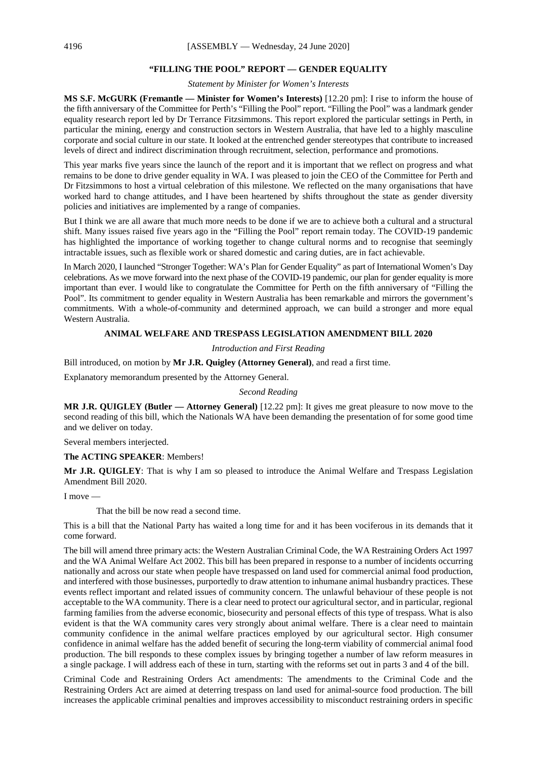## **"FILLING THE POOL" REPORT — GENDER EQUALITY**

*Statement by Minister for Women's Interests*

**MS S.F. McGURK (Fremantle — Minister for Women's Interests)** [12.20 pm]: I rise to inform the house of the fifth anniversary of the Committee for Perth's "Filling the Pool" report. "Filling the Pool" was a landmark gender equality research report led by Dr Terrance Fitzsimmons. This report explored the particular settings in Perth, in particular the mining, energy and construction sectors in Western Australia, that have led to a highly masculine corporate and social culture in our state. It looked at the entrenched gender stereotypes that contribute to increased levels of direct and indirect discrimination through recruitment, selection, performance and promotions.

This year marks five years since the launch of the report and it is important that we reflect on progress and what remains to be done to drive gender equality in WA. I was pleased to join the CEO of the Committee for Perth and Dr Fitzsimmons to host a virtual celebration of this milestone. We reflected on the many organisations that have worked hard to change attitudes, and I have been heartened by shifts throughout the state as gender diversity policies and initiatives are implemented by a range of companies.

But I think we are all aware that much more needs to be done if we are to achieve both a cultural and a structural shift. Many issues raised five years ago in the "Filling the Pool" report remain today. The COVID-19 pandemic has highlighted the importance of working together to change cultural norms and to recognise that seemingly intractable issues, such as flexible work or shared domestic and caring duties, are in fact achievable.

In March 2020, I launched "Stronger Together: WA's Plan for Gender Equality" as part of International Women's Day celebrations. As we move forward into the next phase of the COVID-19 pandemic, our plan for gender equality is more important than ever. I would like to congratulate the Committee for Perth on the fifth anniversary of "Filling the Pool". Its commitment to gender equality in Western Australia has been remarkable and mirrors the government's commitments. With a whole-of-community and determined approach, we can build a stronger and more equal Western Australia.

#### **ANIMAL WELFARE AND TRESPASS LEGISLATION AMENDMENT BILL 2020**

*Introduction and First Reading*

Bill introduced, on motion by **Mr J.R. Quigley (Attorney General)**, and read a first time.

Explanatory memorandum presented by the Attorney General.

#### *Second Reading*

**MR J.R. QUIGLEY (Butler — Attorney General)** [12.22 pm]: It gives me great pleasure to now move to the second reading of this bill, which the Nationals WA have been demanding the presentation of for some good time and we deliver on today.

Several members interjected.

#### **The ACTING SPEAKER**: Members!

**Mr J.R. QUIGLEY**: That is why I am so pleased to introduce the Animal Welfare and Trespass Legislation Amendment Bill 2020.

I move —

That the bill be now read a second time.

This is a bill that the National Party has waited a long time for and it has been vociferous in its demands that it come forward.

The bill will amend three primary acts: the Western Australian Criminal Code, the WA Restraining Orders Act 1997 and the WA Animal Welfare Act 2002. This bill has been prepared in response to a number of incidents occurring nationally and across our state when people have trespassed on land used for commercial animal food production, and interfered with those businesses, purportedly to draw attention to inhumane animal husbandry practices. These events reflect important and related issues of community concern. The unlawful behaviour of these people is not acceptable to the WA community. There is a clear need to protect our agricultural sector, and in particular, regional farming families from the adverse economic, biosecurity and personal effects of this type of trespass. What is also evident is that the WA community cares very strongly about animal welfare. There is a clear need to maintain community confidence in the animal welfare practices employed by our agricultural sector. High consumer confidence in animal welfare has the added benefit of securing the long-term viability of commercial animal food production. The bill responds to these complex issues by bringing together a number of law reform measures in a single package. I will address each of these in turn, starting with the reforms set out in parts 3 and 4 of the bill.

Criminal Code and Restraining Orders Act amendments: The amendments to the Criminal Code and the Restraining Orders Act are aimed at deterring trespass on land used for animal-source food production. The bill increases the applicable criminal penalties and improves accessibility to misconduct restraining orders in specific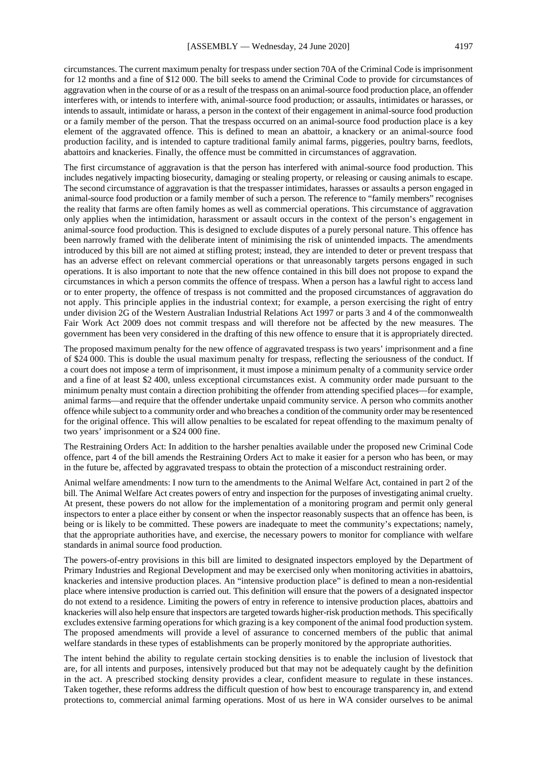circumstances. The current maximum penalty for trespass under section 70A of the Criminal Code is imprisonment for 12 months and a fine of \$12 000. The bill seeks to amend the Criminal Code to provide for circumstances of aggravation when in the course of or as a result of the trespass on an animal-source food production place, an offender interferes with, or intends to interfere with, animal-source food production; or assaults, intimidates or harasses, or intends to assault, intimidate or harass, a person in the context of their engagement in animal-source food production or a family member of the person. That the trespass occurred on an animal-source food production place is a key element of the aggravated offence. This is defined to mean an abattoir, a knackery or an animal-source food production facility, and is intended to capture traditional family animal farms, piggeries, poultry barns, feedlots, abattoirs and knackeries. Finally, the offence must be committed in circumstances of aggravation.

The first circumstance of aggravation is that the person has interfered with animal-source food production. This includes negatively impacting biosecurity, damaging or stealing property, or releasing or causing animals to escape. The second circumstance of aggravation is that the trespasser intimidates, harasses or assaults a person engaged in animal-source food production or a family member of such a person. The reference to "family members" recognises the reality that farms are often family homes as well as commercial operations. This circumstance of aggravation only applies when the intimidation, harassment or assault occurs in the context of the person's engagement in animal-source food production. This is designed to exclude disputes of a purely personal nature. This offence has been narrowly framed with the deliberate intent of minimising the risk of unintended impacts. The amendments introduced by this bill are not aimed at stifling protest; instead, they are intended to deter or prevent trespass that has an adverse effect on relevant commercial operations or that unreasonably targets persons engaged in such operations. It is also important to note that the new offence contained in this bill does not propose to expand the circumstances in which a person commits the offence of trespass. When a person has a lawful right to access land or to enter property, the offence of trespass is not committed and the proposed circumstances of aggravation do not apply. This principle applies in the industrial context; for example, a person exercising the right of entry under division 2G of the Western Australian Industrial Relations Act 1997 or parts 3 and 4 of the commonwealth Fair Work Act 2009 does not commit trespass and will therefore not be affected by the new measures. The government has been very considered in the drafting of this new offence to ensure that it is appropriately directed.

The proposed maximum penalty for the new offence of aggravated trespass is two years' imprisonment and a fine of \$24 000. This is double the usual maximum penalty for trespass, reflecting the seriousness of the conduct. If a court does not impose a term of imprisonment, it must impose a minimum penalty of a community service order and a fine of at least \$2 400, unless exceptional circumstances exist. A community order made pursuant to the minimum penalty must contain a direction prohibiting the offender from attending specified places—for example, animal farms—and require that the offender undertake unpaid community service. A person who commits another offence while subject to a community order and who breaches a condition of the community order may be resentenced for the original offence. This will allow penalties to be escalated for repeat offending to the maximum penalty of two years' imprisonment or a \$24 000 fine.

The Restraining Orders Act: In addition to the harsher penalties available under the proposed new Criminal Code offence, part 4 of the bill amends the Restraining Orders Act to make it easier for a person who has been, or may in the future be, affected by aggravated trespass to obtain the protection of a misconduct restraining order.

Animal welfare amendments: I now turn to the amendments to the Animal Welfare Act, contained in part 2 of the bill. The Animal Welfare Act creates powers of entry and inspection for the purposes of investigating animal cruelty. At present, these powers do not allow for the implementation of a monitoring program and permit only general inspectors to enter a place either by consent or when the inspector reasonably suspects that an offence has been, is being or is likely to be committed. These powers are inadequate to meet the community's expectations; namely, that the appropriate authorities have, and exercise, the necessary powers to monitor for compliance with welfare standards in animal source food production.

The powers-of-entry provisions in this bill are limited to designated inspectors employed by the Department of Primary Industries and Regional Development and may be exercised only when monitoring activities in abattoirs, knackeries and intensive production places. An "intensive production place" is defined to mean a non-residential place where intensive production is carried out. This definition will ensure that the powers of a designated inspector do not extend to a residence. Limiting the powers of entry in reference to intensive production places, abattoirs and knackeries will also help ensure that inspectors are targeted towards higher-risk production methods. This specifically excludes extensive farming operations for which grazing is a key component of the animal food production system. The proposed amendments will provide a level of assurance to concerned members of the public that animal welfare standards in these types of establishments can be properly monitored by the appropriate authorities.

The intent behind the ability to regulate certain stocking densities is to enable the inclusion of livestock that are, for all intents and purposes, intensively produced but that may not be adequately caught by the definition in the act. A prescribed stocking density provides a clear, confident measure to regulate in these instances. Taken together, these reforms address the difficult question of how best to encourage transparency in, and extend protections to, commercial animal farming operations. Most of us here in WA consider ourselves to be animal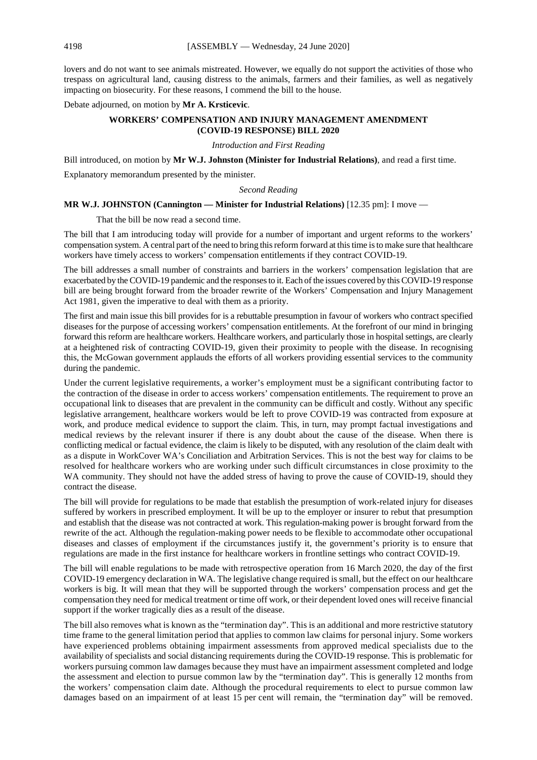lovers and do not want to see animals mistreated. However, we equally do not support the activities of those who trespass on agricultural land, causing distress to the animals, farmers and their families, as well as negatively impacting on biosecurity. For these reasons, I commend the bill to the house.

Debate adjourned, on motion by **Mr A. Krsticevic**.

## **WORKERS' COMPENSATION AND INJURY MANAGEMENT AMENDMENT (COVID-19 RESPONSE) BILL 2020**

#### *Introduction and First Reading*

Bill introduced, on motion by **Mr W.J. Johnston (Minister for Industrial Relations)**, and read a first time.

Explanatory memorandum presented by the minister.

#### *Second Reading*

#### **MR W.J. JOHNSTON (Cannington — Minister for Industrial Relations)** [12.35 pm]: I move —

That the bill be now read a second time.

The bill that I am introducing today will provide for a number of important and urgent reforms to the workers' compensation system. A central part of the need to bring this reform forward at this time is to make sure that healthcare workers have timely access to workers' compensation entitlements if they contract COVID-19.

The bill addresses a small number of constraints and barriers in the workers' compensation legislation that are exacerbated by the COVID-19 pandemic and the responses to it. Each of the issues covered by this COVID-19 response bill are being brought forward from the broader rewrite of the Workers' Compensation and Injury Management Act 1981, given the imperative to deal with them as a priority.

The first and main issue this bill provides for is a rebuttable presumption in favour of workers who contract specified diseases for the purpose of accessing workers' compensation entitlements. At the forefront of our mind in bringing forward this reform are healthcare workers. Healthcare workers, and particularly those in hospital settings, are clearly at a heightened risk of contracting COVID-19, given their proximity to people with the disease. In recognising this, the McGowan government applauds the efforts of all workers providing essential services to the community during the pandemic.

Under the current legislative requirements, a worker's employment must be a significant contributing factor to the contraction of the disease in order to access workers' compensation entitlements. The requirement to prove an occupational link to diseases that are prevalent in the community can be difficult and costly. Without any specific legislative arrangement, healthcare workers would be left to prove COVID-19 was contracted from exposure at work, and produce medical evidence to support the claim. This, in turn, may prompt factual investigations and medical reviews by the relevant insurer if there is any doubt about the cause of the disease. When there is conflicting medical or factual evidence, the claim is likely to be disputed, with any resolution of the claim dealt with as a dispute in WorkCover WA's Conciliation and Arbitration Services. This is not the best way for claims to be resolved for healthcare workers who are working under such difficult circumstances in close proximity to the WA community. They should not have the added stress of having to prove the cause of COVID-19, should they contract the disease.

The bill will provide for regulations to be made that establish the presumption of work-related injury for diseases suffered by workers in prescribed employment. It will be up to the employer or insurer to rebut that presumption and establish that the disease was not contracted at work. This regulation-making power is brought forward from the rewrite of the act. Although the regulation-making power needs to be flexible to accommodate other occupational diseases and classes of employment if the circumstances justify it, the government's priority is to ensure that regulations are made in the first instance for healthcare workers in frontline settings who contract COVID-19.

The bill will enable regulations to be made with retrospective operation from 16 March 2020, the day of the first COVID-19 emergency declaration in WA. The legislative change required is small, but the effect on our healthcare workers is big. It will mean that they will be supported through the workers' compensation process and get the compensation they need for medical treatment or time off work, or their dependent loved ones will receive financial support if the worker tragically dies as a result of the disease.

The bill also removes what is known as the "termination day". This is an additional and more restrictive statutory time frame to the general limitation period that applies to common law claims for personal injury. Some workers have experienced problems obtaining impairment assessments from approved medical specialists due to the availability of specialists and social distancing requirements during the COVID-19 response. This is problematic for workers pursuing common law damages because they must have an impairment assessment completed and lodge the assessment and election to pursue common law by the "termination day". This is generally 12 months from the workers' compensation claim date. Although the procedural requirements to elect to pursue common law damages based on an impairment of at least 15 per cent will remain, the "termination day" will be removed.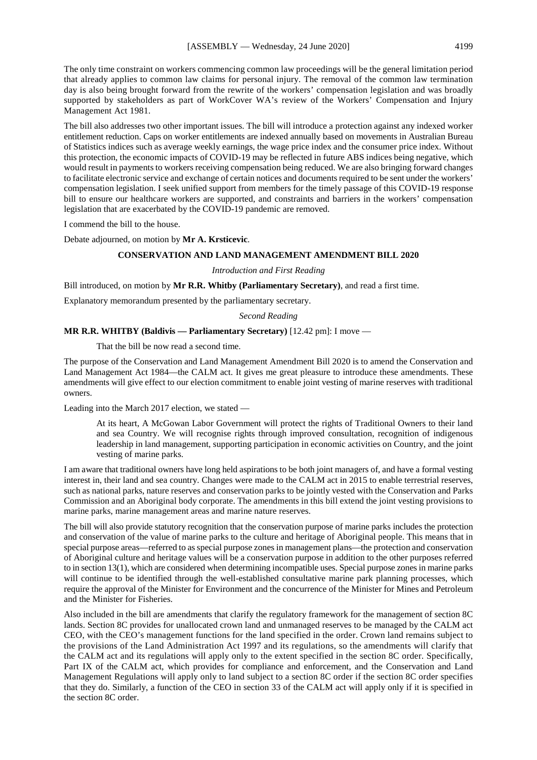The only time constraint on workers commencing common law proceedings will be the general limitation period that already applies to common law claims for personal injury. The removal of the common law termination day is also being brought forward from the rewrite of the workers' compensation legislation and was broadly supported by stakeholders as part of WorkCover WA's review of the Workers' Compensation and Injury Management Act 1981.

The bill also addresses two other important issues. The bill will introduce a protection against any indexed worker entitlement reduction. Caps on worker entitlements are indexed annually based on movements in Australian Bureau of Statistics indices such as average weekly earnings, the wage price index and the consumer price index. Without this protection, the economic impacts of COVID-19 may be reflected in future ABS indices being negative, which would result in payments to workers receiving compensation being reduced. We are also bringing forward changes to facilitate electronic service and exchange of certain notices and documents required to be sent under the workers' compensation legislation. I seek unified support from members for the timely passage of this COVID-19 response bill to ensure our healthcare workers are supported, and constraints and barriers in the workers' compensation legislation that are exacerbated by the COVID-19 pandemic are removed.

I commend the bill to the house.

Debate adjourned, on motion by **Mr A. Krsticevic**.

## **CONSERVATION AND LAND MANAGEMENT AMENDMENT BILL 2020**

#### *Introduction and First Reading*

Bill introduced, on motion by **Mr R.R. Whitby (Parliamentary Secretary)**, and read a first time.

Explanatory memorandum presented by the parliamentary secretary.

*Second Reading*

## **MR R.R. WHITBY (Baldivis — Parliamentary Secretary)** [12.42 pm]: I move —

That the bill be now read a second time.

The purpose of the Conservation and Land Management Amendment Bill 2020 is to amend the Conservation and Land Management Act 1984—the CALM act. It gives me great pleasure to introduce these amendments. These amendments will give effect to our election commitment to enable joint vesting of marine reserves with traditional owners.

Leading into the March 2017 election, we stated —

At its heart, A McGowan Labor Government will protect the rights of Traditional Owners to their land and sea Country. We will recognise rights through improved consultation, recognition of indigenous leadership in land management, supporting participation in economic activities on Country, and the joint vesting of marine parks.

I am aware that traditional owners have long held aspirations to be both joint managers of, and have a formal vesting interest in, their land and sea country. Changes were made to the CALM act in 2015 to enable terrestrial reserves, such as national parks, nature reserves and conservation parks to be jointly vested with the Conservation and Parks Commission and an Aboriginal body corporate. The amendments in this bill extend the joint vesting provisions to marine parks, marine management areas and marine nature reserves.

The bill will also provide statutory recognition that the conservation purpose of marine parks includes the protection and conservation of the value of marine parks to the culture and heritage of Aboriginal people. This means that in special purpose areas—referred to as special purpose zones in management plans—the protection and conservation of Aboriginal culture and heritage values will be a conservation purpose in addition to the other purposes referred to in section 13(1), which are considered when determining incompatible uses. Special purpose zones in marine parks will continue to be identified through the well-established consultative marine park planning processes, which require the approval of the Minister for Environment and the concurrence of the Minister for Mines and Petroleum and the Minister for Fisheries.

Also included in the bill are amendments that clarify the regulatory framework for the management of section 8C lands. Section 8C provides for unallocated crown land and unmanaged reserves to be managed by the CALM act CEO, with the CEO's management functions for the land specified in the order. Crown land remains subject to the provisions of the Land Administration Act 1997 and its regulations, so the amendments will clarify that the CALM act and its regulations will apply only to the extent specified in the section 8C order. Specifically, Part IX of the CALM act, which provides for compliance and enforcement, and the Conservation and Land Management Regulations will apply only to land subject to a section 8C order if the section 8C order specifies that they do. Similarly, a function of the CEO in section 33 of the CALM act will apply only if it is specified in the section 8C order.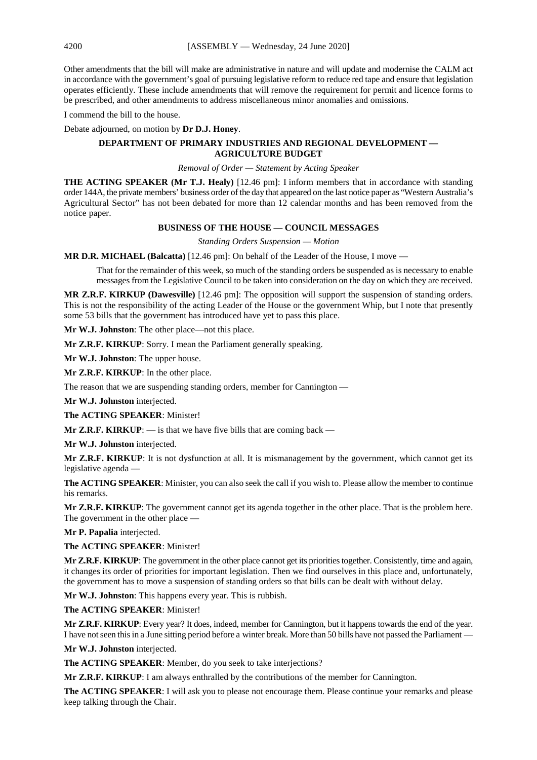Other amendments that the bill will make are administrative in nature and will update and modernise the CALM act in accordance with the government's goal of pursuing legislative reform to reduce red tape and ensure that legislation operates efficiently. These include amendments that will remove the requirement for permit and licence forms to be prescribed, and other amendments to address miscellaneous minor anomalies and omissions.

I commend the bill to the house.

Debate adjourned, on motion by **Dr D.J. Honey**.

## **DEPARTMENT OF PRIMARY INDUSTRIES AND REGIONAL DEVELOPMENT — AGRICULTURE BUDGET**

#### *Removal of Order — Statement by Acting Speaker*

**THE ACTING SPEAKER (Mr T.J. Healy)** [12.46 pm]: I inform members that in accordance with standing order 144A, the private members' business order of the day that appeared on the last notice paper as "Western Australia's Agricultural Sector" has not been debated for more than 12 calendar months and has been removed from the notice paper.

#### **BUSINESS OF THE HOUSE — COUNCIL MESSAGES**

*Standing Orders Suspension — Motion*

**MR D.R. MICHAEL (Balcatta)** [12.46 pm]: On behalf of the Leader of the House, I move —

That for the remainder of this week, so much of the standing orders be suspended as is necessary to enable messages from the Legislative Council to be taken into consideration on the day on which they are received.

**MR Z.R.F. KIRKUP (Dawesville)** [12.46 pm]: The opposition will support the suspension of standing orders. This is not the responsibility of the acting Leader of the House or the government Whip, but I note that presently some 53 bills that the government has introduced have yet to pass this place.

**Mr W.J. Johnston**: The other place—not this place.

**Mr Z.R.F. KIRKUP**: Sorry. I mean the Parliament generally speaking.

**Mr W.J. Johnston**: The upper house.

**Mr Z.R.F. KIRKUP**: In the other place.

The reason that we are suspending standing orders, member for Cannington —

**Mr W.J. Johnston** interjected.

**The ACTING SPEAKER**: Minister!

**Mr Z.R.F. KIRKUP:**  $\overline{\phantom{a}}$  is that we have five bills that are coming back  $\overline{\phantom{a}}$ 

**Mr W.J. Johnston** interjected.

**Mr Z.R.F. KIRKUP**: It is not dysfunction at all. It is mismanagement by the government, which cannot get its legislative agenda —

**The ACTING SPEAKER**: Minister, you can also seek the call if you wish to. Please allow the member to continue his remarks.

**Mr Z.R.F. KIRKUP**: The government cannot get its agenda together in the other place. That is the problem here. The government in the other place —

**Mr P. Papalia** interjected.

**The ACTING SPEAKER**: Minister!

**Mr Z.R.F. KIRKUP**: The government in the other place cannot get its priorities together. Consistently, time and again, it changes its order of priorities for important legislation. Then we find ourselves in this place and, unfortunately, the government has to move a suspension of standing orders so that bills can be dealt with without delay.

**Mr W.J. Johnston**: This happens every year. This is rubbish.

**The ACTING SPEAKER**: Minister!

**Mr Z.R.F. KIRKUP**: Every year? It does, indeed, member for Cannington, but it happens towards the end of the year. I have not seen this in a June sitting period before a winter break. More than 50 bills have not passed the Parliament —

**Mr W.J. Johnston** interjected.

**The ACTING SPEAKER**: Member, do you seek to take interjections?

**Mr Z.R.F. KIRKUP**: I am always enthralled by the contributions of the member for Cannington.

**The ACTING SPEAKER**: I will ask you to please not encourage them. Please continue your remarks and please keep talking through the Chair.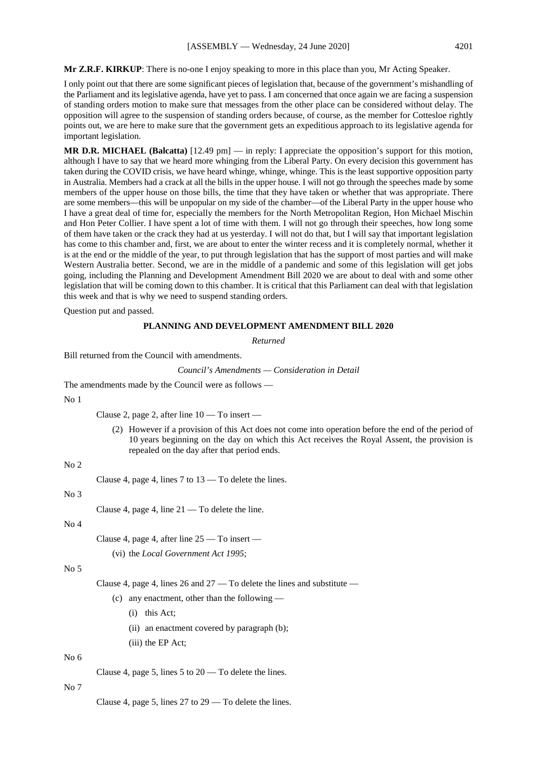**Mr Z.R.F. KIRKUP**: There is no-one I enjoy speaking to more in this place than you, Mr Acting Speaker.

I only point out that there are some significant pieces of legislation that, because of the government's mishandling of the Parliament and its legislative agenda, have yet to pass. I am concerned that once again we are facing a suspension of standing orders motion to make sure that messages from the other place can be considered without delay. The opposition will agree to the suspension of standing orders because, of course, as the member for Cottesloe rightly points out, we are here to make sure that the government gets an expeditious approach to its legislative agenda for important legislation.

**MR D.R. MICHAEL (Balcatta)** [12.49 pm] — in reply: I appreciate the opposition's support for this motion, although I have to say that we heard more whinging from the Liberal Party. On every decision this government has taken during the COVID crisis, we have heard whinge, whinge, whinge. This is the least supportive opposition party in Australia. Members had a crack at all the bills in the upper house. I will not go through the speeches made by some members of the upper house on those bills, the time that they have taken or whether that was appropriate. There are some members—this will be unpopular on my side of the chamber—of the Liberal Party in the upper house who I have a great deal of time for, especially the members for the North Metropolitan Region, Hon Michael Mischin and Hon Peter Collier. I have spent a lot of time with them. I will not go through their speeches, how long some of them have taken or the crack they had at us yesterday. I will not do that, but I will say that important legislation has come to this chamber and, first, we are about to enter the winter recess and it is completely normal, whether it is at the end or the middle of the year, to put through legislation that has the support of most parties and will make Western Australia better. Second, we are in the middle of a pandemic and some of this legislation will get jobs going, including the Planning and Development Amendment Bill 2020 we are about to deal with and some other legislation that will be coming down to this chamber. It is critical that this Parliament can deal with that legislation this week and that is why we need to suspend standing orders.

Question put and passed.

#### **PLANNING AND DEVELOPMENT AMENDMENT BILL 2020**

*Returned*

Bill returned from the Council with amendments.

*Council's Amendments — Consideration in Detail*

The amendments made by the Council were as follows —

#### No 1

Clause 2, page 2, after line 10 — To insert —

(2) However if a provision of this Act does not come into operation before the end of the period of 10 years beginning on the day on which this Act receives the Royal Assent, the provision is repealed on the day after that period ends.

## $No<sub>2</sub>$

Clause 4, page 4, lines 7 to 13 — To delete the lines.

No 3

Clause 4, page 4, line 21 — To delete the line.

#### No 4

Clause 4, page 4, after line 25 — To insert —

(vi) the *Local Government Act 1995*;

## No 5

Clause 4, page 4, lines 26 and 27 — To delete the lines and substitute —

- (c) any enactment, other than the following
	- (i) this Act;
	- (ii) an enactment covered by paragraph (b);
	- (iii) the EP Act;

## No 6

Clause 4, page 5, lines  $5$  to  $20 - To$  delete the lines.

## No 7

Clause 4, page 5, lines 27 to 29 — To delete the lines.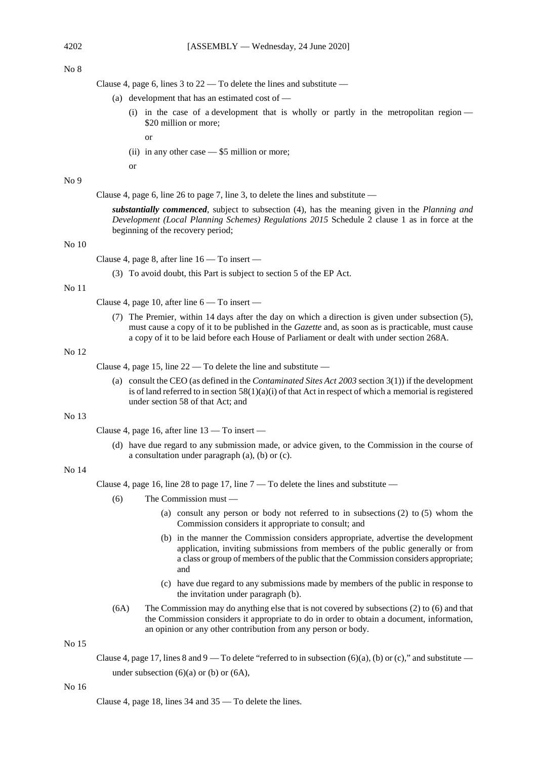#### No 8

Clause 4, page 6, lines 3 to  $22 - To$  delete the lines and substitute  $-$ 

- (a) development that has an estimated cost of
	- (i) in the case of a development that is wholly or partly in the metropolitan region \$20 million or more;
		- or
	- (ii) in any other case \$5 million or more;

or

## No 9

Clause 4, page 6, line 26 to page 7, line 3, to delete the lines and substitute —

*substantially commenced*, subject to subsection (4), has the meaning given in the *Planning and Development (Local Planning Schemes) Regulations 2015* Schedule 2 clause 1 as in force at the beginning of the recovery period;

## No 10

Clause 4, page 8, after line 16 — To insert —

(3) To avoid doubt, this Part is subject to section 5 of the EP Act.

#### No 11

Clause 4, page 10, after line 6 — To insert —

(7) The Premier, within 14 days after the day on which a direction is given under subsection (5), must cause a copy of it to be published in the *Gazette* and, as soon as is practicable, must cause a copy of it to be laid before each House of Parliament or dealt with under section 268A.

## No 12

Clause 4, page 15, line  $22 - To$  delete the line and substitute  $-$ 

(a) consult the CEO (as defined in the *Contaminated Sites Act 2003* section 3(1)) if the development is of land referred to in section  $58(1)(a)(i)$  of that Act in respect of which a memorial is registered under section 58 of that Act; and

## No 13

Clause 4, page 16, after line 13 — To insert —

(d) have due regard to any submission made, or advice given, to the Commission in the course of a consultation under paragraph (a), (b) or (c).

## No 14

Clause 4, page 16, line 28 to page 17, line  $7 -$  To delete the lines and substitute  $-$ 

- (6) The Commission must
	- (a) consult any person or body not referred to in subsections (2) to (5) whom the Commission considers it appropriate to consult; and
	- (b) in the manner the Commission considers appropriate, advertise the development application, inviting submissions from members of the public generally or from a class or group of members of the public that the Commission considers appropriate; and
	- (c) have due regard to any submissions made by members of the public in response to the invitation under paragraph (b).
- (6A) The Commission may do anything else that is not covered by subsections (2) to (6) and that the Commission considers it appropriate to do in order to obtain a document, information, an opinion or any other contribution from any person or body.

#### No 15

Clause 4, page 17, lines 8 and 9 — To delete "referred to in subsection (6)(a), (b) or (c)," and substitute under subsection  $(6)(a)$  or  $(b)$  or  $(6A)$ ,

#### No 16

Clause 4, page 18, lines 34 and 35 — To delete the lines.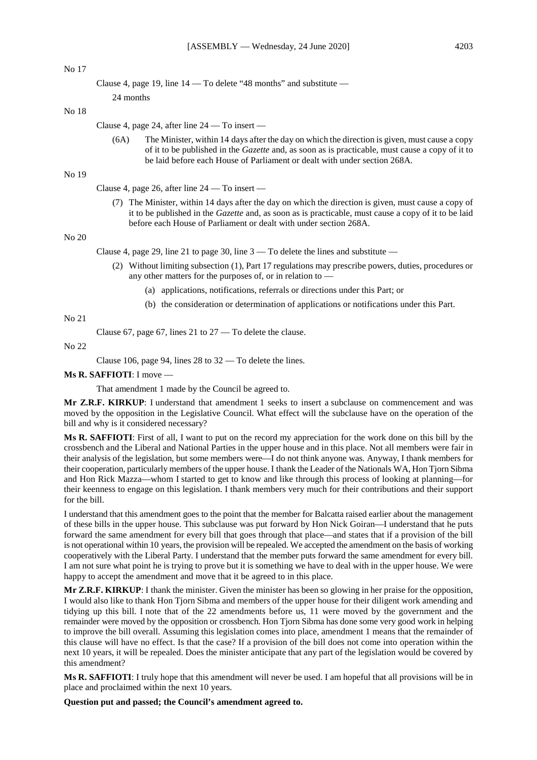## No 17

No 18

```
Clause 4, page 19, line 14 — To delete "48 months" and substitute —
24 months
```
Clause 4, page 24, after line 24 — To insert —

(6A) The Minister, within 14 days after the day on which the direction is given, must cause a copy of it to be published in the *Gazette* and, as soon as is practicable, must cause a copy of it to be laid before each House of Parliament or dealt with under section 268A.

#### No 19

Clause 4, page 26, after line 24 — To insert —

(7) The Minister, within 14 days after the day on which the direction is given, must cause a copy of it to be published in the *Gazette* and, as soon as is practicable, must cause a copy of it to be laid before each House of Parliament or dealt with under section 268A.

#### No 20

Clause 4, page 29, line 21 to page 30, line 3 — To delete the lines and substitute —

- (2) Without limiting subsection (1), Part 17 regulations may prescribe powers, duties, procedures or any other matters for the purposes of, or in relation to —
	- (a) applications, notifications, referrals or directions under this Part; or
	- (b) the consideration or determination of applications or notifications under this Part.

No 21

Clause 67, page 67, lines 21 to 27 — To delete the clause.

No 22

Clause 106, page 94, lines 28 to 32 — To delete the lines.

#### **Ms R. SAFFIOTI**: I move —

That amendment 1 made by the Council be agreed to.

**Mr Z.R.F. KIRKUP**: I understand that amendment 1 seeks to insert a subclause on commencement and was moved by the opposition in the Legislative Council. What effect will the subclause have on the operation of the bill and why is it considered necessary?

**Ms R. SAFFIOTI**: First of all, I want to put on the record my appreciation for the work done on this bill by the crossbench and the Liberal and National Parties in the upper house and in this place. Not all members were fair in their analysis of the legislation, but some members were—I do not think anyone was. Anyway, I thank members for their cooperation, particularly members of the upper house. I thank the Leader of the Nationals WA, Hon Tjorn Sibma and Hon Rick Mazza—whom I started to get to know and like through this process of looking at planning—for their keenness to engage on this legislation. I thank members very much for their contributions and their support for the bill.

I understand that this amendment goes to the point that the member for Balcatta raised earlier about the management of these bills in the upper house. This subclause was put forward by Hon Nick Goiran—I understand that he puts forward the same amendment for every bill that goes through that place—and states that if a provision of the bill is not operational within 10 years, the provision will be repealed. We accepted the amendment on the basis of working cooperatively with the Liberal Party. I understand that the member puts forward the same amendment for every bill. I am not sure what point he is trying to prove but it is something we have to deal with in the upper house. We were happy to accept the amendment and move that it be agreed to in this place.

**Mr Z.R.F. KIRKUP**: I thank the minister. Given the minister has been so glowing in her praise for the opposition, I would also like to thank Hon Tjorn Sibma and members of the upper house for their diligent work amending and tidying up this bill. I note that of the 22 amendments before us, 11 were moved by the government and the remainder were moved by the opposition or crossbench. Hon Tjorn Sibma has done some very good work in helping to improve the bill overall. Assuming this legislation comes into place, amendment 1 means that the remainder of this clause will have no effect. Is that the case? If a provision of the bill does not come into operation within the next 10 years, it will be repealed. Does the minister anticipate that any part of the legislation would be covered by this amendment?

**Ms R. SAFFIOTI**: I truly hope that this amendment will never be used. I am hopeful that all provisions will be in place and proclaimed within the next 10 years.

**Question put and passed; the Council's amendment agreed to.**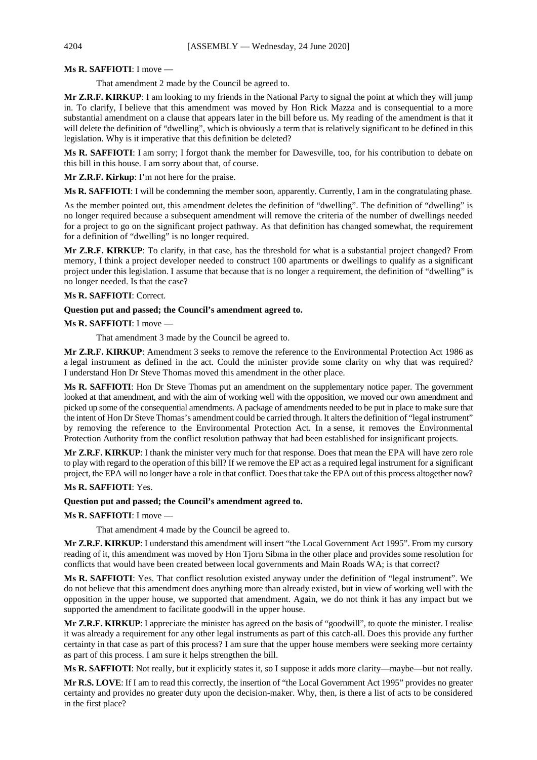## **Ms R. SAFFIOTI**: I move —

That amendment 2 made by the Council be agreed to.

**Mr Z.R.F. KIRKUP**: I am looking to my friends in the National Party to signal the point at which they will jump in. To clarify, I believe that this amendment was moved by Hon Rick Mazza and is consequential to a more substantial amendment on a clause that appears later in the bill before us. My reading of the amendment is that it will delete the definition of "dwelling", which is obviously a term that is relatively significant to be defined in this legislation. Why is it imperative that this definition be deleted?

**Ms R. SAFFIOTI**: I am sorry; I forgot thank the member for Dawesville, too, for his contribution to debate on this bill in this house. I am sorry about that, of course.

**Mr Z.R.F. Kirkup**: I'm not here for the praise.

**Ms R. SAFFIOTI**: I will be condemning the member soon, apparently. Currently, I am in the congratulating phase.

As the member pointed out, this amendment deletes the definition of "dwelling". The definition of "dwelling" is no longer required because a subsequent amendment will remove the criteria of the number of dwellings needed for a project to go on the significant project pathway. As that definition has changed somewhat, the requirement for a definition of "dwelling" is no longer required.

**Mr Z.R.F. KIRKUP**: To clarify, in that case, has the threshold for what is a substantial project changed? From memory, I think a project developer needed to construct 100 apartments or dwellings to qualify as a significant project under this legislation. I assume that because that is no longer a requirement, the definition of "dwelling" is no longer needed. Is that the case?

## **Ms R. SAFFIOTI**: Correct.

## **Question put and passed; the Council's amendment agreed to.**

## **Ms R. SAFFIOTI**: I move —

That amendment 3 made by the Council be agreed to.

**Mr Z.R.F. KIRKUP**: Amendment 3 seeks to remove the reference to the Environmental Protection Act 1986 as a legal instrument as defined in the act. Could the minister provide some clarity on why that was required? I understand Hon Dr Steve Thomas moved this amendment in the other place.

**Ms R. SAFFIOTI**: Hon Dr Steve Thomas put an amendment on the supplementary notice paper. The government looked at that amendment, and with the aim of working well with the opposition, we moved our own amendment and picked up some of the consequential amendments. A package of amendments needed to be put in place to make sure that the intent of Hon Dr Steve Thomas's amendment could be carried through. It alters the definition of "legal instrument" by removing the reference to the Environmental Protection Act. In a sense, it removes the Environmental Protection Authority from the conflict resolution pathway that had been established for insignificant projects.

**Mr Z.R.F. KIRKUP**: I thank the minister very much for that response. Does that mean the EPA will have zero role to play with regard to the operation of this bill? If we remove the EP act as a required legal instrument for a significant project, the EPA will no longer have a role in that conflict. Does that take the EPA out of this process altogether now?

## **Ms R. SAFFIOTI**: Yes.

#### **Question put and passed; the Council's amendment agreed to.**

**Ms R. SAFFIOTI**: I move —

That amendment 4 made by the Council be agreed to.

**Mr Z.R.F. KIRKUP**: I understand this amendment will insert "the Local Government Act 1995". From my cursory reading of it, this amendment was moved by Hon Tjorn Sibma in the other place and provides some resolution for conflicts that would have been created between local governments and Main Roads WA; is that correct?

**Ms R. SAFFIOTI**: Yes. That conflict resolution existed anyway under the definition of "legal instrument". We do not believe that this amendment does anything more than already existed, but in view of working well with the opposition in the upper house, we supported that amendment. Again, we do not think it has any impact but we supported the amendment to facilitate goodwill in the upper house.

**Mr Z.R.F. KIRKUP**: I appreciate the minister has agreed on the basis of "goodwill", to quote the minister. I realise it was already a requirement for any other legal instruments as part of this catch-all. Does this provide any further certainty in that case as part of this process? I am sure that the upper house members were seeking more certainty as part of this process. I am sure it helps strengthen the bill.

**Ms R. SAFFIOTI**: Not really, but it explicitly states it, so I suppose it adds more clarity—maybe—but not really.

**Mr R.S. LOVE**: If I am to read this correctly, the insertion of "the Local Government Act 1995" provides no greater certainty and provides no greater duty upon the decision-maker. Why, then, is there a list of acts to be considered in the first place?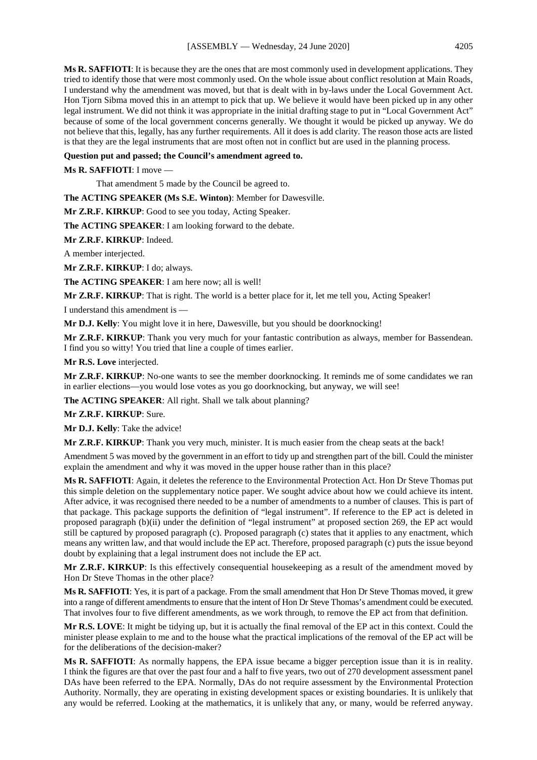**Ms R. SAFFIOTI**: It is because they are the ones that are most commonly used in development applications. They tried to identify those that were most commonly used. On the whole issue about conflict resolution at Main Roads, I understand why the amendment was moved, but that is dealt with in by-laws under the Local Government Act. Hon Tjorn Sibma moved this in an attempt to pick that up. We believe it would have been picked up in any other legal instrument. We did not think it was appropriate in the initial drafting stage to put in "Local Government Act" because of some of the local government concerns generally. We thought it would be picked up anyway. We do not believe that this, legally, has any further requirements. All it does is add clarity. The reason those acts are listed is that they are the legal instruments that are most often not in conflict but are used in the planning process.

#### **Question put and passed; the Council's amendment agreed to.**

**Ms R. SAFFIOTI**: I move —

That amendment 5 made by the Council be agreed to.

**The ACTING SPEAKER (Ms S.E. Winton)**: Member for Dawesville.

**Mr Z.R.F. KIRKUP**: Good to see you today, Acting Speaker.

**The ACTING SPEAKER**: I am looking forward to the debate.

**Mr Z.R.F. KIRKUP**: Indeed.

A member interjected.

**Mr Z.R.F. KIRKUP**: I do; always.

**The ACTING SPEAKER**: I am here now; all is well!

**Mr Z.R.F. KIRKUP**: That is right. The world is a better place for it, let me tell you, Acting Speaker!

I understand this amendment is —

**Mr D.J. Kelly**: You might love it in here, Dawesville, but you should be doorknocking!

**Mr Z.R.F. KIRKUP**: Thank you very much for your fantastic contribution as always, member for Bassendean. I find you so witty! You tried that line a couple of times earlier.

**Mr R.S. Love** interjected.

**Mr Z.R.F. KIRKUP**: No-one wants to see the member doorknocking. It reminds me of some candidates we ran in earlier elections—you would lose votes as you go doorknocking, but anyway, we will see!

**The ACTING SPEAKER**: All right. Shall we talk about planning?

**Mr Z.R.F. KIRKUP**: Sure.

**Mr D.J. Kelly**: Take the advice!

**Mr Z.R.F. KIRKUP**: Thank you very much, minister. It is much easier from the cheap seats at the back!

Amendment 5 was moved by the government in an effort to tidy up and strengthen part of the bill. Could the minister explain the amendment and why it was moved in the upper house rather than in this place?

**Ms R. SAFFIOTI**: Again, it deletes the reference to the Environmental Protection Act. Hon Dr Steve Thomas put this simple deletion on the supplementary notice paper. We sought advice about how we could achieve its intent. After advice, it was recognised there needed to be a number of amendments to a number of clauses. This is part of that package. This package supports the definition of "legal instrument". If reference to the EP act is deleted in proposed paragraph (b)(ii) under the definition of "legal instrument" at proposed section 269, the EP act would still be captured by proposed paragraph (c). Proposed paragraph (c) states that it applies to any enactment, which means any written law, and that would include the EP act. Therefore, proposed paragraph (c) puts the issue beyond doubt by explaining that a legal instrument does not include the EP act.

**Mr Z.R.F. KIRKUP**: Is this effectively consequential housekeeping as a result of the amendment moved by Hon Dr Steve Thomas in the other place?

**Ms R. SAFFIOTI**: Yes, it is part of a package. From the small amendment that Hon Dr Steve Thomas moved, it grew into a range of different amendments to ensure that the intent of Hon Dr Steve Thomas's amendment could be executed. That involves four to five different amendments, as we work through, to remove the EP act from that definition.

**Mr R.S. LOVE**: It might be tidying up, but it is actually the final removal of the EP act in this context. Could the minister please explain to me and to the house what the practical implications of the removal of the EP act will be for the deliberations of the decision-maker?

**Ms R. SAFFIOTI**: As normally happens, the EPA issue became a bigger perception issue than it is in reality. I think the figures are that over the past four and a half to five years, two out of 270 development assessment panel DAs have been referred to the EPA. Normally, DAs do not require assessment by the Environmental Protection Authority. Normally, they are operating in existing development spaces or existing boundaries. It is unlikely that any would be referred. Looking at the mathematics, it is unlikely that any, or many, would be referred anyway.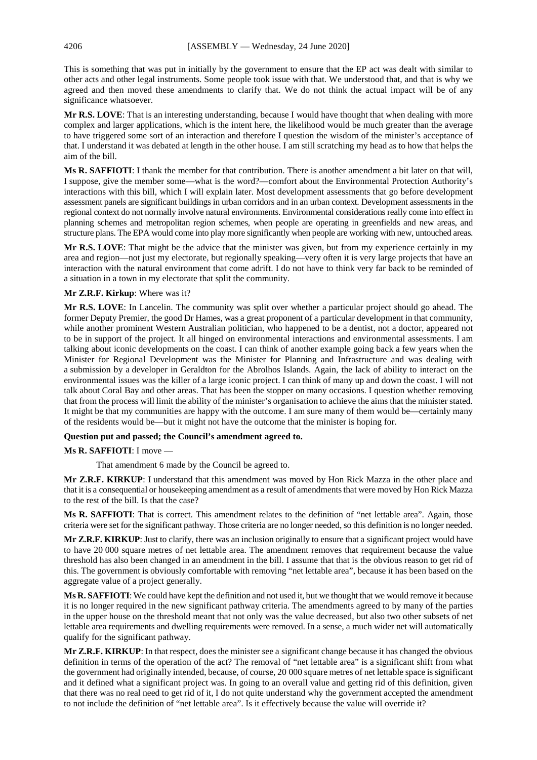This is something that was put in initially by the government to ensure that the EP act was dealt with similar to other acts and other legal instruments. Some people took issue with that. We understood that, and that is why we agreed and then moved these amendments to clarify that. We do not think the actual impact will be of any significance whatsoever.

**Mr R.S. LOVE**: That is an interesting understanding, because I would have thought that when dealing with more complex and larger applications, which is the intent here, the likelihood would be much greater than the average to have triggered some sort of an interaction and therefore I question the wisdom of the minister's acceptance of that. I understand it was debated at length in the other house. I am still scratching my head as to how that helps the aim of the bill.

**Ms R. SAFFIOTI**: I thank the member for that contribution. There is another amendment a bit later on that will, I suppose, give the member some—what is the word?—comfort about the Environmental Protection Authority's interactions with this bill, which I will explain later. Most development assessments that go before development assessment panels are significant buildings in urban corridors and in an urban context. Development assessments in the regional context do not normally involve natural environments. Environmental considerations really come into effect in planning schemes and metropolitan region schemes, when people are operating in greenfields and new areas, and structure plans. The EPA would come into play more significantly when people are working with new, untouched areas.

**Mr R.S. LOVE**: That might be the advice that the minister was given, but from my experience certainly in my area and region—not just my electorate, but regionally speaking—very often it is very large projects that have an interaction with the natural environment that come adrift. I do not have to think very far back to be reminded of a situation in a town in my electorate that split the community.

## **Mr Z.R.F. Kirkup**: Where was it?

**Mr R.S. LOVE**: In Lancelin. The community was split over whether a particular project should go ahead. The former Deputy Premier, the good Dr Hames, was a great proponent of a particular development in that community, while another prominent Western Australian politician, who happened to be a dentist, not a doctor, appeared not to be in support of the project. It all hinged on environmental interactions and environmental assessments. I am talking about iconic developments on the coast. I can think of another example going back a few years when the Minister for Regional Development was the Minister for Planning and Infrastructure and was dealing with a submission by a developer in Geraldton for the Abrolhos Islands. Again, the lack of ability to interact on the environmental issues was the killer of a large iconic project. I can think of many up and down the coast. I will not talk about Coral Bay and other areas. That has been the stopper on many occasions. I question whether removing that from the process will limit the ability of the minister's organisation to achieve the aims that the minister stated. It might be that my communities are happy with the outcome. I am sure many of them would be—certainly many of the residents would be—but it might not have the outcome that the minister is hoping for.

#### **Question put and passed; the Council's amendment agreed to.**

#### **Ms R. SAFFIOTI**: I move —

That amendment 6 made by the Council be agreed to.

**Mr Z.R.F. KIRKUP**: I understand that this amendment was moved by Hon Rick Mazza in the other place and that it is a consequential or housekeeping amendment as a result of amendments that were moved by Hon Rick Mazza to the rest of the bill. Is that the case?

**Ms R. SAFFIOTI**: That is correct. This amendment relates to the definition of "net lettable area". Again, those criteria were set for the significant pathway. Those criteria are no longer needed, so this definition is no longer needed.

**Mr Z.R.F. KIRKUP**: Just to clarify, there was an inclusion originally to ensure that a significant project would have to have 20 000 square metres of net lettable area. The amendment removes that requirement because the value threshold has also been changed in an amendment in the bill. I assume that that is the obvious reason to get rid of this. The government is obviously comfortable with removing "net lettable area", because it has been based on the aggregate value of a project generally.

**Ms R. SAFFIOTI**: We could have kept the definition and not used it, but we thought that we would remove it because it is no longer required in the new significant pathway criteria. The amendments agreed to by many of the parties in the upper house on the threshold meant that not only was the value decreased, but also two other subsets of net lettable area requirements and dwelling requirements were removed. In a sense, a much wider net will automatically qualify for the significant pathway.

**Mr Z.R.F. KIRKUP**: In that respect, does the minister see a significant change because it has changed the obvious definition in terms of the operation of the act? The removal of "net lettable area" is a significant shift from what the government had originally intended, because, of course, 20 000 square metres of net lettable space is significant and it defined what a significant project was. In going to an overall value and getting rid of this definition, given that there was no real need to get rid of it, I do not quite understand why the government accepted the amendment to not include the definition of "net lettable area". Is it effectively because the value will override it?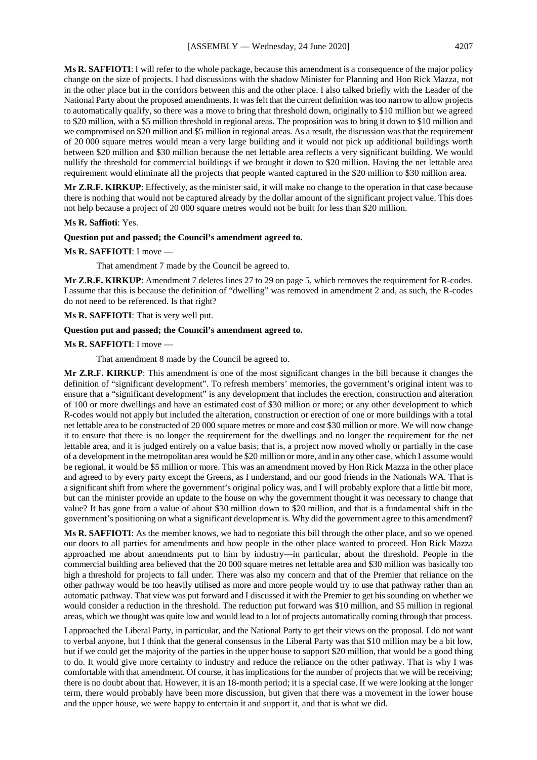**Ms R. SAFFIOTI**: I will refer to the whole package, because this amendment is a consequence of the major policy change on the size of projects. I had discussions with the shadow Minister for Planning and Hon Rick Mazza, not in the other place but in the corridors between this and the other place. I also talked briefly with the Leader of the National Party about the proposed amendments. It was felt that the current definition was too narrow to allow projects to automatically qualify, so there was a move to bring that threshold down, originally to \$10 million but we agreed to \$20 million, with a \$5 million threshold in regional areas. The proposition was to bring it down to \$10 million and we compromised on \$20 million and \$5 million in regional areas. As a result, the discussion was that the requirement of 20 000 square metres would mean a very large building and it would not pick up additional buildings worth between \$20 million and \$30 million because the net lettable area reflects a very significant building. We would nullify the threshold for commercial buildings if we brought it down to \$20 million. Having the net lettable area requirement would eliminate all the projects that people wanted captured in the \$20 million to \$30 million area.

**Mr Z.R.F. KIRKUP**: Effectively, as the minister said, it will make no change to the operation in that case because there is nothing that would not be captured already by the dollar amount of the significant project value. This does not help because a project of 20 000 square metres would not be built for less than \$20 million.

#### **Ms R. Saffioti**: Yes.

#### **Question put and passed; the Council's amendment agreed to.**

#### **Ms R. SAFFIOTI**: I move —

That amendment 7 made by the Council be agreed to.

**Mr Z.R.F. KIRKUP**: Amendment 7 deletes lines 27 to 29 on page 5, which removes the requirement for R-codes. I assume that this is because the definition of "dwelling" was removed in amendment 2 and, as such, the R-codes do not need to be referenced. Is that right?

## **Ms R. SAFFIOTI**: That is very well put.

## **Question put and passed; the Council's amendment agreed to.**

#### **Ms R. SAFFIOTI**: I move —

That amendment 8 made by the Council be agreed to.

**Mr Z.R.F. KIRKUP**: This amendment is one of the most significant changes in the bill because it changes the definition of "significant development". To refresh members' memories, the government's original intent was to ensure that a "significant development" is any development that includes the erection, construction and alteration of 100 or more dwellings and have an estimated cost of \$30 million or more; or any other development to which R-codes would not apply but included the alteration, construction or erection of one or more buildings with a total net lettable area to be constructed of 20 000 square metres or more and cost \$30 million or more. We will now change it to ensure that there is no longer the requirement for the dwellings and no longer the requirement for the net lettable area, and it is judged entirely on a value basis; that is, a project now moved wholly or partially in the case of a development in the metropolitan area would be \$20 million or more, and in any other case, which I assume would be regional, it would be \$5 million or more. This was an amendment moved by Hon Rick Mazza in the other place and agreed to by every party except the Greens, as I understand, and our good friends in the Nationals WA. That is a significant shift from where the government's original policy was, and I will probably explore that a little bit more, but can the minister provide an update to the house on why the government thought it was necessary to change that value? It has gone from a value of about \$30 million down to \$20 million, and that is a fundamental shift in the government's positioning on what a significant development is. Why did the government agree to this amendment?

**Ms R. SAFFIOTI**: As the member knows, we had to negotiate this bill through the other place, and so we opened our doors to all parties for amendments and how people in the other place wanted to proceed. Hon Rick Mazza approached me about amendments put to him by industry—in particular, about the threshold. People in the commercial building area believed that the 20 000 square metres net lettable area and \$30 million was basically too high a threshold for projects to fall under. There was also my concern and that of the Premier that reliance on the other pathway would be too heavily utilised as more and more people would try to use that pathway rather than an automatic pathway. That view was put forward and I discussed it with the Premier to get his sounding on whether we would consider a reduction in the threshold. The reduction put forward was \$10 million, and \$5 million in regional areas, which we thought was quite low and would lead to a lot of projects automatically coming through that process.

I approached the Liberal Party, in particular, and the National Party to get their views on the proposal. I do not want to verbal anyone, but I think that the general consensus in the Liberal Party was that \$10 million may be a bit low, but if we could get the majority of the parties in the upper house to support \$20 million, that would be a good thing to do. It would give more certainty to industry and reduce the reliance on the other pathway. That is why I was comfortable with that amendment. Of course, it has implications for the number of projects that we will be receiving; there is no doubt about that. However, it is an 18-month period; it is a special case. If we were looking at the longer term, there would probably have been more discussion, but given that there was a movement in the lower house and the upper house, we were happy to entertain it and support it, and that is what we did.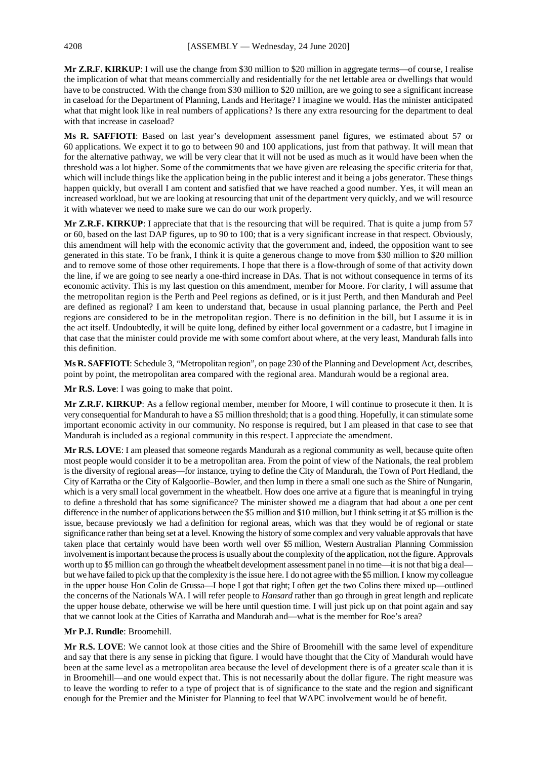**Mr Z.R.F. KIRKUP**: I will use the change from \$30 million to \$20 million in aggregate terms—of course, I realise the implication of what that means commercially and residentially for the net lettable area or dwellings that would have to be constructed. With the change from \$30 million to \$20 million, are we going to see a significant increase in caseload for the Department of Planning, Lands and Heritage? I imagine we would. Has the minister anticipated what that might look like in real numbers of applications? Is there any extra resourcing for the department to deal with that increase in caseload?

**Ms R. SAFFIOTI**: Based on last year's development assessment panel figures, we estimated about 57 or 60 applications. We expect it to go to between 90 and 100 applications, just from that pathway. It will mean that for the alternative pathway, we will be very clear that it will not be used as much as it would have been when the threshold was a lot higher. Some of the commitments that we have given are releasing the specific criteria for that, which will include things like the application being in the public interest and it being a jobs generator. These things happen quickly, but overall I am content and satisfied that we have reached a good number. Yes, it will mean an increased workload, but we are looking at resourcing that unit of the department very quickly, and we will resource it with whatever we need to make sure we can do our work properly.

**Mr Z.R.F. KIRKUP**: I appreciate that that is the resourcing that will be required. That is quite a jump from 57 or 60, based on the last DAP figures, up to 90 to 100; that is a very significant increase in that respect. Obviously, this amendment will help with the economic activity that the government and, indeed, the opposition want to see generated in this state. To be frank, I think it is quite a generous change to move from \$30 million to \$20 million and to remove some of those other requirements. I hope that there is a flow-through of some of that activity down the line, if we are going to see nearly a one-third increase in DAs. That is not without consequence in terms of its economic activity. This is my last question on this amendment, member for Moore. For clarity, I will assume that the metropolitan region is the Perth and Peel regions as defined, or is it just Perth, and then Mandurah and Peel are defined as regional? I am keen to understand that, because in usual planning parlance, the Perth and Peel regions are considered to be in the metropolitan region. There is no definition in the bill, but I assume it is in the act itself. Undoubtedly, it will be quite long, defined by either local government or a cadastre, but I imagine in that case that the minister could provide me with some comfort about where, at the very least, Mandurah falls into this definition.

**Ms R. SAFFIOTI**: Schedule 3, "Metropolitan region", on page 230 of the Planning and Development Act, describes, point by point, the metropolitan area compared with the regional area. Mandurah would be a regional area.

**Mr R.S. Love**: I was going to make that point.

**Mr Z.R.F. KIRKUP**: As a fellow regional member, member for Moore, I will continue to prosecute it then. It is very consequential for Mandurah to have a \$5 million threshold; that is a good thing. Hopefully, it can stimulate some important economic activity in our community. No response is required, but I am pleased in that case to see that Mandurah is included as a regional community in this respect. I appreciate the amendment.

**Mr R.S. LOVE**: I am pleased that someone regards Mandurah as a regional community as well, because quite often most people would consider it to be a metropolitan area. From the point of view of the Nationals, the real problem is the diversity of regional areas—for instance, trying to define the City of Mandurah, the Town of Port Hedland, the City of Karratha or the City of Kalgoorlie–Bowler, and then lump in there a small one such as the Shire of Nungarin, which is a very small local government in the wheatbelt. How does one arrive at a figure that is meaningful in trying to define a threshold that has some significance? The minister showed me a diagram that had about a one per cent difference in the number of applications between the \$5 million and \$10 million, but I think setting it at \$5 million is the issue, because previously we had a definition for regional areas, which was that they would be of regional or state significance rather than being set at a level. Knowing the history of some complex and very valuable approvals that have taken place that certainly would have been worth well over \$5 million, Western Australian Planning Commission involvement is important because the process is usually about the complexity of the application, not the figure. Approvals worth up to \$5 million can go through the wheatbelt development assessment panel in no time—it is not that big a deal but we have failed to pick up that the complexity is the issue here.I do not agree with the \$5 million.I know my colleague in the upper house Hon Colin de Grussa—I hope I got that right; I often get the two Colins there mixed up—outlined the concerns of the Nationals WA. I will refer people to *Hansard* rather than go through in great length and replicate the upper house debate, otherwise we will be here until question time. I will just pick up on that point again and say that we cannot look at the Cities of Karratha and Mandurah and—what is the member for Roe's area?

## **Mr P.J. Rundle**: Broomehill.

**Mr R.S. LOVE**: We cannot look at those cities and the Shire of Broomehill with the same level of expenditure and say that there is any sense in picking that figure. I would have thought that the City of Mandurah would have been at the same level as a metropolitan area because the level of development there is of a greater scale than it is in Broomehill—and one would expect that. This is not necessarily about the dollar figure. The right measure was to leave the wording to refer to a type of project that is of significance to the state and the region and significant enough for the Premier and the Minister for Planning to feel that WAPC involvement would be of benefit.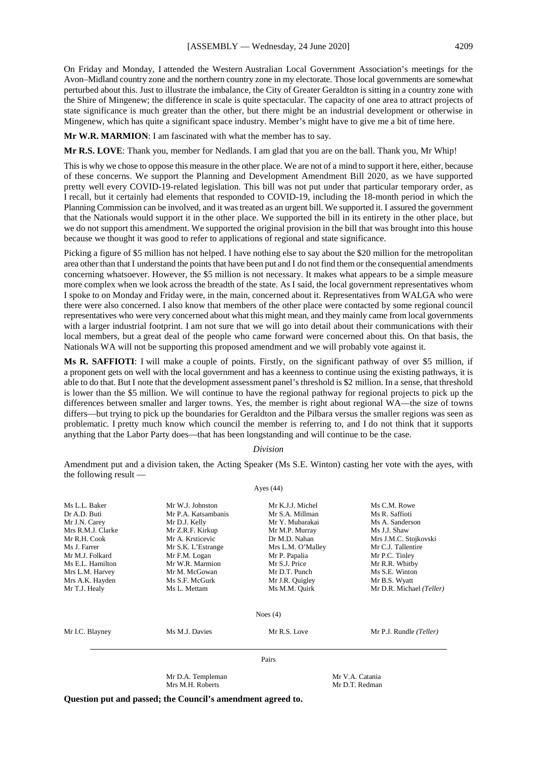On Friday and Monday, I attended the Western Australian Local Government Association's meetings for the Avon–Midland country zone and the northern country zone in my electorate. Those local governments are somewhat perturbed about this. Just to illustrate the imbalance, the City of Greater Geraldton is sitting in a country zone with the Shire of Mingenew; the difference in scale is quite spectacular. The capacity of one area to attract projects of state significance is much greater than the other, but there might be an industrial development or otherwise in Mingenew, which has quite a significant space industry. Member's might have to give me a bit of time here.

**Mr W.R. MARMION**: I am fascinated with what the member has to say.

**Mr R.S. LOVE**: Thank you, member for Nedlands. I am glad that you are on the ball. Thank you, Mr Whip!

This is why we chose to oppose this measure in the other place. We are not of a mind to support it here, either, because of these concerns. We support the Planning and Development Amendment Bill 2020, as we have supported pretty well every COVID-19-related legislation. This bill was not put under that particular temporary order, as I recall, but it certainly had elements that responded to COVID-19, including the 18-month period in which the Planning Commission can be involved, and it was treated as an urgent bill. We supported it. I assured the government that the Nationals would support it in the other place. We supported the bill in its entirety in the other place, but we do not support this amendment. We supported the original provision in the bill that was brought into this house because we thought it was good to refer to applications of regional and state significance.

Picking a figure of \$5 million has not helped. I have nothing else to say about the \$20 million for the metropolitan area other than that I understand the points that have been put and I do not find them or the consequential amendments concerning whatsoever. However, the \$5 million is not necessary. It makes what appears to be a simple measure more complex when we look across the breadth of the state. As I said, the local government representatives whom I spoke to on Monday and Friday were, in the main, concerned about it. Representatives from WALGA who were there were also concerned. I also know that members of the other place were contacted by some regional council representatives who were very concerned about what this might mean, and they mainly came from local governments with a larger industrial footprint. I am not sure that we will go into detail about their communications with their local members, but a great deal of the people who came forward were concerned about this. On that basis, the Nationals WA will not be supporting this proposed amendment and we will probably vote against it.

**Ms R. SAFFIOTI**: I will make a couple of points. Firstly, on the significant pathway of over \$5 million, if a proponent gets on well with the local government and has a keenness to continue using the existing pathways, it is able to do that. But I note that the development assessment panel's threshold is \$2 million. In a sense, that threshold is lower than the \$5 million. We will continue to have the regional pathway for regional projects to pick up the differences between smaller and larger towns. Yes, the member is right about regional WA—the size of towns differs—but trying to pick up the boundaries for Geraldton and the Pilbara versus the smaller regions was seen as problematic. I pretty much know which council the member is referring to, and I do not think that it supports anything that the Labor Party does—that has been longstanding and will continue to be the case.

#### *Division*

Amendment put and a division taken, the Acting Speaker (Ms S.E. Winton) casting her vote with the ayes, with the following result — Ayes (44)

|                   | Mr D.A. Templeman<br>Mrs M.H. Roberts | Mr V.A. Catania<br>Mr D.T. Redman |                          |
|-------------------|---------------------------------------|-----------------------------------|--------------------------|
|                   |                                       | Pairs                             |                          |
| Mr I.C. Blayney   | Ms M.J. Davies                        | Mr R.S. Love                      | Mr P.J. Rundle (Teller)  |
|                   |                                       | Noes $(4)$                        |                          |
| Mr T.J. Healy     | Ms L. Mettam                          | Ms M.M. Quirk                     | Mr D.R. Michael (Teller) |
| Mrs A.K. Hayden   | Ms S.F. McGurk                        | Mr J.R. Quigley                   | Mr B.S. Wyatt            |
| Mrs L.M. Harvey   | Mr M. McGowan                         | Mr D.T. Punch                     | Ms S.E. Winton           |
| Ms E.L. Hamilton  | Mr W.R. Marmion                       | Mr S.J. Price                     | Mr R.R. Whitby           |
| Mr M.J. Folkard   | Mr F.M. Logan                         | Mr P. Papalia                     | Mr P.C. Tinley           |
| Ms J. Farrer      | Mr S.K. L'Estrange                    | Mrs L.M. O'Malley                 | Mr C.J. Tallentire       |
| Mr R.H. Cook      | Mr A. Krsticevic                      | Dr M.D. Nahan                     | Mrs J.M.C. Stojkovski    |
| Mrs R.M.J. Clarke | Mr Z.R.F. Kirkup                      | Mr M.P. Murray                    | Ms J.J. Shaw             |
| Mr J.N. Carey     | Mr D.J. Kelly                         | Mr Y. Mubarakai                   | Ms A. Sanderson          |
| Dr A.D. Buti      | Mr P.A. Katsambanis                   | Mr S.A. Millman                   | Ms R. Saffioti           |
| Ms L.L. Baker     | Mr W.J. Johnston                      | Mr K.J.J. Michel                  | Ms C.M. Rowe             |

**Question put and passed; the Council's amendment agreed to.**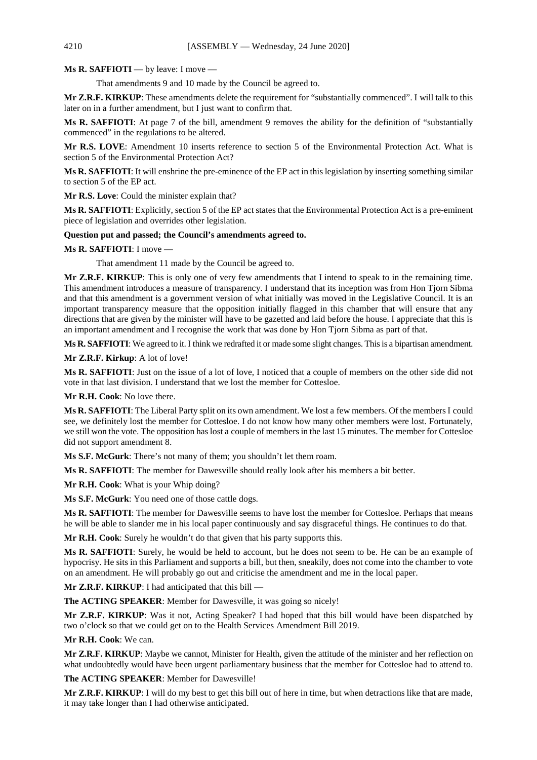**Ms R. SAFFIOTI** — by leave: I move —

That amendments 9 and 10 made by the Council be agreed to.

**Mr Z.R.F. KIRKUP**: These amendments delete the requirement for "substantially commenced". I will talk to this later on in a further amendment, but I just want to confirm that.

**Ms R. SAFFIOTI**: At page 7 of the bill, amendment 9 removes the ability for the definition of "substantially commenced" in the regulations to be altered.

**Mr R.S. LOVE**: Amendment 10 inserts reference to section 5 of the Environmental Protection Act. What is section 5 of the Environmental Protection Act?

**Ms R. SAFFIOTI**: It will enshrine the pre-eminence of the EP act in this legislation by inserting something similar to section 5 of the EP act.

**Mr R.S. Love**: Could the minister explain that?

**Ms R. SAFFIOTI**: Explicitly, section 5 of the EP act states that the Environmental Protection Act is a pre-eminent piece of legislation and overrides other legislation.

#### **Question put and passed; the Council's amendments agreed to.**

**Ms R. SAFFIOTI**: I move —

That amendment 11 made by the Council be agreed to.

**Mr Z.R.F. KIRKUP**: This is only one of very few amendments that I intend to speak to in the remaining time. This amendment introduces a measure of transparency. I understand that its inception was from Hon Tjorn Sibma and that this amendment is a government version of what initially was moved in the Legislative Council. It is an important transparency measure that the opposition initially flagged in this chamber that will ensure that any directions that are given by the minister will have to be gazetted and laid before the house. I appreciate that this is an important amendment and I recognise the work that was done by Hon Tjorn Sibma as part of that.

**Ms R. SAFFIOTI**: We agreed to it. I think we redrafted it or made some slight changes. This is a bipartisan amendment.

**Mr Z.R.F. Kirkup**: A lot of love!

**Ms R. SAFFIOTI**: Just on the issue of a lot of love, I noticed that a couple of members on the other side did not vote in that last division. I understand that we lost the member for Cottesloe.

**Mr R.H. Cook**: No love there.

**Ms R. SAFFIOTI:** The Liberal Party split on its own amendment. We lost a few members. Of the members I could see, we definitely lost the member for Cottesloe. I do not know how many other members were lost. Fortunately, we still won the vote. The opposition has lost a couple of members in the last 15 minutes. The member for Cottesloe did not support amendment 8.

**Ms S.F. McGurk**: There's not many of them; you shouldn't let them roam.

**Ms R. SAFFIOTI**: The member for Dawesville should really look after his members a bit better.

**Mr R.H. Cook**: What is your Whip doing?

**Ms S.F. McGurk**: You need one of those cattle dogs.

**Ms R. SAFFIOTI**: The member for Dawesville seems to have lost the member for Cottesloe. Perhaps that means he will be able to slander me in his local paper continuously and say disgraceful things. He continues to do that.

**Mr R.H. Cook**: Surely he wouldn't do that given that his party supports this.

**Ms R. SAFFIOTI:** Surely, he would be held to account, but he does not seem to be. He can be an example of hypocrisy. He sits in this Parliament and supports a bill, but then, sneakily, does not come into the chamber to vote on an amendment. He will probably go out and criticise the amendment and me in the local paper.

Mr Z.R.F. KIRKUP: I had anticipated that this bill

**The ACTING SPEAKER**: Member for Dawesville, it was going so nicely!

**Mr Z.R.F. KIRKUP**: Was it not, Acting Speaker? I had hoped that this bill would have been dispatched by two o'clock so that we could get on to the Health Services Amendment Bill 2019.

**Mr R.H. Cook**: We can.

**Mr Z.R.F. KIRKUP**: Maybe we cannot, Minister for Health, given the attitude of the minister and her reflection on what undoubtedly would have been urgent parliamentary business that the member for Cottesloe had to attend to.

**The ACTING SPEAKER**: Member for Dawesville!

**Mr Z.R.F. KIRKUP**: I will do my best to get this bill out of here in time, but when detractions like that are made, it may take longer than I had otherwise anticipated.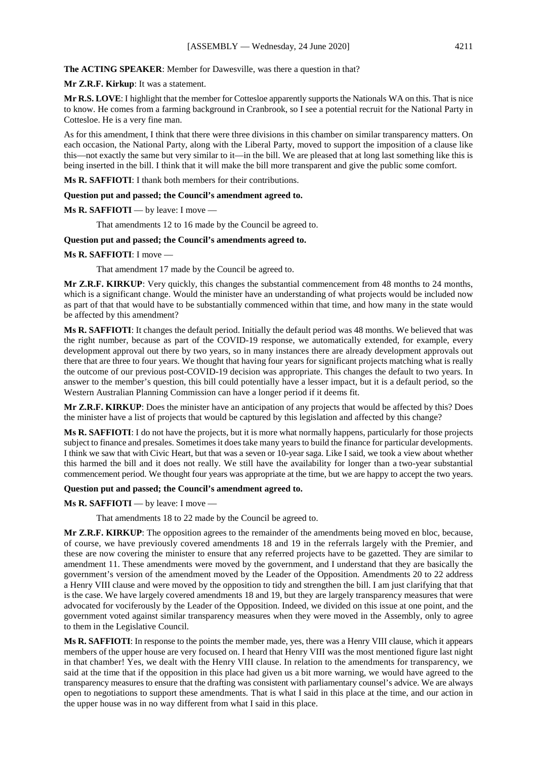**The ACTING SPEAKER**: Member for Dawesville, was there a question in that?

**Mr Z.R.F. Kirkup**: It was a statement.

**Mr R.S. LOVE**: I highlight that the member for Cottesloe apparently supports the Nationals WA on this. That is nice to know. He comes from a farming background in Cranbrook, so I see a potential recruit for the National Party in Cottesloe. He is a very fine man.

As for this amendment, I think that there were three divisions in this chamber on similar transparency matters. On each occasion, the National Party, along with the Liberal Party, moved to support the imposition of a clause like this—not exactly the same but very similar to it—in the bill. We are pleased that at long last something like this is being inserted in the bill. I think that it will make the bill more transparent and give the public some comfort.

**Ms R. SAFFIOTI**: I thank both members for their contributions.

#### **Question put and passed; the Council's amendment agreed to.**

**Ms R. SAFFIOTI** — by leave: I move —

That amendments 12 to 16 made by the Council be agreed to.

#### **Question put and passed; the Council's amendments agreed to.**

#### **Ms R. SAFFIOTI**: I move —

That amendment 17 made by the Council be agreed to.

**Mr Z.R.F. KIRKUP**: Very quickly, this changes the substantial commencement from 48 months to 24 months, which is a significant change. Would the minister have an understanding of what projects would be included now as part of that that would have to be substantially commenced within that time, and how many in the state would be affected by this amendment?

**Ms R. SAFFIOTI**: It changes the default period. Initially the default period was 48 months. We believed that was the right number, because as part of the COVID-19 response, we automatically extended, for example, every development approval out there by two years, so in many instances there are already development approvals out there that are three to four years. We thought that having four years for significant projects matching what is really the outcome of our previous post-COVID-19 decision was appropriate. This changes the default to two years. In answer to the member's question, this bill could potentially have a lesser impact, but it is a default period, so the Western Australian Planning Commission can have a longer period if it deems fit.

**Mr Z.R.F. KIRKUP**: Does the minister have an anticipation of any projects that would be affected by this? Does the minister have a list of projects that would be captured by this legislation and affected by this change?

**Ms R. SAFFIOTI**: I do not have the projects, but it is more what normally happens, particularly for those projects subject to finance and presales. Sometimes it does take many years to build the finance for particular developments. I think we saw that with Civic Heart, but that was a seven or 10-year saga. Like I said, we took a view about whether this harmed the bill and it does not really. We still have the availability for longer than a two-year substantial commencement period. We thought four years was appropriate at the time, but we are happy to accept the two years.

#### **Question put and passed; the Council's amendment agreed to.**

**Ms R. SAFFIOTI** — by leave: I move —

That amendments 18 to 22 made by the Council be agreed to.

**Mr Z.R.F. KIRKUP**: The opposition agrees to the remainder of the amendments being moved en bloc, because, of course, we have previously covered amendments 18 and 19 in the referrals largely with the Premier, and these are now covering the minister to ensure that any referred projects have to be gazetted. They are similar to amendment 11. These amendments were moved by the government, and I understand that they are basically the government's version of the amendment moved by the Leader of the Opposition. Amendments 20 to 22 address a Henry VIII clause and were moved by the opposition to tidy and strengthen the bill. I am just clarifying that that is the case. We have largely covered amendments 18 and 19, but they are largely transparency measures that were advocated for vociferously by the Leader of the Opposition. Indeed, we divided on this issue at one point, and the government voted against similar transparency measures when they were moved in the Assembly, only to agree to them in the Legislative Council.

**Ms R. SAFFIOTI**: In response to the points the member made, yes, there was a Henry VIII clause, which it appears members of the upper house are very focused on. I heard that Henry VIII was the most mentioned figure last night in that chamber! Yes, we dealt with the Henry VIII clause. In relation to the amendments for transparency, we said at the time that if the opposition in this place had given us a bit more warning, we would have agreed to the transparency measures to ensure that the drafting was consistent with parliamentary counsel's advice. We are always open to negotiations to support these amendments. That is what I said in this place at the time, and our action in the upper house was in no way different from what I said in this place.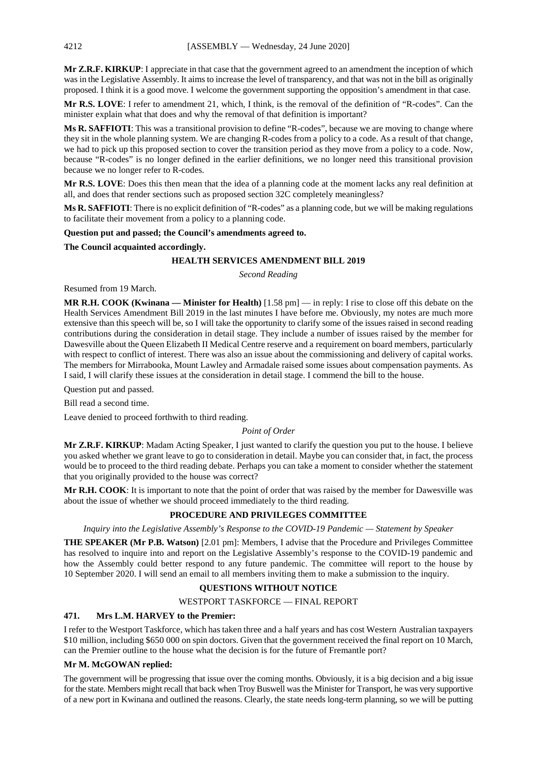**Mr Z.R.F. KIRKUP**: I appreciate in that case that the government agreed to an amendment the inception of which was in the Legislative Assembly. It aims to increase the level of transparency, and that was not in the bill as originally proposed. I think it is a good move. I welcome the government supporting the opposition's amendment in that case.

**Mr R.S. LOVE**: I refer to amendment 21, which, I think, is the removal of the definition of "R-codes". Can the minister explain what that does and why the removal of that definition is important?

**Ms R. SAFFIOTI**: This was a transitional provision to define "R-codes", because we are moving to change where they sit in the whole planning system. We are changing R-codes from a policy to a code. As a result of that change, we had to pick up this proposed section to cover the transition period as they move from a policy to a code. Now, because "R-codes" is no longer defined in the earlier definitions, we no longer need this transitional provision because we no longer refer to R-codes.

**Mr R.S. LOVE**: Does this then mean that the idea of a planning code at the moment lacks any real definition at all, and does that render sections such as proposed section 32C completely meaningless?

**Ms R. SAFFIOTI**: There is no explicit definition of "R-codes" as a planning code, but we will be making regulations to facilitate their movement from a policy to a planning code.

#### **Question put and passed; the Council's amendments agreed to.**

**The Council acquainted accordingly.**

## **HEALTH SERVICES AMENDMENT BILL 2019**

*Second Reading*

Resumed from 19 March.

**MR R.H. COOK (Kwinana — Minister for Health)** [1.58 pm] — in reply: I rise to close off this debate on the Health Services Amendment Bill 2019 in the last minutes I have before me. Obviously, my notes are much more extensive than this speech will be, so I will take the opportunity to clarify some of the issues raised in second reading contributions during the consideration in detail stage. They include a number of issues raised by the member for Dawesville about the Queen Elizabeth II Medical Centre reserve and a requirement on board members, particularly with respect to conflict of interest. There was also an issue about the commissioning and delivery of capital works. The members for Mirrabooka, Mount Lawley and Armadale raised some issues about compensation payments. As I said, I will clarify these issues at the consideration in detail stage. I commend the bill to the house.

Question put and passed.

Bill read a second time.

Leave denied to proceed forthwith to third reading.

## *Point of Order*

**Mr Z.R.F. KIRKUP**: Madam Acting Speaker, I just wanted to clarify the question you put to the house. I believe you asked whether we grant leave to go to consideration in detail. Maybe you can consider that, in fact, the process would be to proceed to the third reading debate. Perhaps you can take a moment to consider whether the statement that you originally provided to the house was correct?

**Mr R.H. COOK**: It is important to note that the point of order that was raised by the member for Dawesville was about the issue of whether we should proceed immediately to the third reading.

## **PROCEDURE AND PRIVILEGES COMMITTEE**

*Inquiry into the Legislative Assembly's Response to the COVID-19 Pandemic — Statement by Speaker*

**THE SPEAKER (Mr P.B. Watson)** [2.01 pm]: Members, I advise that the Procedure and Privileges Committee has resolved to inquire into and report on the Legislative Assembly's response to the COVID-19 pandemic and how the Assembly could better respond to any future pandemic. The committee will report to the house by 10 September 2020. I will send an email to all members inviting them to make a submission to the inquiry.

## **QUESTIONS WITHOUT NOTICE**

WESTPORT TASKFORCE — FINAL REPORT

## **471. Mrs L.M. HARVEY to the Premier:**

I refer to the Westport Taskforce, which has taken three and a half years and has cost Western Australian taxpayers \$10 million, including \$650 000 on spin doctors. Given that the government received the final report on 10 March, can the Premier outline to the house what the decision is for the future of Fremantle port?

## **Mr M. McGOWAN replied:**

The government will be progressing that issue over the coming months. Obviously, it is a big decision and a big issue for the state. Members might recall that back when Troy Buswell was the Minister for Transport, he was very supportive of a new port in Kwinana and outlined the reasons. Clearly, the state needs long-term planning, so we will be putting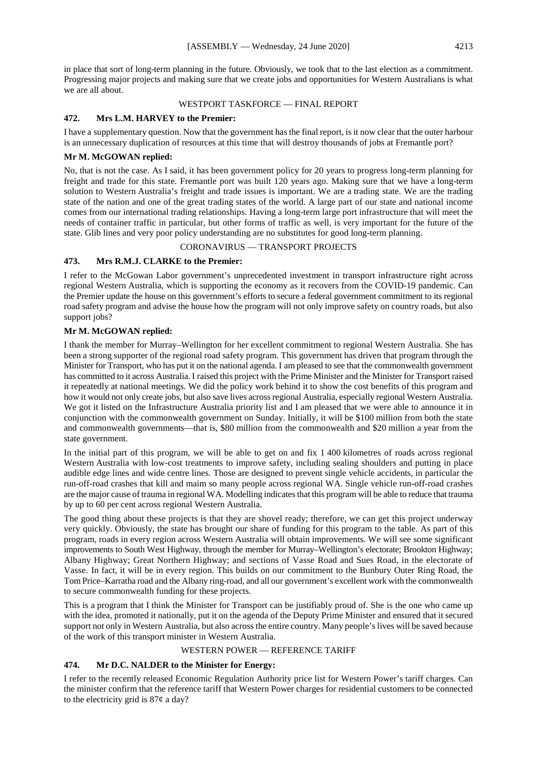in place that sort of long-term planning in the future. Obviously, we took that to the last election as a commitment. Progressing major projects and making sure that we create jobs and opportunities for Western Australians is what we are all about.

#### WESTPORT TASKFORCE — FINAL REPORT

## **472. Mrs L.M. HARVEY to the Premier:**

I have a supplementary question. Now that the government has the final report, is it now clear that the outer harbour is an unnecessary duplication of resources at this time that will destroy thousands of jobs at Fremantle port?

## **Mr M. McGOWAN replied:**

No, that is not the case. As I said, it has been government policy for 20 years to progress long-term planning for freight and trade for this state. Fremantle port was built 120 years ago. Making sure that we have a long-term solution to Western Australia's freight and trade issues is important. We are a trading state. We are the trading state of the nation and one of the great trading states of the world. A large part of our state and national income comes from our international trading relationships. Having a long-term large port infrastructure that will meet the needs of container traffic in particular, but other forms of traffic as well, is very important for the future of the state. Glib lines and very poor policy understanding are no substitutes for good long-term planning.

## CORONAVIRUS — TRANSPORT PROJECTS

## **473. Mrs R.M.J. CLARKE to the Premier:**

I refer to the McGowan Labor government's unprecedented investment in transport infrastructure right across regional Western Australia, which is supporting the economy as it recovers from the COVID-19 pandemic. Can the Premier update the house on this government's efforts to secure a federal government commitment to its regional road safety program and advise the house how the program will not only improve safety on country roads, but also support jobs?

## **Mr M. McGOWAN replied:**

I thank the member for Murray–Wellington for her excellent commitment to regional Western Australia. She has been a strong supporter of the regional road safety program. This government has driven that program through the Minister for Transport, who has put it on the national agenda. I am pleased to see that the commonwealth government has committed to it across Australia. I raised this project with the Prime Minister and the Minister for Transport raised it repeatedly at national meetings. We did the policy work behind it to show the cost benefits of this program and how it would not only create jobs, but also save lives across regional Australia, especially regional Western Australia. We got it listed on the Infrastructure Australia priority list and I am pleased that we were able to announce it in conjunction with the commonwealth government on Sunday. Initially, it will be \$100 million from both the state and commonwealth governments—that is, \$80 million from the commonwealth and \$20 million a year from the state government.

In the initial part of this program, we will be able to get on and fix 1 400 kilometres of roads across regional Western Australia with low-cost treatments to improve safety, including sealing shoulders and putting in place audible edge lines and wide centre lines. Those are designed to prevent single vehicle accidents, in particular the run-off-road crashes that kill and maim so many people across regional WA. Single vehicle run-off-road crashes are the major cause of trauma in regional WA. Modelling indicates that this program will be able to reduce that trauma by up to 60 per cent across regional Western Australia.

The good thing about these projects is that they are shovel ready; therefore, we can get this project underway very quickly. Obviously, the state has brought our share of funding for this program to the table. As part of this program, roads in every region across Western Australia will obtain improvements. We will see some significant improvements to South West Highway, through the member for Murray–Wellington's electorate; Brookton Highway; Albany Highway; Great Northern Highway; and sections of Vasse Road and Sues Road, in the electorate of Vasse. In fact, it will be in every region. This builds on our commitment to the Bunbury Outer Ring Road, the Tom Price–Karratha road and the Albany ring-road, and all our government's excellent work with the commonwealth to secure commonwealth funding for these projects.

This is a program that I think the Minister for Transport can be justifiably proud of. She is the one who came up with the idea, promoted it nationally, put it on the agenda of the Deputy Prime Minister and ensured that it secured support not only in Western Australia, but also across the entire country. Many people's lives will be saved because of the work of this transport minister in Western Australia.

## WESTERN POWER — REFERENCE TARIFF

## **474. Mr D.C. NALDER to the Minister for Energy:**

I refer to the recently released Economic Regulation Authority price list for Western Power's tariff charges. Can the minister confirm that the reference tariff that Western Power charges for residential customers to be connected to the electricity grid is  $87¢$  a day?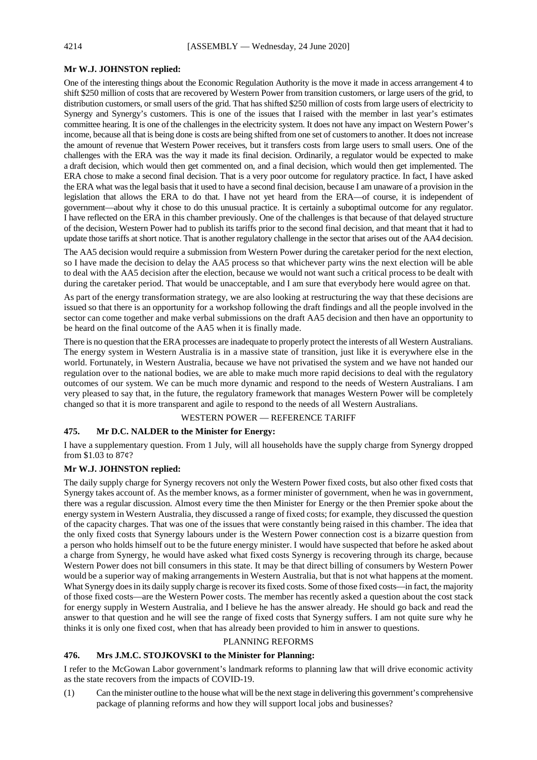## **Mr W.J. JOHNSTON replied:**

One of the interesting things about the Economic Regulation Authority is the move it made in access arrangement 4 to shift \$250 million of costs that are recovered by Western Power from transition customers, or large users of the grid, to distribution customers, or small users of the grid. That has shifted \$250 million of costs from large users of electricity to Synergy and Synergy's customers. This is one of the issues that I raised with the member in last year's estimates committee hearing. It is one of the challenges in the electricity system. It does not have any impact on Western Power's income, because all that is being done is costs are being shifted from one set of customers to another. It does not increase the amount of revenue that Western Power receives, but it transfers costs from large users to small users. One of the challenges with the ERA was the way it made its final decision. Ordinarily, a regulator would be expected to make a draft decision, which would then get commented on, and a final decision, which would then get implemented. The ERA chose to make a second final decision. That is a very poor outcome for regulatory practice. In fact, I have asked the ERA what was the legal basis that it used to have a second final decision, because I am unaware of a provision in the legislation that allows the ERA to do that. I have not yet heard from the ERA—of course, it is independent of government—about why it chose to do this unusual practice. It is certainly a suboptimal outcome for any regulator. I have reflected on the ERA in this chamber previously. One of the challenges is that because of that delayed structure of the decision, Western Power had to publish its tariffs prior to the second final decision, and that meant that it had to update those tariffs at short notice. That is another regulatory challenge in the sector that arises out of the AA4 decision.

The AA5 decision would require a submission from Western Power during the caretaker period for the next election, so I have made the decision to delay the AA5 process so that whichever party wins the next election will be able to deal with the AA5 decision after the election, because we would not want such a critical process to be dealt with during the caretaker period. That would be unacceptable, and I am sure that everybody here would agree on that.

As part of the energy transformation strategy, we are also looking at restructuring the way that these decisions are issued so that there is an opportunity for a workshop following the draft findings and all the people involved in the sector can come together and make verbal submissions on the draft AA5 decision and then have an opportunity to be heard on the final outcome of the AA5 when it is finally made.

There is no question that the ERA processes are inadequate to properly protect the interests of all Western Australians. The energy system in Western Australia is in a massive state of transition, just like it is everywhere else in the world. Fortunately, in Western Australia, because we have not privatised the system and we have not handed our regulation over to the national bodies, we are able to make much more rapid decisions to deal with the regulatory outcomes of our system. We can be much more dynamic and respond to the needs of Western Australians. I am very pleased to say that, in the future, the regulatory framework that manages Western Power will be completely changed so that it is more transparent and agile to respond to the needs of all Western Australians.

#### WESTERN POWER — REFERENCE TARIFF

## **475. Mr D.C. NALDER to the Minister for Energy:**

I have a supplementary question. From 1 July, will all households have the supply charge from Synergy dropped from \$1.03 to 87¢?

#### **Mr W.J. JOHNSTON replied:**

The daily supply charge for Synergy recovers not only the Western Power fixed costs, but also other fixed costs that Synergy takes account of. As the member knows, as a former minister of government, when he was in government, there was a regular discussion. Almost every time the then Minister for Energy or the then Premier spoke about the energy system in Western Australia, they discussed a range of fixed costs; for example, they discussed the question of the capacity charges. That was one of the issues that were constantly being raised in this chamber. The idea that the only fixed costs that Synergy labours under is the Western Power connection cost is a bizarre question from a person who holds himself out to be the future energy minister. I would have suspected that before he asked about a charge from Synergy, he would have asked what fixed costs Synergy is recovering through its charge, because Western Power does not bill consumers in this state. It may be that direct billing of consumers by Western Power would be a superior way of making arrangements in Western Australia, but that is not what happens at the moment. What Synergy does in its daily supply charge is recover its fixed costs. Some of those fixed costs—in fact, the majority of those fixed costs—are the Western Power costs. The member has recently asked a question about the cost stack for energy supply in Western Australia, and I believe he has the answer already. He should go back and read the answer to that question and he will see the range of fixed costs that Synergy suffers. I am not quite sure why he thinks it is only one fixed cost, when that has already been provided to him in answer to questions.

## PLANNING REFORMS

## **476. Mrs J.M.C. STOJKOVSKI to the Minister for Planning:**

I refer to the McGowan Labor government's landmark reforms to planning law that will drive economic activity as the state recovers from the impacts of COVID-19.

(1) Can the minister outline to the house what will be the next stage in delivering this government's comprehensive package of planning reforms and how they will support local jobs and businesses?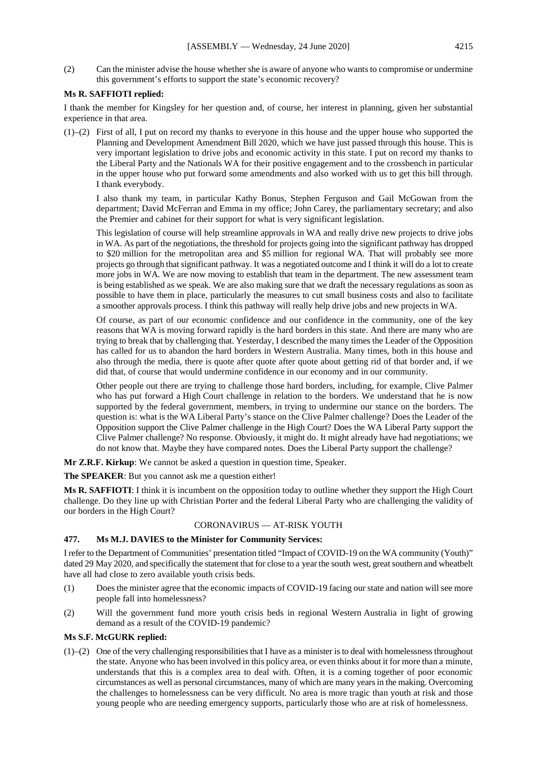(2) Can the minister advise the house whether she is aware of anyone who wants to compromise or undermine this government's efforts to support the state's economic recovery?

## **Ms R. SAFFIOTI replied:**

I thank the member for Kingsley for her question and, of course, her interest in planning, given her substantial experience in that area.

(1)–(2) First of all, I put on record my thanks to everyone in this house and the upper house who supported the Planning and Development Amendment Bill 2020, which we have just passed through this house. This is very important legislation to drive jobs and economic activity in this state. I put on record my thanks to the Liberal Party and the Nationals WA for their positive engagement and to the crossbench in particular in the upper house who put forward some amendments and also worked with us to get this bill through. I thank everybody.

I also thank my team, in particular Kathy Bonus, Stephen Ferguson and Gail McGowan from the department; David McFerran and Emma in my office; John Carey, the parliamentary secretary; and also the Premier and cabinet for their support for what is very significant legislation.

This legislation of course will help streamline approvals in WA and really drive new projects to drive jobs in WA. As part of the negotiations, the threshold for projects going into the significant pathway has dropped to \$20 million for the metropolitan area and \$5 million for regional WA. That will probably see more projects go through that significant pathway. It was a negotiated outcome and I think it will do a lot to create more jobs in WA. We are now moving to establish that team in the department. The new assessment team is being established as we speak. We are also making sure that we draft the necessary regulations as soon as possible to have them in place, particularly the measures to cut small business costs and also to facilitate a smoother approvals process. I think this pathway will really help drive jobs and new projects in WA.

Of course, as part of our economic confidence and our confidence in the community, one of the key reasons that WA is moving forward rapidly is the hard borders in this state. And there are many who are trying to break that by challenging that. Yesterday, I described the many times the Leader of the Opposition has called for us to abandon the hard borders in Western Australia. Many times, both in this house and also through the media, there is quote after quote after quote about getting rid of that border and, if we did that, of course that would undermine confidence in our economy and in our community.

Other people out there are trying to challenge those hard borders, including, for example, Clive Palmer who has put forward a High Court challenge in relation to the borders. We understand that he is now supported by the federal government, members, in trying to undermine our stance on the borders. The question is: what is the WA Liberal Party's stance on the Clive Palmer challenge? Does the Leader of the Opposition support the Clive Palmer challenge in the High Court? Does the WA Liberal Party support the Clive Palmer challenge? No response. Obviously, it might do. It might already have had negotiations; we do not know that. Maybe they have compared notes. Does the Liberal Party support the challenge?

**Mr Z.R.F. Kirkup**: We cannot be asked a question in question time, Speaker.

**The SPEAKER**: But you cannot ask me a question either!

**Ms R. SAFFIOTI**: I think it is incumbent on the opposition today to outline whether they support the High Court challenge. Do they line up with Christian Porter and the federal Liberal Party who are challenging the validity of our borders in the High Court?

#### CORONAVIRUS — AT-RISK YOUTH

## **477. Ms M.J. DAVIES to the Minister for Community Services:**

I refer to the Department of Communities' presentation titled "Impact of COVID-19 on the WA community (Youth)" dated 29 May 2020, and specifically the statement that for close to a year the south west, great southern and wheatbelt have all had close to zero available youth crisis beds.

- (1) Does the minister agree that the economic impacts of COVID-19 facing our state and nation will see more people fall into homelessness?
- (2) Will the government fund more youth crisis beds in regional Western Australia in light of growing demand as a result of the COVID-19 pandemic?

## **Ms S.F. McGURK replied:**

 $(1)$ – $(2)$  One of the very challenging responsibilities that I have as a minister is to deal with homelessness throughout the state. Anyone who has been involved in this policy area, or even thinks about it for more than a minute, understands that this is a complex area to deal with. Often, it is a coming together of poor economic circumstances as well as personal circumstances, many of which are many years in the making. Overcoming the challenges to homelessness can be very difficult. No area is more tragic than youth at risk and those young people who are needing emergency supports, particularly those who are at risk of homelessness.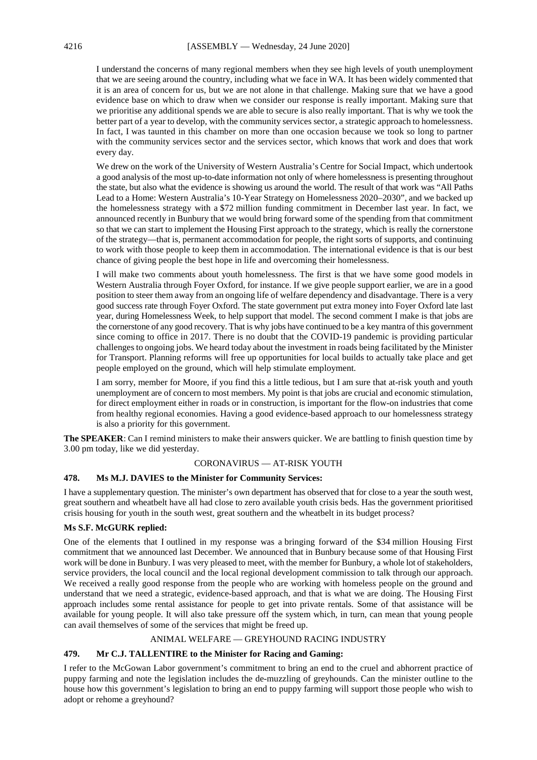I understand the concerns of many regional members when they see high levels of youth unemployment that we are seeing around the country, including what we face in WA. It has been widely commented that it is an area of concern for us, but we are not alone in that challenge. Making sure that we have a good evidence base on which to draw when we consider our response is really important. Making sure that we prioritise any additional spends we are able to secure is also really important. That is why we took the better part of a year to develop, with the community services sector, a strategic approach to homelessness. In fact, I was taunted in this chamber on more than one occasion because we took so long to partner with the community services sector and the services sector, which knows that work and does that work every day.

We drew on the work of the University of Western Australia's Centre for Social Impact, which undertook a good analysis of the most up-to-date information not only of where homelessness is presenting throughout the state, but also what the evidence is showing us around the world. The result of that work was "All Paths Lead to a Home: Western Australia's 10-Year Strategy on Homelessness 2020–2030", and we backed up the homelessness strategy with a \$72 million funding commitment in December last year. In fact, we announced recently in Bunbury that we would bring forward some of the spending from that commitment so that we can start to implement the Housing First approach to the strategy, which is really the cornerstone of the strategy—that is, permanent accommodation for people, the right sorts of supports, and continuing to work with those people to keep them in accommodation. The international evidence is that is our best chance of giving people the best hope in life and overcoming their homelessness.

I will make two comments about youth homelessness. The first is that we have some good models in Western Australia through Foyer Oxford, for instance. If we give people support earlier, we are in a good position to steer them away from an ongoing life of welfare dependency and disadvantage. There is a very good success rate through Foyer Oxford. The state government put extra money into Foyer Oxford late last year, during Homelessness Week, to help support that model. The second comment I make is that jobs are the cornerstone of any good recovery. That is why jobs have continued to be a key mantra of this government since coming to office in 2017. There is no doubt that the COVID-19 pandemic is providing particular challenges to ongoing jobs. We heard today about the investment in roads being facilitated by the Minister for Transport. Planning reforms will free up opportunities for local builds to actually take place and get people employed on the ground, which will help stimulate employment.

I am sorry, member for Moore, if you find this a little tedious, but I am sure that at-risk youth and youth unemployment are of concern to most members. My point is that jobs are crucial and economic stimulation, for direct employment either in roads or in construction, is important for the flow-on industries that come from healthy regional economies. Having a good evidence-based approach to our homelessness strategy is also a priority for this government.

**The SPEAKER**: Can I remind ministers to make their answers quicker. We are battling to finish question time by 3.00 pm today, like we did yesterday.

## CORONAVIRUS — AT-RISK YOUTH

#### **478. Ms M.J. DAVIES to the Minister for Community Services:**

I have a supplementary question. The minister's own department has observed that for close to a year the south west, great southern and wheatbelt have all had close to zero available youth crisis beds. Has the government prioritised crisis housing for youth in the south west, great southern and the wheatbelt in its budget process?

## **Ms S.F. McGURK replied:**

One of the elements that I outlined in my response was a bringing forward of the \$34 million Housing First commitment that we announced last December. We announced that in Bunbury because some of that Housing First work will be done in Bunbury. I was very pleased to meet, with the member for Bunbury, a whole lot of stakeholders, service providers, the local council and the local regional development commission to talk through our approach. We received a really good response from the people who are working with homeless people on the ground and understand that we need a strategic, evidence-based approach, and that is what we are doing. The Housing First approach includes some rental assistance for people to get into private rentals. Some of that assistance will be available for young people. It will also take pressure off the system which, in turn, can mean that young people can avail themselves of some of the services that might be freed up.

## ANIMAL WELFARE — GREYHOUND RACING INDUSTRY

## **479. Mr C.J. TALLENTIRE to the Minister for Racing and Gaming:**

I refer to the McGowan Labor government's commitment to bring an end to the cruel and abhorrent practice of puppy farming and note the legislation includes the de-muzzling of greyhounds. Can the minister outline to the house how this government's legislation to bring an end to puppy farming will support those people who wish to adopt or rehome a greyhound?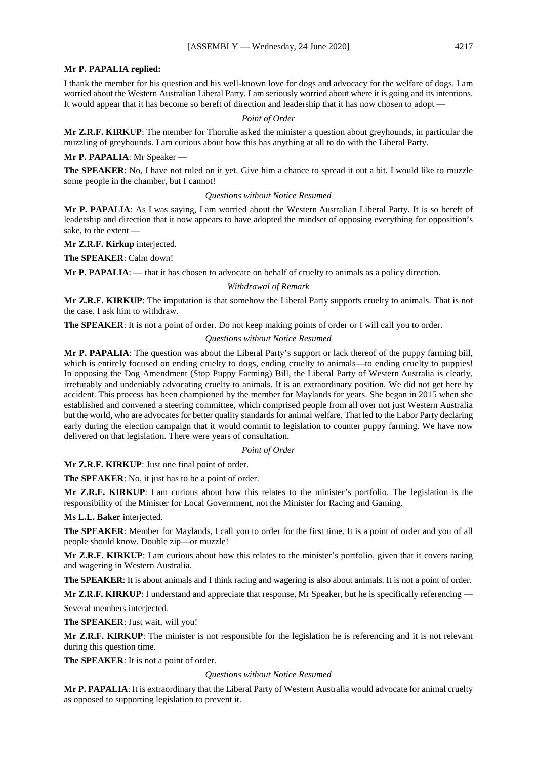#### **Mr P. PAPALIA replied:**

I thank the member for his question and his well-known love for dogs and advocacy for the welfare of dogs. I am worried about the Western Australian Liberal Party. I am seriously worried about where it is going and its intentions. It would appear that it has become so bereft of direction and leadership that it has now chosen to adopt —

#### *Point of Order*

**Mr Z.R.F. KIRKUP**: The member for Thornlie asked the minister a question about greyhounds, in particular the muzzling of greyhounds. I am curious about how this has anything at all to do with the Liberal Party.

#### **Mr P. PAPALIA**: Mr Speaker —

**The SPEAKER**: No, I have not ruled on it yet. Give him a chance to spread it out a bit. I would like to muzzle some people in the chamber, but I cannot!

#### *Questions without Notice Resumed*

**Mr P. PAPALIA**: As I was saying, I am worried about the Western Australian Liberal Party. It is so bereft of leadership and direction that it now appears to have adopted the mindset of opposing everything for opposition's sake, to the extent —

**Mr Z.R.F. Kirkup** interjected.

**The SPEAKER**: Calm down!

**Mr P. PAPALIA**: — that it has chosen to advocate on behalf of cruelty to animals as a policy direction.

## *Withdrawal of Remark*

**Mr Z.R.F. KIRKUP**: The imputation is that somehow the Liberal Party supports cruelty to animals. That is not the case. I ask him to withdraw.

**The SPEAKER:** It is not a point of order. Do not keep making points of order or I will call you to order.

#### *Questions without Notice Resumed*

**Mr P. PAPALIA**: The question was about the Liberal Party's support or lack thereof of the puppy farming bill, which is entirely focused on ending cruelty to dogs, ending cruelty to animals—to ending cruelty to puppies! In opposing the Dog Amendment (Stop Puppy Farming) Bill, the Liberal Party of Western Australia is clearly, irrefutably and undeniably advocating cruelty to animals. It is an extraordinary position. We did not get here by accident. This process has been championed by the member for Maylands for years. She began in 2015 when she established and convened a steering committee, which comprised people from all over not just Western Australia but the world, who are advocates for better quality standards for animal welfare. That led to the Labor Party declaring early during the election campaign that it would commit to legislation to counter puppy farming. We have now delivered on that legislation. There were years of consultation.

#### *Point of Order*

**Mr Z.R.F. KIRKUP**: Just one final point of order.

**The SPEAKER**: No, it just has to be a point of order.

**Mr Z.R.F. KIRKUP**: I am curious about how this relates to the minister's portfolio. The legislation is the responsibility of the Minister for Local Government, not the Minister for Racing and Gaming.

**Ms L.L. Baker** interjected.

**The SPEAKER**: Member for Maylands, I call you to order for the first time. It is a point of order and you of all people should know. Double zip—or muzzle!

**Mr Z.R.F. KIRKUP**: I am curious about how this relates to the minister's portfolio, given that it covers racing and wagering in Western Australia.

**The SPEAKER**: It is about animals and I think racing and wagering is also about animals. It is not a point of order.

**Mr Z.R.F. KIRKUP**: I understand and appreciate that response, Mr Speaker, but he is specifically referencing —

Several members interjected.

**The SPEAKER**: Just wait, will you!

**Mr Z.R.F. KIRKUP**: The minister is not responsible for the legislation he is referencing and it is not relevant during this question time.

**The SPEAKER**: It is not a point of order.

#### *Questions without Notice Resumed*

**Mr P. PAPALIA**: It is extraordinary that the Liberal Party of Western Australia would advocate for animal cruelty as opposed to supporting legislation to prevent it.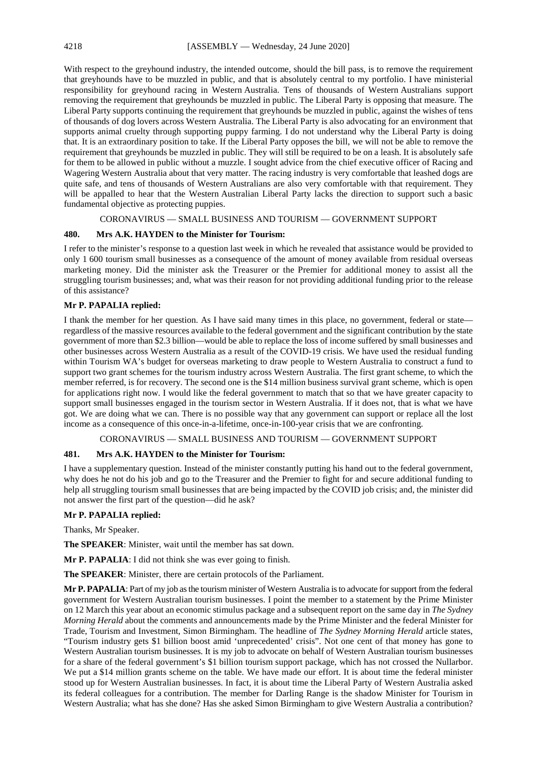With respect to the greyhound industry, the intended outcome, should the bill pass, is to remove the requirement that greyhounds have to be muzzled in public, and that is absolutely central to my portfolio. I have ministerial responsibility for greyhound racing in Western Australia. Tens of thousands of Western Australians support removing the requirement that greyhounds be muzzled in public. The Liberal Party is opposing that measure. The Liberal Party supports continuing the requirement that greyhounds be muzzled in public, against the wishes of tens of thousands of dog lovers across Western Australia. The Liberal Party is also advocating for an environment that supports animal cruelty through supporting puppy farming. I do not understand why the Liberal Party is doing that. It is an extraordinary position to take. If the Liberal Party opposes the bill, we will not be able to remove the requirement that greyhounds be muzzled in public. They will still be required to be on a leash. It is absolutely safe for them to be allowed in public without a muzzle. I sought advice from the chief executive officer of Racing and Wagering Western Australia about that very matter. The racing industry is very comfortable that leashed dogs are quite safe, and tens of thousands of Western Australians are also very comfortable with that requirement. They will be appalled to hear that the Western Australian Liberal Party lacks the direction to support such a basic fundamental objective as protecting puppies.

## CORONAVIRUS — SMALL BUSINESS AND TOURISM — GOVERNMENT SUPPORT

### **480. Mrs A.K. HAYDEN to the Minister for Tourism:**

I refer to the minister's response to a question last week in which he revealed that assistance would be provided to only 1 600 tourism small businesses as a consequence of the amount of money available from residual overseas marketing money. Did the minister ask the Treasurer or the Premier for additional money to assist all the struggling tourism businesses; and, what was their reason for not providing additional funding prior to the release of this assistance?

#### **Mr P. PAPALIA replied:**

I thank the member for her question. As I have said many times in this place, no government, federal or state regardless of the massive resources available to the federal government and the significant contribution by the state government of more than \$2.3 billion—would be able to replace the loss of income suffered by small businesses and other businesses across Western Australia as a result of the COVID-19 crisis. We have used the residual funding within Tourism WA's budget for overseas marketing to draw people to Western Australia to construct a fund to support two grant schemes for the tourism industry across Western Australia. The first grant scheme, to which the member referred, is for recovery. The second one is the \$14 million business survival grant scheme, which is open for applications right now. I would like the federal government to match that so that we have greater capacity to support small businesses engaged in the tourism sector in Western Australia. If it does not, that is what we have got. We are doing what we can. There is no possible way that any government can support or replace all the lost income as a consequence of this once-in-a-lifetime, once-in-100-year crisis that we are confronting.

## CORONAVIRUS — SMALL BUSINESS AND TOURISM — GOVERNMENT SUPPORT

#### **481. Mrs A.K. HAYDEN to the Minister for Tourism:**

I have a supplementary question. Instead of the minister constantly putting his hand out to the federal government, why does he not do his job and go to the Treasurer and the Premier to fight for and secure additional funding to help all struggling tourism small businesses that are being impacted by the COVID job crisis; and, the minister did not answer the first part of the question—did he ask?

#### **Mr P. PAPALIA replied:**

Thanks, Mr Speaker.

**The SPEAKER**: Minister, wait until the member has sat down.

**Mr P. PAPALIA**: I did not think she was ever going to finish.

**The SPEAKER**: Minister, there are certain protocols of the Parliament.

**Mr P. PAPALIA**: Part of my job as the tourism minister of Western Australia is to advocate for support from the federal government for Western Australian tourism businesses. I point the member to a statement by the Prime Minister on 12 March this year about an economic stimulus package and a subsequent report on the same day in *The Sydney Morning Herald* about the comments and announcements made by the Prime Minister and the federal Minister for Trade, Tourism and Investment, Simon Birmingham. The headline of *The Sydney Morning Herald* article states, "Tourism industry gets \$1 billion boost amid 'unprecedented' crisis". Not one cent of that money has gone to Western Australian tourism businesses. It is my job to advocate on behalf of Western Australian tourism businesses for a share of the federal government's \$1 billion tourism support package, which has not crossed the Nullarbor. We put a \$14 million grants scheme on the table. We have made our effort. It is about time the federal minister stood up for Western Australian businesses. In fact, it is about time the Liberal Party of Western Australia asked its federal colleagues for a contribution. The member for Darling Range is the shadow Minister for Tourism in Western Australia; what has she done? Has she asked Simon Birmingham to give Western Australia a contribution?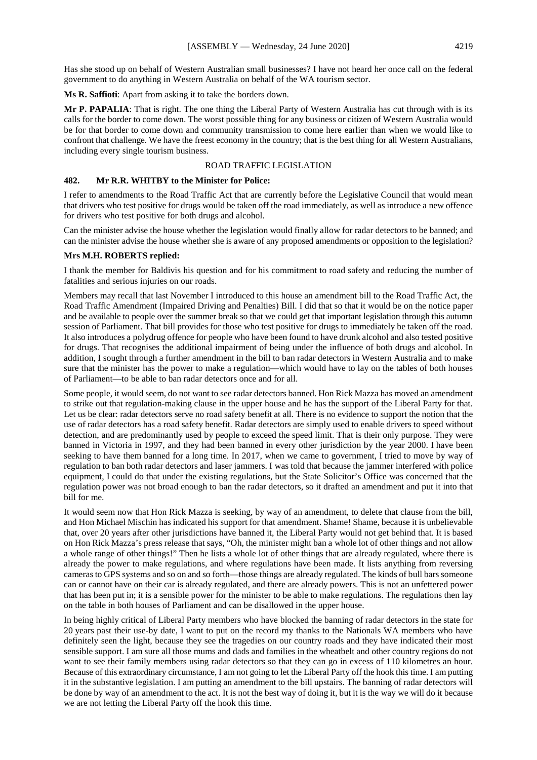Has she stood up on behalf of Western Australian small businesses? I have not heard her once call on the federal government to do anything in Western Australia on behalf of the WA tourism sector.

**Ms R. Saffioti**: Apart from asking it to take the borders down.

**Mr P. PAPALIA**: That is right. The one thing the Liberal Party of Western Australia has cut through with is its calls for the border to come down. The worst possible thing for any business or citizen of Western Australia would be for that border to come down and community transmission to come here earlier than when we would like to confront that challenge. We have the freest economy in the country; that is the best thing for all Western Australians, including every single tourism business.

## ROAD TRAFFIC LEGISLATION

#### **482. Mr R.R. WHITBY to the Minister for Police:**

I refer to amendments to the Road Traffic Act that are currently before the Legislative Council that would mean that drivers who test positive for drugs would be taken off the road immediately, as well as introduce a new offence for drivers who test positive for both drugs and alcohol.

Can the minister advise the house whether the legislation would finally allow for radar detectors to be banned; and can the minister advise the house whether she is aware of any proposed amendments or opposition to the legislation?

#### **Mrs M.H. ROBERTS replied:**

I thank the member for Baldivis his question and for his commitment to road safety and reducing the number of fatalities and serious injuries on our roads.

Members may recall that last November I introduced to this house an amendment bill to the Road Traffic Act, the Road Traffic Amendment (Impaired Driving and Penalties) Bill. I did that so that it would be on the notice paper and be available to people over the summer break so that we could get that important legislation through this autumn session of Parliament. That bill provides for those who test positive for drugs to immediately be taken off the road. It also introduces a polydrug offence for people who have been found to have drunk alcohol and also tested positive for drugs. That recognises the additional impairment of being under the influence of both drugs and alcohol. In addition, I sought through a further amendment in the bill to ban radar detectors in Western Australia and to make sure that the minister has the power to make a regulation—which would have to lay on the tables of both houses of Parliament—to be able to ban radar detectors once and for all.

Some people, it would seem, do not want to see radar detectors banned. Hon Rick Mazza has moved an amendment to strike out that regulation-making clause in the upper house and he has the support of the Liberal Party for that. Let us be clear: radar detectors serve no road safety benefit at all. There is no evidence to support the notion that the use of radar detectors has a road safety benefit. Radar detectors are simply used to enable drivers to speed without detection, and are predominantly used by people to exceed the speed limit. That is their only purpose. They were banned in Victoria in 1997, and they had been banned in every other jurisdiction by the year 2000. I have been seeking to have them banned for a long time. In 2017, when we came to government, I tried to move by way of regulation to ban both radar detectors and laser jammers. I was told that because the jammer interfered with police equipment, I could do that under the existing regulations, but the State Solicitor's Office was concerned that the regulation power was not broad enough to ban the radar detectors, so it drafted an amendment and put it into that bill for me.

It would seem now that Hon Rick Mazza is seeking, by way of an amendment, to delete that clause from the bill, and Hon Michael Mischin has indicated his support for that amendment. Shame! Shame, because it is unbelievable that, over 20 years after other jurisdictions have banned it, the Liberal Party would not get behind that. It is based on Hon Rick Mazza's press release that says, "Oh, the minister might ban a whole lot of other things and not allow a whole range of other things!" Then he lists a whole lot of other things that are already regulated, where there is already the power to make regulations, and where regulations have been made. It lists anything from reversing cameras to GPS systems and so on and so forth—those things are already regulated. The kinds of bull bars someone can or cannot have on their car is already regulated, and there are already powers. This is not an unfettered power that has been put in; it is a sensible power for the minister to be able to make regulations. The regulations then lay on the table in both houses of Parliament and can be disallowed in the upper house.

In being highly critical of Liberal Party members who have blocked the banning of radar detectors in the state for 20 years past their use-by date, I want to put on the record my thanks to the Nationals WA members who have definitely seen the light, because they see the tragedies on our country roads and they have indicated their most sensible support. I am sure all those mums and dads and families in the wheatbelt and other country regions do not want to see their family members using radar detectors so that they can go in excess of 110 kilometres an hour. Because of this extraordinary circumstance, I am not going to let the Liberal Party off the hook this time. I am putting it in the substantive legislation. I am putting an amendment to the bill upstairs. The banning of radar detectors will be done by way of an amendment to the act. It is not the best way of doing it, but it is the way we will do it because we are not letting the Liberal Party off the hook this time.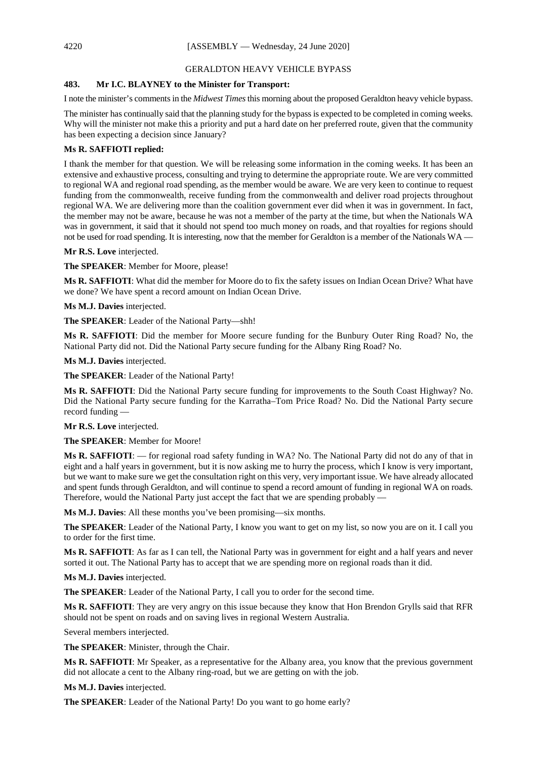#### GERALDTON HEAVY VEHICLE BYPASS

## **483. Mr I.C. BLAYNEY to the Minister for Transport:**

I note the minister's comments in the *Midwest Times*this morning about the proposed Geraldton heavy vehicle bypass.

The minister has continually said that the planning study for the bypass is expected to be completed in coming weeks. Why will the minister not make this a priority and put a hard date on her preferred route, given that the community has been expecting a decision since January?

#### **Ms R. SAFFIOTI replied:**

I thank the member for that question. We will be releasing some information in the coming weeks. It has been an extensive and exhaustive process, consulting and trying to determine the appropriate route. We are very committed to regional WA and regional road spending, as the member would be aware. We are very keen to continue to request funding from the commonwealth, receive funding from the commonwealth and deliver road projects throughout regional WA. We are delivering more than the coalition government ever did when it was in government. In fact, the member may not be aware, because he was not a member of the party at the time, but when the Nationals WA was in government, it said that it should not spend too much money on roads, and that royalties for regions should not be used for road spending. It is interesting, now that the member for Geraldton is a member of the Nationals WA —

## **Mr R.S. Love** interjected.

**The SPEAKER**: Member for Moore, please!

**Ms R. SAFFIOTI**: What did the member for Moore do to fix the safety issues on Indian Ocean Drive? What have we done? We have spent a record amount on Indian Ocean Drive.

**Ms M.J. Davies** interjected.

**The SPEAKER**: Leader of the National Party—shh!

**Ms R. SAFFIOTI**: Did the member for Moore secure funding for the Bunbury Outer Ring Road? No, the National Party did not. Did the National Party secure funding for the Albany Ring Road? No.

**Ms M.J. Davies** interjected.

**The SPEAKER**: Leader of the National Party!

**Ms R. SAFFIOTI**: Did the National Party secure funding for improvements to the South Coast Highway? No. Did the National Party secure funding for the Karratha–Tom Price Road? No. Did the National Party secure record funding —

**Mr R.S. Love** interjected.

**The SPEAKER**: Member for Moore!

**Ms R. SAFFIOTI**: — for regional road safety funding in WA? No. The National Party did not do any of that in eight and a half years in government, but it is now asking me to hurry the process, which I know is very important, but we want to make sure we get the consultation right on this very, very important issue. We have already allocated and spent funds through Geraldton, and will continue to spend a record amount of funding in regional WA on roads. Therefore, would the National Party just accept the fact that we are spending probably —

**Ms M.J. Davies**: All these months you've been promising—six months.

**The SPEAKER**: Leader of the National Party, I know you want to get on my list, so now you are on it. I call you to order for the first time.

**Ms R. SAFFIOTI**: As far as I can tell, the National Party was in government for eight and a half years and never sorted it out. The National Party has to accept that we are spending more on regional roads than it did.

**Ms M.J. Davies** interjected.

**The SPEAKER**: Leader of the National Party, I call you to order for the second time.

**Ms R. SAFFIOTI**: They are very angry on this issue because they know that Hon Brendon Grylls said that RFR should not be spent on roads and on saving lives in regional Western Australia.

Several members interjected.

**The SPEAKER**: Minister, through the Chair.

**Ms R. SAFFIOTI**: Mr Speaker, as a representative for the Albany area, you know that the previous government did not allocate a cent to the Albany ring-road, but we are getting on with the job.

**Ms M.J. Davies** interjected.

**The SPEAKER**: Leader of the National Party! Do you want to go home early?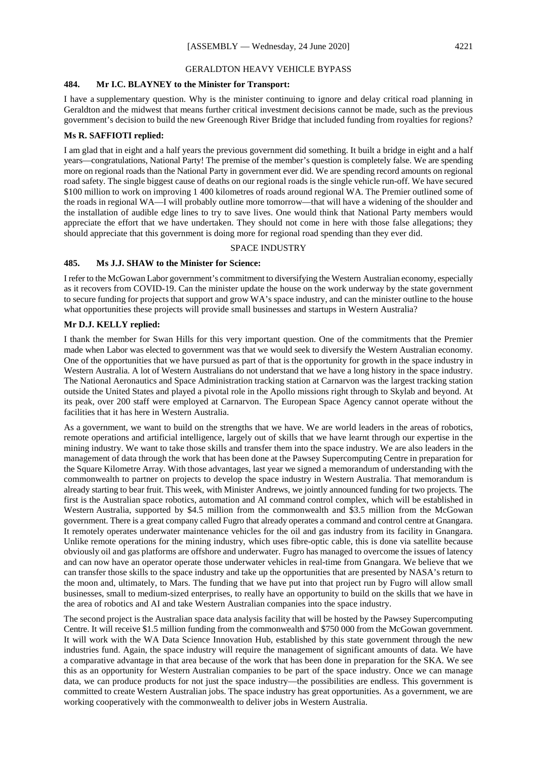#### GERALDTON HEAVY VEHICLE BYPASS

## **484. Mr I.C. BLAYNEY to the Minister for Transport:**

I have a supplementary question. Why is the minister continuing to ignore and delay critical road planning in Geraldton and the midwest that means further critical investment decisions cannot be made, such as the previous government's decision to build the new Greenough River Bridge that included funding from royalties for regions?

## **Ms R. SAFFIOTI replied:**

I am glad that in eight and a half years the previous government did something. It built a bridge in eight and a half years—congratulations, National Party! The premise of the member's question is completely false. We are spending more on regional roads than the National Party in government ever did. We are spending record amounts on regional road safety. The single biggest cause of deaths on our regional roads is the single vehicle run-off. We have secured \$100 million to work on improving 1 400 kilometres of roads around regional WA. The Premier outlined some of the roads in regional WA—I will probably outline more tomorrow—that will have a widening of the shoulder and the installation of audible edge lines to try to save lives. One would think that National Party members would appreciate the effort that we have undertaken. They should not come in here with those false allegations; they should appreciate that this government is doing more for regional road spending than they ever did.

#### SPACE INDUSTRY

## **485. Ms J.J. SHAW to the Minister for Science:**

I refer to the McGowan Labor government's commitment to diversifying the Western Australian economy, especially as it recovers from COVID-19. Can the minister update the house on the work underway by the state government to secure funding for projects that support and grow WA's space industry, and can the minister outline to the house what opportunities these projects will provide small businesses and startups in Western Australia?

#### **Mr D.J. KELLY replied:**

I thank the member for Swan Hills for this very important question. One of the commitments that the Premier made when Labor was elected to government was that we would seek to diversify the Western Australian economy. One of the opportunities that we have pursued as part of that is the opportunity for growth in the space industry in Western Australia. A lot of Western Australians do not understand that we have a long history in the space industry. The National Aeronautics and Space Administration tracking station at Carnarvon was the largest tracking station outside the United States and played a pivotal role in the Apollo missions right through to Skylab and beyond. At its peak, over 200 staff were employed at Carnarvon. The European Space Agency cannot operate without the facilities that it has here in Western Australia.

As a government, we want to build on the strengths that we have. We are world leaders in the areas of robotics, remote operations and artificial intelligence, largely out of skills that we have learnt through our expertise in the mining industry. We want to take those skills and transfer them into the space industry. We are also leaders in the management of data through the work that has been done at the Pawsey Supercomputing Centre in preparation for the Square Kilometre Array. With those advantages, last year we signed a memorandum of understanding with the commonwealth to partner on projects to develop the space industry in Western Australia. That memorandum is already starting to bear fruit. This week, with Minister Andrews, we jointly announced funding for two projects. The first is the Australian space robotics, automation and AI command control complex, which will be established in Western Australia, supported by \$4.5 million from the commonwealth and \$3.5 million from the McGowan government. There is a great company called Fugro that already operates a command and control centre at Gnangara. It remotely operates underwater maintenance vehicles for the oil and gas industry from its facility in Gnangara. Unlike remote operations for the mining industry, which uses fibre-optic cable, this is done via satellite because obviously oil and gas platforms are offshore and underwater. Fugro has managed to overcome the issues of latency and can now have an operator operate those underwater vehicles in real-time from Gnangara. We believe that we can transfer those skills to the space industry and take up the opportunities that are presented by NASA's return to the moon and, ultimately, to Mars. The funding that we have put into that project run by Fugro will allow small businesses, small to medium-sized enterprises, to really have an opportunity to build on the skills that we have in the area of robotics and AI and take Western Australian companies into the space industry.

The second project is the Australian space data analysis facility that will be hosted by the Pawsey Supercomputing Centre. It will receive \$1.5 million funding from the commonwealth and \$750 000 from the McGowan government. It will work with the WA Data Science Innovation Hub, established by this state government through the new industries fund. Again, the space industry will require the management of significant amounts of data. We have a comparative advantage in that area because of the work that has been done in preparation for the SKA. We see this as an opportunity for Western Australian companies to be part of the space industry. Once we can manage data, we can produce products for not just the space industry—the possibilities are endless. This government is committed to create Western Australian jobs. The space industry has great opportunities. As a government, we are working cooperatively with the commonwealth to deliver jobs in Western Australia.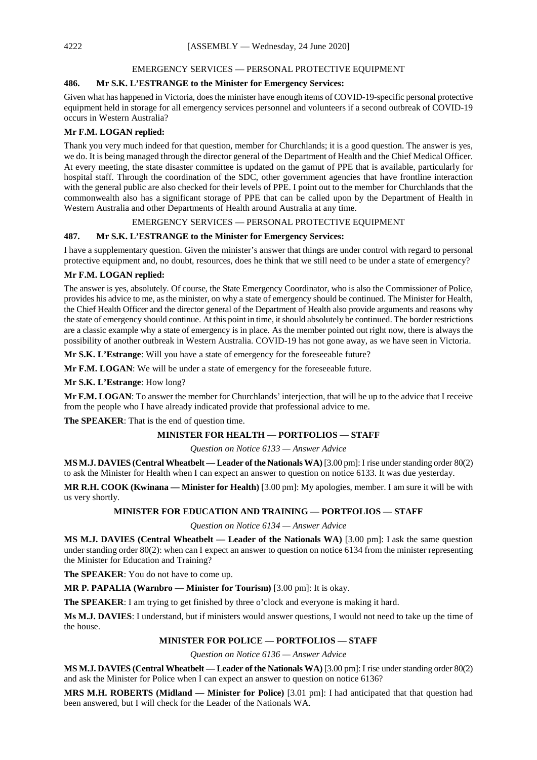#### EMERGENCY SERVICES — PERSONAL PROTECTIVE EQUIPMENT

## **486. Mr S.K. L'ESTRANGE to the Minister for Emergency Services:**

Given what has happened in Victoria, does the minister have enough items of COVID-19-specific personal protective equipment held in storage for all emergency services personnel and volunteers if a second outbreak of COVID-19 occurs in Western Australia?

## **Mr F.M. LOGAN replied:**

Thank you very much indeed for that question, member for Churchlands; it is a good question. The answer is yes, we do. It is being managed through the director general of the Department of Health and the Chief Medical Officer. At every meeting, the state disaster committee is updated on the gamut of PPE that is available, particularly for hospital staff. Through the coordination of the SDC, other government agencies that have frontline interaction with the general public are also checked for their levels of PPE. I point out to the member for Churchlands that the commonwealth also has a significant storage of PPE that can be called upon by the Department of Health in Western Australia and other Departments of Health around Australia at any time.

## EMERGENCY SERVICES — PERSONAL PROTECTIVE EQUIPMENT

## **487. Mr S.K. L'ESTRANGE to the Minister for Emergency Services:**

I have a supplementary question. Given the minister's answer that things are under control with regard to personal protective equipment and, no doubt, resources, does he think that we still need to be under a state of emergency?

## **Mr F.M. LOGAN replied:**

The answer is yes, absolutely. Of course, the State Emergency Coordinator, who is also the Commissioner of Police, provides his advice to me, as the minister, on why a state of emergency should be continued. The Minister for Health, the Chief Health Officer and the director general of the Department of Health also provide arguments and reasons why the state of emergency should continue. At this point in time, it should absolutely be continued. The border restrictions are a classic example why a state of emergency is in place. As the member pointed out right now, there is always the possibility of another outbreak in Western Australia. COVID-19 has not gone away, as we have seen in Victoria.

**Mr S.K. L'Estrange**: Will you have a state of emergency for the foreseeable future?

**Mr F.M. LOGAN**: We will be under a state of emergency for the foreseeable future.

**Mr S.K. L'Estrange**: How long?

**Mr F.M. LOGAN**: To answer the member for Churchlands' interjection, that will be up to the advice that I receive from the people who I have already indicated provide that professional advice to me.

**The SPEAKER**: That is the end of question time.

## **MINISTER FOR HEALTH — PORTFOLIOS — STAFF**

*Question on Notice 6133 — Answer Advice*

**MS M.J. DAVIES (Central Wheatbelt — Leader of the Nationals WA)** [3.00 pm]: I rise under standing order 80(2) to ask the Minister for Health when I can expect an answer to question on notice 6133. It was due yesterday.

**MR R.H. COOK (Kwinana — Minister for Health)** [3.00 pm]: My apologies, member. I am sure it will be with us very shortly.

## **MINISTER FOR EDUCATION AND TRAINING — PORTFOLIOS — STAFF**

*Question on Notice 6134 — Answer Advice*

**MS M.J. DAVIES (Central Wheatbelt — Leader of the Nationals WA)** [3.00 pm]: I ask the same question under standing order 80(2): when can I expect an answer to question on notice 6134 from the minister representing the Minister for Education and Training?

**The SPEAKER**: You do not have to come up.

**MR P. PAPALIA (Warnbro — Minister for Tourism)** [3.00 pm]: It is okay.

**The SPEAKER**: I am trying to get finished by three o'clock and everyone is making it hard.

**Ms M.J. DAVIES**: I understand, but if ministers would answer questions, I would not need to take up the time of the house.

## **MINISTER FOR POLICE — PORTFOLIOS — STAFF**

*Question on Notice 6136 — Answer Advice*

**MS M.J. DAVIES (Central Wheatbelt — Leader of the Nationals WA)** [3.00 pm]: I rise under standing order 80(2) and ask the Minister for Police when I can expect an answer to question on notice 6136?

**MRS M.H. ROBERTS (Midland — Minister for Police)** [3.01 pm]: I had anticipated that that question had been answered, but I will check for the Leader of the Nationals WA.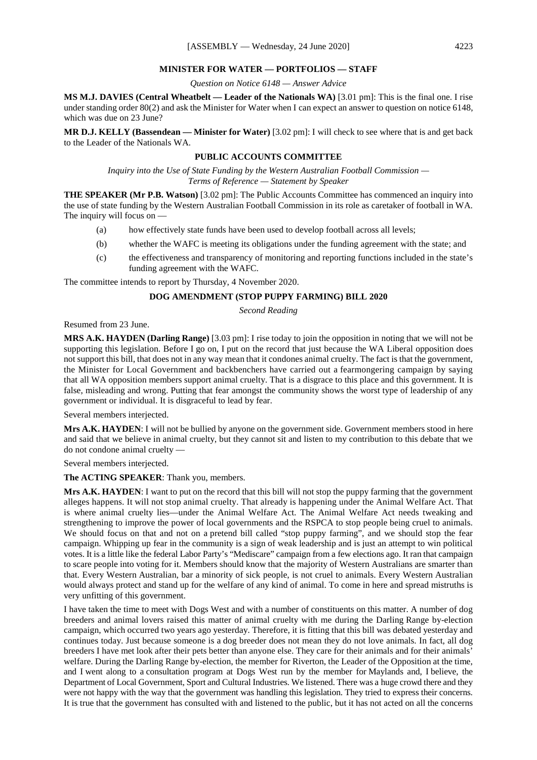#### **MINISTER FOR WATER — PORTFOLIOS — STAFF**

*Question on Notice 6148 — Answer Advice*

**MS M.J. DAVIES (Central Wheatbelt — Leader of the Nationals WA)** [3.01 pm]: This is the final one. I rise under standing order 80(2) and ask the Minister for Water when I can expect an answer to question on notice 6148, which was due on 23 June?

**MR D.J. KELLY (Bassendean — Minister for Water)** [3.02 pm]: I will check to see where that is and get back to the Leader of the Nationals WA.

## **PUBLIC ACCOUNTS COMMITTEE**

*Inquiry into the Use of State Funding by the Western Australian Football Commission — Terms of Reference — Statement by Speaker*

**THE SPEAKER (Mr P.B. Watson)** [3.02 pm]: The Public Accounts Committee has commenced an inquiry into the use of state funding by the Western Australian Football Commission in its role as caretaker of football in WA. The inquiry will focus on —

- (a) how effectively state funds have been used to develop football across all levels;
- (b) whether the WAFC is meeting its obligations under the funding agreement with the state; and
- (c) the effectiveness and transparency of monitoring and reporting functions included in the state's funding agreement with the WAFC.

The committee intends to report by Thursday, 4 November 2020.

## **DOG AMENDMENT (STOP PUPPY FARMING) BILL 2020**

## *Second Reading*

Resumed from 23 June.

**MRS A.K. HAYDEN (Darling Range)** [3.03 pm]: I rise today to join the opposition in noting that we will not be supporting this legislation. Before I go on, I put on the record that just because the WA Liberal opposition does not support this bill, that does not in any way mean that it condones animal cruelty. The fact is that the government, the Minister for Local Government and backbenchers have carried out a fearmongering campaign by saying that all WA opposition members support animal cruelty. That is a disgrace to this place and this government. It is false, misleading and wrong. Putting that fear amongst the community shows the worst type of leadership of any government or individual. It is disgraceful to lead by fear.

Several members interjected.

**Mrs A.K. HAYDEN**: I will not be bullied by anyone on the government side. Government members stood in here and said that we believe in animal cruelty, but they cannot sit and listen to my contribution to this debate that we do not condone animal cruelty —

Several members interjected.

**The ACTING SPEAKER**: Thank you, members.

**Mrs A.K. HAYDEN**: I want to put on the record that this bill will not stop the puppy farming that the government alleges happens. It will not stop animal cruelty. That already is happening under the Animal Welfare Act. That is where animal cruelty lies—under the Animal Welfare Act. The Animal Welfare Act needs tweaking and strengthening to improve the power of local governments and the RSPCA to stop people being cruel to animals. We should focus on that and not on a pretend bill called "stop puppy farming", and we should stop the fear campaign. Whipping up fear in the community is a sign of weak leadership and is just an attempt to win political votes. It is a little like the federal Labor Party's "Mediscare" campaign from a few elections ago. It ran that campaign to scare people into voting for it. Members should know that the majority of Western Australians are smarter than that. Every Western Australian, bar a minority of sick people, is not cruel to animals. Every Western Australian would always protect and stand up for the welfare of any kind of animal. To come in here and spread mistruths is very unfitting of this government.

I have taken the time to meet with Dogs West and with a number of constituents on this matter. A number of dog breeders and animal lovers raised this matter of animal cruelty with me during the Darling Range by-election campaign, which occurred two years ago yesterday. Therefore, it is fitting that this bill was debated yesterday and continues today. Just because someone is a dog breeder does not mean they do not love animals. In fact, all dog breeders I have met look after their pets better than anyone else. They care for their animals and for their animals' welfare. During the Darling Range by-election, the member for Riverton, the Leader of the Opposition at the time, and I went along to a consultation program at Dogs West run by the member for Maylands and, I believe, the Department of Local Government, Sport and Cultural Industries. We listened. There was a huge crowd there and they were not happy with the way that the government was handling this legislation. They tried to express their concerns. It is true that the government has consulted with and listened to the public, but it has not acted on all the concerns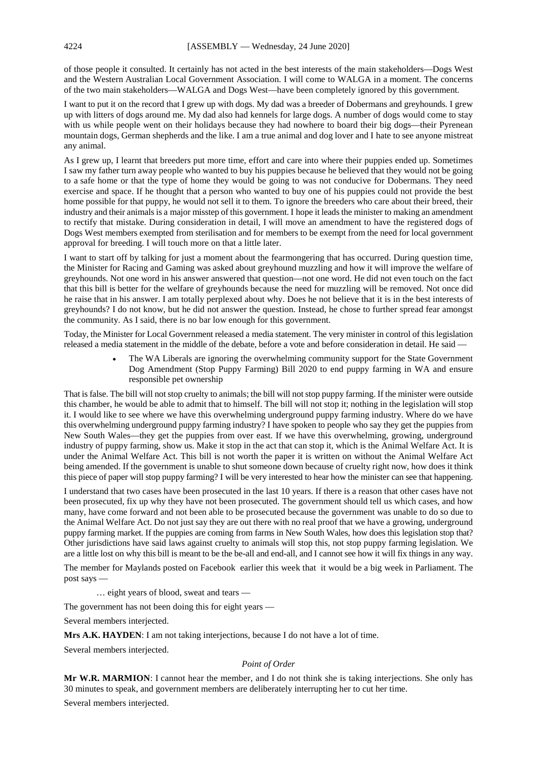of those people it consulted. It certainly has not acted in the best interests of the main stakeholders—Dogs West and the Western Australian Local Government Association. I will come to WALGA in a moment. The concerns of the two main stakeholders—WALGA and Dogs West—have been completely ignored by this government.

I want to put it on the record that I grew up with dogs. My dad was a breeder of Dobermans and greyhounds. I grew up with litters of dogs around me. My dad also had kennels for large dogs. A number of dogs would come to stay with us while people went on their holidays because they had nowhere to board their big dogs—their Pyrenean mountain dogs, German shepherds and the like. I am a true animal and dog lover and I hate to see anyone mistreat any animal.

As I grew up, I learnt that breeders put more time, effort and care into where their puppies ended up. Sometimes I saw my father turn away people who wanted to buy his puppies because he believed that they would not be going to a safe home or that the type of home they would be going to was not conducive for Dobermans. They need exercise and space. If he thought that a person who wanted to buy one of his puppies could not provide the best home possible for that puppy, he would not sell it to them. To ignore the breeders who care about their breed, their industry and their animals is a major misstep of this government. I hope it leads the minister to making an amendment to rectify that mistake. During consideration in detail, I will move an amendment to have the registered dogs of Dogs West members exempted from sterilisation and for members to be exempt from the need for local government approval for breeding. I will touch more on that a little later.

I want to start off by talking for just a moment about the fearmongering that has occurred. During question time, the Minister for Racing and Gaming was asked about greyhound muzzling and how it will improve the welfare of greyhounds. Not one word in his answer answered that question—not one word. He did not even touch on the fact that this bill is better for the welfare of greyhounds because the need for muzzling will be removed. Not once did he raise that in his answer. I am totally perplexed about why. Does he not believe that it is in the best interests of greyhounds? I do not know, but he did not answer the question. Instead, he chose to further spread fear amongst the community. As I said, there is no bar low enough for this government.

Today, the Minister for Local Government released a media statement. The very minister in control of this legislation released a media statement in the middle of the debate, before a vote and before consideration in detail. He said —

> • The WA Liberals are ignoring the overwhelming community support for the State Government Dog Amendment (Stop Puppy Farming) Bill 2020 to end puppy farming in WA and ensure responsible pet ownership

That is false. The bill will not stop cruelty to animals; the bill will not stop puppy farming. If the minister were outside this chamber, he would be able to admit that to himself. The bill will not stop it; nothing in the legislation will stop it. I would like to see where we have this overwhelming underground puppy farming industry. Where do we have this overwhelming underground puppy farming industry? I have spoken to people who say they get the puppies from New South Wales—they get the puppies from over east. If we have this overwhelming, growing, underground industry of puppy farming, show us. Make it stop in the act that can stop it, which is the Animal Welfare Act. It is under the Animal Welfare Act. This bill is not worth the paper it is written on without the Animal Welfare Act being amended. If the government is unable to shut someone down because of cruelty right now, how does it think this piece of paper will stop puppy farming? I will be very interested to hear how the minister can see that happening.

I understand that two cases have been prosecuted in the last 10 years. If there is a reason that other cases have not been prosecuted, fix up why they have not been prosecuted. The government should tell us which cases, and how many, have come forward and not been able to be prosecuted because the government was unable to do so due to the Animal Welfare Act. Do not just say they are out there with no real proof that we have a growing, underground puppy farming market. If the puppies are coming from farms in New South Wales, how does this legislation stop that? Other jurisdictions have said laws against cruelty to animals will stop this, not stop puppy farming legislation. We are a little lost on why this bill is meant to be the be-all and end-all, and I cannot see how it will fix things in any way.

The member for Maylands posted on Facebook earlier this week that it would be a big week in Parliament. The post says —

… eight years of blood, sweat and tears —

The government has not been doing this for eight years —

Several members interjected.

**Mrs A.K. HAYDEN**: I am not taking interjections, because I do not have a lot of time.

Several members interjected.

#### *Point of Order*

**Mr W.R. MARMION**: I cannot hear the member, and I do not think she is taking interjections. She only has 30 minutes to speak, and government members are deliberately interrupting her to cut her time.

Several members interjected.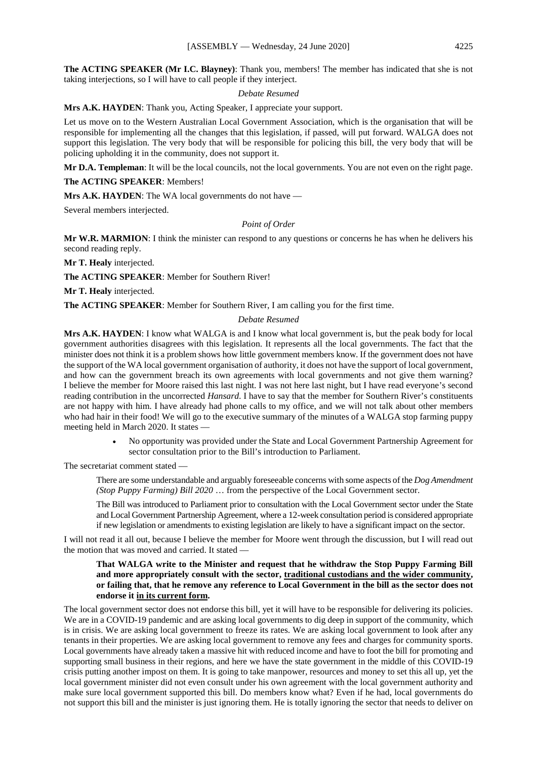**The ACTING SPEAKER (Mr I.C. Blayney)**: Thank you, members! The member has indicated that she is not taking interjections, so I will have to call people if they interject.

#### *Debate Resumed*

**Mrs A.K. HAYDEN**: Thank you, Acting Speaker, I appreciate your support.

Let us move on to the Western Australian Local Government Association, which is the organisation that will be responsible for implementing all the changes that this legislation, if passed, will put forward. WALGA does not support this legislation. The very body that will be responsible for policing this bill, the very body that will be policing upholding it in the community, does not support it.

**Mr D.A. Templeman**: It will be the local councils, not the local governments. You are not even on the right page.

**The ACTING SPEAKER**: Members!

**Mrs A.K. HAYDEN**: The WA local governments do not have —

Several members interjected.

*Point of Order*

**Mr W.R. MARMION**: I think the minister can respond to any questions or concerns he has when he delivers his second reading reply.

**Mr T. Healy** interjected.

**The ACTING SPEAKER**: Member for Southern River!

**Mr T. Healy** interjected.

**The ACTING SPEAKER**: Member for Southern River, I am calling you for the first time.

#### *Debate Resumed*

**Mrs A.K. HAYDEN**: I know what WALGA is and I know what local government is, but the peak body for local government authorities disagrees with this legislation. It represents all the local governments. The fact that the minister does not think it is a problem shows how little government members know. If the government does not have the support of the WA local government organisation of authority, it does not have the support of local government, and how can the government breach its own agreements with local governments and not give them warning? I believe the member for Moore raised this last night. I was not here last night, but I have read everyone's second reading contribution in the uncorrected *Hansard*. I have to say that the member for Southern River's constituents are not happy with him. I have already had phone calls to my office, and we will not talk about other members who had hair in their food! We will go to the executive summary of the minutes of a WALGA stop farming puppy meeting held in March 2020. It states —

> • No opportunity was provided under the State and Local Government Partnership Agreement for sector consultation prior to the Bill's introduction to Parliament.

The secretariat comment stated —

There are some understandable and arguably foreseeable concerns with some aspects of the *Dog Amendment (Stop Puppy Farming) Bill 2020* … from the perspective of the Local Government sector.

The Bill was introduced to Parliament prior to consultation with the Local Government sector under the State and Local Government Partnership Agreement, where a 12-week consultation period is considered appropriate if new legislation or amendments to existing legislation are likely to have a significant impact on the sector.

I will not read it all out, because I believe the member for Moore went through the discussion, but I will read out the motion that was moved and carried. It stated -

## **That WALGA write to the Minister and request that he withdraw the Stop Puppy Farming Bill and more appropriately consult with the sector, traditional custodians and the wider community, or failing that, that he remove any reference to Local Government in the bill as the sector does not endorse it in its current form.**

The local government sector does not endorse this bill, yet it will have to be responsible for delivering its policies. We are in a COVID-19 pandemic and are asking local governments to dig deep in support of the community, which is in crisis. We are asking local government to freeze its rates. We are asking local government to look after any tenants in their properties. We are asking local government to remove any fees and charges for community sports. Local governments have already taken a massive hit with reduced income and have to foot the bill for promoting and supporting small business in their regions, and here we have the state government in the middle of this COVID-19 crisis putting another impost on them. It is going to take manpower, resources and money to set this all up, yet the local government minister did not even consult under his own agreement with the local government authority and make sure local government supported this bill. Do members know what? Even if he had, local governments do not support this bill and the minister is just ignoring them. He is totally ignoring the sector that needs to deliver on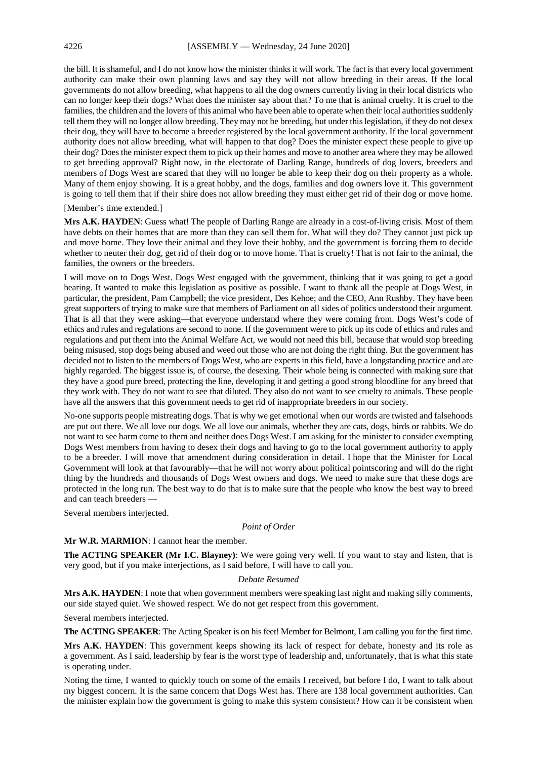the bill. It is shameful, and I do not know how the minister thinks it will work. The fact is that every local government authority can make their own planning laws and say they will not allow breeding in their areas. If the local governments do not allow breeding, what happens to all the dog owners currently living in their local districts who can no longer keep their dogs? What does the minister say about that? To me that is animal cruelty. It is cruel to the families, the children and the lovers of this animal who have been able to operate when their local authorities suddenly tell them they will no longer allow breeding. They may not be breeding, but under this legislation, if they do not desex their dog, they will have to become a breeder registered by the local government authority. If the local government authority does not allow breeding, what will happen to that dog? Does the minister expect these people to give up their dog? Does the minister expect them to pick up their homes and move to another area where they may be allowed to get breeding approval? Right now, in the electorate of Darling Range, hundreds of dog lovers, breeders and members of Dogs West are scared that they will no longer be able to keep their dog on their property as a whole. Many of them enjoy showing. It is a great hobby, and the dogs, families and dog owners love it. This government is going to tell them that if their shire does not allow breeding they must either get rid of their dog or move home.

#### [Member's time extended.]

**Mrs A.K. HAYDEN**: Guess what! The people of Darling Range are already in a cost-of-living crisis. Most of them have debts on their homes that are more than they can sell them for. What will they do? They cannot just pick up and move home. They love their animal and they love their hobby, and the government is forcing them to decide whether to neuter their dog, get rid of their dog or to move home. That is cruelty! That is not fair to the animal, the families, the owners or the breeders.

I will move on to Dogs West. Dogs West engaged with the government, thinking that it was going to get a good hearing. It wanted to make this legislation as positive as possible. I want to thank all the people at Dogs West, in particular, the president, Pam Campbell; the vice president, Des Kehoe; and the CEO, Ann Rushby. They have been great supporters of trying to make sure that members of Parliament on all sides of politics understood their argument. That is all that they were asking—that everyone understand where they were coming from. Dogs West's code of ethics and rules and regulations are second to none. If the government were to pick up its code of ethics and rules and regulations and put them into the Animal Welfare Act, we would not need this bill, because that would stop breeding being misused, stop dogs being abused and weed out those who are not doing the right thing. But the government has decided not to listen to the members of Dogs West, who are experts in this field, have a longstanding practice and are highly regarded. The biggest issue is, of course, the desexing. Their whole being is connected with making sure that they have a good pure breed, protecting the line, developing it and getting a good strong bloodline for any breed that they work with. They do not want to see that diluted. They also do not want to see cruelty to animals. These people have all the answers that this government needs to get rid of inappropriate breeders in our society.

No-one supports people mistreating dogs. That is why we get emotional when our words are twisted and falsehoods are put out there. We all love our dogs. We all love our animals, whether they are cats, dogs, birds or rabbits. We do not want to see harm come to them and neither does Dogs West. I am asking for the minister to consider exempting Dogs West members from having to desex their dogs and having to go to the local government authority to apply to be a breeder. I will move that amendment during consideration in detail. I hope that the Minister for Local Government will look at that favourably—that he will not worry about political pointscoring and will do the right thing by the hundreds and thousands of Dogs West owners and dogs. We need to make sure that these dogs are protected in the long run. The best way to do that is to make sure that the people who know the best way to breed and can teach breeders —

Several members interjected.

#### *Point of Order*

## **Mr W.R. MARMION**: I cannot hear the member.

**The ACTING SPEAKER (Mr I.C. Blayney)**: We were going very well. If you want to stay and listen, that is very good, but if you make interjections, as I said before, I will have to call you.

#### *Debate Resumed*

**Mrs A.K. HAYDEN**: I note that when government members were speaking last night and making silly comments, our side stayed quiet. We showed respect. We do not get respect from this government.

Several members interjected.

**The ACTING SPEAKER**: The Acting Speaker is on his feet! Member for Belmont, I am calling you for the first time.

**Mrs A.K. HAYDEN**: This government keeps showing its lack of respect for debate, honesty and its role as a government. As I said, leadership by fear is the worst type of leadership and, unfortunately, that is what this state is operating under.

Noting the time, I wanted to quickly touch on some of the emails I received, but before I do, I want to talk about my biggest concern. It is the same concern that Dogs West has. There are 138 local government authorities. Can the minister explain how the government is going to make this system consistent? How can it be consistent when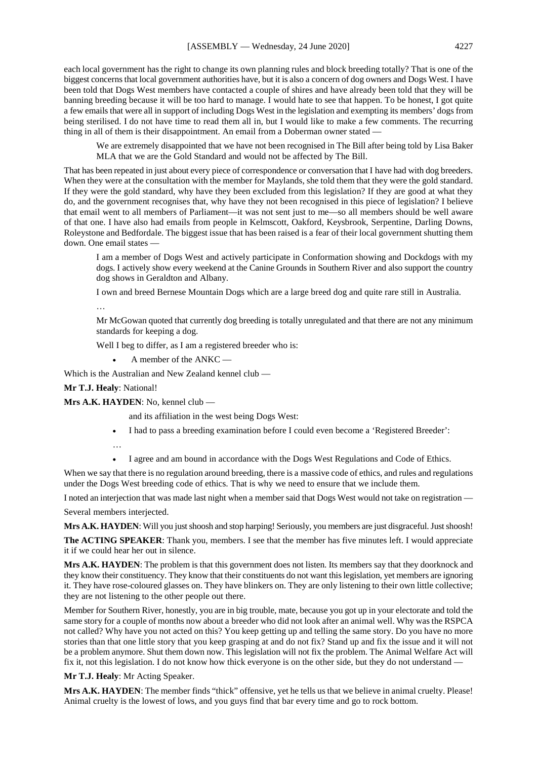each local government has the right to change its own planning rules and block breeding totally? That is one of the biggest concerns that local government authorities have, but it is also a concern of dog owners and Dogs West. I have been told that Dogs West members have contacted a couple of shires and have already been told that they will be banning breeding because it will be too hard to manage. I would hate to see that happen. To be honest, I got quite a few emails that were all in support of including Dogs West in the legislation and exempting its members' dogs from being sterilised. I do not have time to read them all in, but I would like to make a few comments. The recurring thing in all of them is their disappointment. An email from a Doberman owner stated —

We are extremely disappointed that we have not been recognised in The Bill after being told by Lisa Baker MLA that we are the Gold Standard and would not be affected by The Bill.

That has been repeated in just about every piece of correspondence or conversation that I have had with dog breeders. When they were at the consultation with the member for Maylands, she told them that they were the gold standard. If they were the gold standard, why have they been excluded from this legislation? If they are good at what they do, and the government recognises that, why have they not been recognised in this piece of legislation? I believe that email went to all members of Parliament—it was not sent just to me—so all members should be well aware of that one. I have also had emails from people in Kelmscott, Oakford, Keysbrook, Serpentine, Darling Downs, Roleystone and Bedfordale. The biggest issue that has been raised is a fear of their local government shutting them down. One email states —

I am a member of Dogs West and actively participate in Conformation showing and Dockdogs with my dogs. I actively show every weekend at the Canine Grounds in Southern River and also support the country dog shows in Geraldton and Albany.

I own and breed Bernese Mountain Dogs which are a large breed dog and quite rare still in Australia.

…

Mr McGowan quoted that currently dog breeding is totally unregulated and that there are not any minimum standards for keeping a dog.

Well I beg to differ, as I am a registered breeder who is:

• A member of the ANKC —

Which is the Australian and New Zealand kennel club —

**Mr T.J. Healy**: National!

**Mrs A.K. HAYDEN**: No, kennel club —

and its affiliation in the west being Dogs West:

- I had to pass a breeding examination before I could even become a 'Registered Breeder': …
- I agree and am bound in accordance with the Dogs West Regulations and Code of Ethics.

When we say that there is no regulation around breeding, there is a massive code of ethics, and rules and regulations under the Dogs West breeding code of ethics. That is why we need to ensure that we include them.

I noted an interjection that was made last night when a member said that Dogs West would not take on registration —

Several members interjected.

**Mrs A.K. HAYDEN**: Will you just shoosh and stop harping! Seriously, you members are just disgraceful. Just shoosh!

**The ACTING SPEAKER**: Thank you, members. I see that the member has five minutes left. I would appreciate it if we could hear her out in silence.

**Mrs A.K. HAYDEN**: The problem is that this government does not listen. Its members say that they doorknock and they know their constituency. They know that their constituents do not want this legislation, yet members are ignoring it. They have rose-coloured glasses on. They have blinkers on. They are only listening to their own little collective; they are not listening to the other people out there.

Member for Southern River, honestly, you are in big trouble, mate, because you got up in your electorate and told the same story for a couple of months now about a breeder who did not look after an animal well. Why was the RSPCA not called? Why have you not acted on this? You keep getting up and telling the same story. Do you have no more stories than that one little story that you keep grasping at and do not fix? Stand up and fix the issue and it will not be a problem anymore. Shut them down now. This legislation will not fix the problem. The Animal Welfare Act will fix it, not this legislation. I do not know how thick everyone is on the other side, but they do not understand —

**Mr T.J. Healy**: Mr Acting Speaker.

**Mrs A.K. HAYDEN**: The member finds "thick" offensive, yet he tells us that we believe in animal cruelty. Please! Animal cruelty is the lowest of lows, and you guys find that bar every time and go to rock bottom.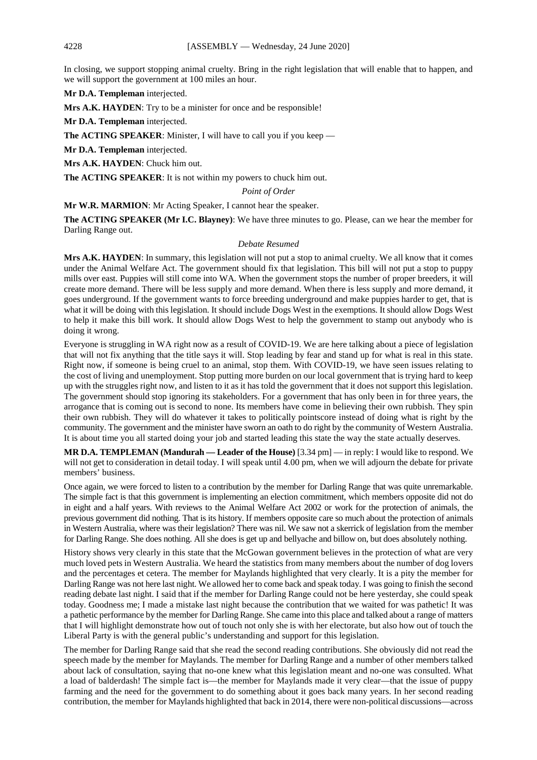In closing, we support stopping animal cruelty. Bring in the right legislation that will enable that to happen, and we will support the government at 100 miles an hour.

**Mr D.A. Templeman** interjected.

**Mrs A.K. HAYDEN**: Try to be a minister for once and be responsible!

**Mr D.A. Templeman** interjected.

**The ACTING SPEAKER:** Minister, I will have to call you if you keep —

**Mr D.A. Templeman** interjected.

**Mrs A.K. HAYDEN**: Chuck him out.

**The ACTING SPEAKER**: It is not within my powers to chuck him out.

# *Point of Order*

**Mr W.R. MARMION**: Mr Acting Speaker, I cannot hear the speaker.

**The ACTING SPEAKER (Mr I.C. Blayney)**: We have three minutes to go. Please, can we hear the member for Darling Range out.

#### *Debate Resumed*

**Mrs A.K. HAYDEN:** In summary, this legislation will not put a stop to animal cruelty. We all know that it comes under the Animal Welfare Act. The government should fix that legislation. This bill will not put a stop to puppy mills over east. Puppies will still come into WA. When the government stops the number of proper breeders, it will create more demand. There will be less supply and more demand. When there is less supply and more demand, it goes underground. If the government wants to force breeding underground and make puppies harder to get, that is what it will be doing with this legislation. It should include Dogs West in the exemptions. It should allow Dogs West to help it make this bill work. It should allow Dogs West to help the government to stamp out anybody who is doing it wrong.

Everyone is struggling in WA right now as a result of COVID-19. We are here talking about a piece of legislation that will not fix anything that the title says it will. Stop leading by fear and stand up for what is real in this state. Right now, if someone is being cruel to an animal, stop them. With COVID-19, we have seen issues relating to the cost of living and unemployment. Stop putting more burden on our local government that is trying hard to keep up with the struggles right now, and listen to it as it has told the government that it does not support this legislation. The government should stop ignoring its stakeholders. For a government that has only been in for three years, the arrogance that is coming out is second to none. Its members have come in believing their own rubbish. They spin their own rubbish. They will do whatever it takes to politically pointscore instead of doing what is right by the community. The government and the minister have sworn an oath to do right by the community of Western Australia. It is about time you all started doing your job and started leading this state the way the state actually deserves.

**MR D.A. TEMPLEMAN (Mandurah — Leader of the House)** [3.34 pm] — in reply: I would like to respond. We will not get to consideration in detail today. I will speak until 4.00 pm, when we will adjourn the debate for private members' business.

Once again, we were forced to listen to a contribution by the member for Darling Range that was quite unremarkable. The simple fact is that this government is implementing an election commitment, which members opposite did not do in eight and a half years. With reviews to the Animal Welfare Act 2002 or work for the protection of animals, the previous government did nothing. That is its history. If members opposite care so much about the protection of animals in Western Australia, where was their legislation? There was nil. We saw not a skerrick of legislation from the member for Darling Range. She does nothing. All she does is get up and bellyache and billow on, but does absolutely nothing.

History shows very clearly in this state that the McGowan government believes in the protection of what are very much loved pets in Western Australia. We heard the statistics from many members about the number of dog lovers and the percentages et cetera. The member for Maylands highlighted that very clearly. It is a pity the member for Darling Range was not here last night. We allowed her to come back and speak today. I was going to finish the second reading debate last night. I said that if the member for Darling Range could not be here yesterday, she could speak today. Goodness me; I made a mistake last night because the contribution that we waited for was pathetic! It was a pathetic performance by the member for Darling Range. She came into this place and talked about a range of matters that I will highlight demonstrate how out of touch not only she is with her electorate, but also how out of touch the Liberal Party is with the general public's understanding and support for this legislation.

The member for Darling Range said that she read the second reading contributions. She obviously did not read the speech made by the member for Maylands. The member for Darling Range and a number of other members talked about lack of consultation, saying that no-one knew what this legislation meant and no-one was consulted. What a load of balderdash! The simple fact is—the member for Maylands made it very clear—that the issue of puppy farming and the need for the government to do something about it goes back many years. In her second reading contribution, the member for Maylands highlighted that back in 2014, there were non-political discussions—across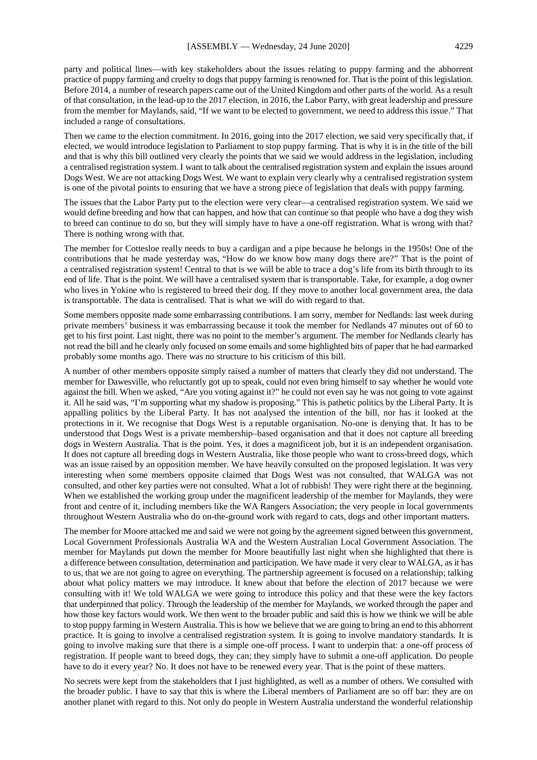party and political lines—with key stakeholders about the issues relating to puppy farming and the abhorrent practice of puppy farming and cruelty to dogs that puppy farming is renowned for. That is the point of this legislation. Before 2014, a number of research papers came out of the United Kingdom and other parts of the world. As a result of that consultation, in the lead-up to the 2017 election, in 2016, the Labor Party, with great leadership and pressure from the member for Maylands, said, "If we want to be elected to government, we need to address this issue." That included a range of consultations.

Then we came to the election commitment. In 2016, going into the 2017 election, we said very specifically that, if elected, we would introduce legislation to Parliament to stop puppy farming. That is why it is in the title of the bill and that is why this bill outlined very clearly the points that we said we would address in the legislation, including a centralised registration system. I want to talk about the centralised registration system and explain the issues around Dogs West. We are not attacking Dogs West. We want to explain very clearly why a centralised registration system is one of the pivotal points to ensuring that we have a strong piece of legislation that deals with puppy farming.

The issues that the Labor Party put to the election were very clear—a centralised registration system. We said we would define breeding and how that can happen, and how that can continue so that people who have a dog they wish to breed can continue to do so, but they will simply have to have a one-off registration. What is wrong with that? There is nothing wrong with that.

The member for Cottesloe really needs to buy a cardigan and a pipe because he belongs in the 1950s! One of the contributions that he made yesterday was, "How do we know how many dogs there are?" That is the point of a centralised registration system! Central to that is we will be able to trace a dog's life from its birth through to its end of life. That is the point. We will have a centralised system that is transportable. Take, for example, a dog owner who lives in Yokine who is registered to breed their dog. If they move to another local government area, the data is transportable. The data is centralised. That is what we will do with regard to that.

Some members opposite made some embarrassing contributions. I am sorry, member for Nedlands: last week during private members' business it was embarrassing because it took the member for Nedlands 47 minutes out of 60 to get to his first point. Last night, there was no point to the member's argument. The member for Nedlands clearly has not read the bill and he clearly only focused on some emails and some highlighted bits of paper that he had earmarked probably some months ago. There was no structure to his criticism of this bill.

A number of other members opposite simply raised a number of matters that clearly they did not understand. The member for Dawesville, who reluctantly got up to speak, could not even bring himself to say whether he would vote against the bill. When we asked, "Are you voting against it?" he could not even say he was not going to vote against it. All he said was, "I'm supporting what my shadow is proposing." This is pathetic politics by the Liberal Party. It is appalling politics by the Liberal Party. It has not analysed the intention of the bill, nor has it looked at the protections in it. We recognise that Dogs West is a reputable organisation. No-one is denying that. It has to be understood that Dogs West is a private membership–based organisation and that it does not capture all breeding dogs in Western Australia. That is the point. Yes, it does a magnificent job, but it is an independent organisation. It does not capture all breeding dogs in Western Australia, like those people who want to cross-breed dogs, which was an issue raised by an opposition member. We have heavily consulted on the proposed legislation. It was very interesting when some members opposite claimed that Dogs West was not consulted, that WALGA was not consulted, and other key parties were not consulted. What a lot of rubbish! They were right there at the beginning. When we established the working group under the magnificent leadership of the member for Maylands, they were front and centre of it, including members like the WA Rangers Association; the very people in local governments throughout Western Australia who do on-the-ground work with regard to cats, dogs and other important matters.

The member for Moore attacked me and said we were not going by the agreement signed between this government, Local Government Professionals Australia WA and the Western Australian Local Government Association. The member for Maylands put down the member for Moore beautifully last night when she highlighted that there is a difference between consultation, determination and participation. We have made it very clear to WALGA, as it has to us, that we are not going to agree on everything. The partnership agreement is focused on a relationship; talking about what policy matters we may introduce. It knew about that before the election of 2017 because we were consulting with it! We told WALGA we were going to introduce this policy and that these were the key factors that underpinned that policy. Through the leadership of the member for Maylands, we worked through the paper and how those key factors would work. We then went to the broader public and said this is how we think we will be able to stop puppy farming in Western Australia. This is how we believe that we are going to bring an end to this abhorrent practice. It is going to involve a centralised registration system. It is going to involve mandatory standards. It is going to involve making sure that there is a simple one-off process. I want to underpin that: a one-off process of registration. If people want to breed dogs, they can; they simply have to submit a one-off application. Do people have to do it every year? No. It does not have to be renewed every year. That is the point of these matters.

No secrets were kept from the stakeholders that I just highlighted, as well as a number of others. We consulted with the broader public. I have to say that this is where the Liberal members of Parliament are so off bar: they are on another planet with regard to this. Not only do people in Western Australia understand the wonderful relationship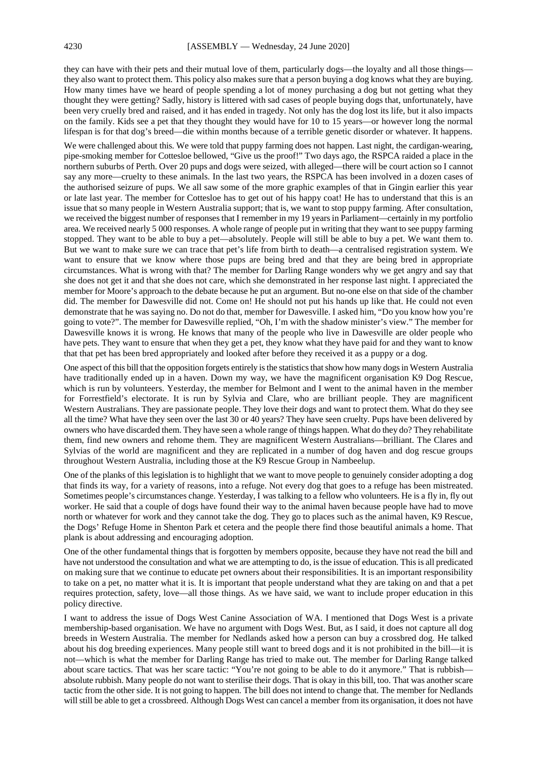they can have with their pets and their mutual love of them, particularly dogs—the loyalty and all those things they also want to protect them. This policy also makes sure that a person buying a dog knows what they are buying. How many times have we heard of people spending a lot of money purchasing a dog but not getting what they thought they were getting? Sadly, history is littered with sad cases of people buying dogs that, unfortunately, have been very cruelly bred and raised, and it has ended in tragedy. Not only has the dog lost its life, but it also impacts on the family. Kids see a pet that they thought they would have for 10 to 15 years—or however long the normal lifespan is for that dog's breed—die within months because of a terrible genetic disorder or whatever. It happens.

We were challenged about this. We were told that puppy farming does not happen. Last night, the cardigan-wearing, pipe-smoking member for Cottesloe bellowed, "Give us the proof!" Two days ago, the RSPCA raided a place in the northern suburbs of Perth. Over 20 pups and dogs were seized, with alleged—there will be court action so I cannot say any more—cruelty to these animals. In the last two years, the RSPCA has been involved in a dozen cases of the authorised seizure of pups. We all saw some of the more graphic examples of that in Gingin earlier this year or late last year. The member for Cottesloe has to get out of his happy coat! He has to understand that this is an issue that so many people in Western Australia support; that is, we want to stop puppy farming. After consultation, we received the biggest number of responses that I remember in my 19 years in Parliament—certainly in my portfolio area. We received nearly 5 000 responses. A whole range of people put in writing that they want to see puppy farming stopped. They want to be able to buy a pet—absolutely. People will still be able to buy a pet. We want them to. But we want to make sure we can trace that pet's life from birth to death—a centralised registration system. We want to ensure that we know where those pups are being bred and that they are being bred in appropriate circumstances. What is wrong with that? The member for Darling Range wonders why we get angry and say that she does not get it and that she does not care, which she demonstrated in her response last night. I appreciated the member for Moore's approach to the debate because he put an argument. But no-one else on that side of the chamber did. The member for Dawesville did not. Come on! He should not put his hands up like that. He could not even demonstrate that he was saying no. Do not do that, member for Dawesville. I asked him, "Do you know how you're going to vote?". The member for Dawesville replied, "Oh, I'm with the shadow minister's view." The member for Dawesville knows it is wrong. He knows that many of the people who live in Dawesville are older people who have pets. They want to ensure that when they get a pet, they know what they have paid for and they want to know that that pet has been bred appropriately and looked after before they received it as a puppy or a dog.

One aspect of this bill that the opposition forgets entirely is the statistics that show how many dogs in Western Australia have traditionally ended up in a haven. Down my way, we have the magnificent organisation K9 Dog Rescue, which is run by volunteers. Yesterday, the member for Belmont and I went to the animal haven in the member for Forrestfield's electorate. It is run by Sylvia and Clare, who are brilliant people. They are magnificent Western Australians. They are passionate people. They love their dogs and want to protect them. What do they see all the time? What have they seen over the last 30 or 40 years? They have seen cruelty. Pups have been delivered by owners who have discarded them. They have seen a whole range of things happen. What do they do? They rehabilitate them, find new owners and rehome them. They are magnificent Western Australians—brilliant. The Clares and Sylvias of the world are magnificent and they are replicated in a number of dog haven and dog rescue groups throughout Western Australia, including those at the K9 Rescue Group in Nambeelup.

One of the planks of this legislation is to highlight that we want to move people to genuinely consider adopting a dog that finds its way, for a variety of reasons, into a refuge. Not every dog that goes to a refuge has been mistreated. Sometimes people's circumstances change. Yesterday, I was talking to a fellow who volunteers. He is a fly in, fly out worker. He said that a couple of dogs have found their way to the animal haven because people have had to move north or whatever for work and they cannot take the dog. They go to places such as the animal haven, K9 Rescue, the Dogs' Refuge Home in Shenton Park et cetera and the people there find those beautiful animals a home. That plank is about addressing and encouraging adoption.

One of the other fundamental things that is forgotten by members opposite, because they have not read the bill and have not understood the consultation and what we are attempting to do, is the issue of education. This is all predicated on making sure that we continue to educate pet owners about their responsibilities. It is an important responsibility to take on a pet, no matter what it is. It is important that people understand what they are taking on and that a pet requires protection, safety, love—all those things. As we have said, we want to include proper education in this policy directive.

I want to address the issue of Dogs West Canine Association of WA. I mentioned that Dogs West is a private membership-based organisation. We have no argument with Dogs West. But, as I said, it does not capture all dog breeds in Western Australia. The member for Nedlands asked how a person can buy a crossbred dog. He talked about his dog breeding experiences. Many people still want to breed dogs and it is not prohibited in the bill—it is not—which is what the member for Darling Range has tried to make out. The member for Darling Range talked about scare tactics. That was her scare tactic: "You're not going to be able to do it anymore." That is rubbish absolute rubbish. Many people do not want to sterilise their dogs. That is okay in this bill, too. That was another scare tactic from the other side. It is not going to happen. The bill does not intend to change that. The member for Nedlands will still be able to get a crossbreed. Although Dogs West can cancel a member from its organisation, it does not have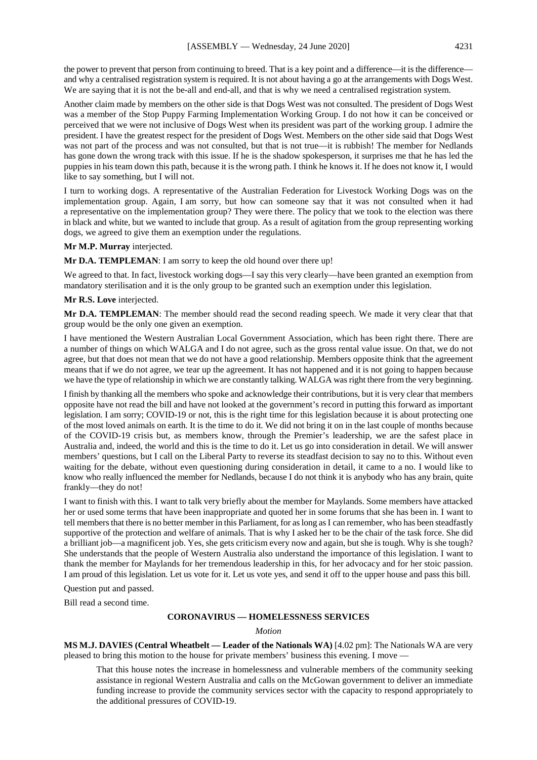the power to prevent that person from continuing to breed. That is a key point and a difference—it is the difference and why a centralised registration system is required. It is not about having a go at the arrangements with Dogs West. We are saying that it is not the be-all and end-all, and that is why we need a centralised registration system.

Another claim made by members on the other side is that Dogs West was not consulted. The president of Dogs West was a member of the Stop Puppy Farming Implementation Working Group. I do not how it can be conceived or perceived that we were not inclusive of Dogs West when its president was part of the working group. I admire the president. I have the greatest respect for the president of Dogs West. Members on the other side said that Dogs West was not part of the process and was not consulted, but that is not true—it is rubbish! The member for Nedlands has gone down the wrong track with this issue. If he is the shadow spokesperson, it surprises me that he has led the puppies in his team down this path, because it is the wrong path. I think he knows it. If he does not know it, I would like to say something, but I will not.

I turn to working dogs. A representative of the Australian Federation for Livestock Working Dogs was on the implementation group. Again, I am sorry, but how can someone say that it was not consulted when it had a representative on the implementation group? They were there. The policy that we took to the election was there in black and white, but we wanted to include that group. As a result of agitation from the group representing working dogs, we agreed to give them an exemption under the regulations.

#### **Mr M.P. Murray** interjected.

**Mr D.A. TEMPLEMAN**: I am sorry to keep the old hound over there up!

We agreed to that. In fact, livestock working dogs—I say this very clearly—have been granted an exemption from mandatory sterilisation and it is the only group to be granted such an exemption under this legislation.

## **Mr R.S. Love** interjected.

**Mr D.A. TEMPLEMAN**: The member should read the second reading speech. We made it very clear that that group would be the only one given an exemption.

I have mentioned the Western Australian Local Government Association, which has been right there. There are a number of things on which WALGA and I do not agree, such as the gross rental value issue. On that, we do not agree, but that does not mean that we do not have a good relationship. Members opposite think that the agreement means that if we do not agree, we tear up the agreement. It has not happened and it is not going to happen because we have the type of relationship in which we are constantly talking. WALGA was right there from the very beginning.

I finish by thanking all the members who spoke and acknowledge their contributions, but it is very clear that members opposite have not read the bill and have not looked at the government's record in putting this forward as important legislation. I am sorry; COVID-19 or not, this is the right time for this legislation because it is about protecting one of the most loved animals on earth. It is the time to do it. We did not bring it on in the last couple of months because of the COVID-19 crisis but, as members know, through the Premier's leadership, we are the safest place in Australia and, indeed, the world and this is the time to do it. Let us go into consideration in detail. We will answer members' questions, but I call on the Liberal Party to reverse its steadfast decision to say no to this. Without even waiting for the debate, without even questioning during consideration in detail, it came to a no. I would like to know who really influenced the member for Nedlands, because I do not think it is anybody who has any brain, quite frankly—they do not!

I want to finish with this. I want to talk very briefly about the member for Maylands. Some members have attacked her or used some terms that have been inappropriate and quoted her in some forums that she has been in. I want to tell members that there is no better member in this Parliament, for as long as I can remember, who has been steadfastly supportive of the protection and welfare of animals. That is why I asked her to be the chair of the task force. She did a brilliant job—a magnificent job. Yes, she gets criticism every now and again, but she is tough. Why is she tough? She understands that the people of Western Australia also understand the importance of this legislation. I want to thank the member for Maylands for her tremendous leadership in this, for her advocacy and for her stoic passion. I am proud of this legislation. Let us vote for it. Let us vote yes, and send it off to the upper house and pass this bill.

Question put and passed.

Bill read a second time.

#### **CORONAVIRUS — HOMELESSNESS SERVICES**

*Motion*

**MS M.J. DAVIES (Central Wheatbelt — Leader of the Nationals WA)** [4.02 pm]: The Nationals WA are very pleased to bring this motion to the house for private members' business this evening. I move —

That this house notes the increase in homelessness and vulnerable members of the community seeking assistance in regional Western Australia and calls on the McGowan government to deliver an immediate funding increase to provide the community services sector with the capacity to respond appropriately to the additional pressures of COVID-19.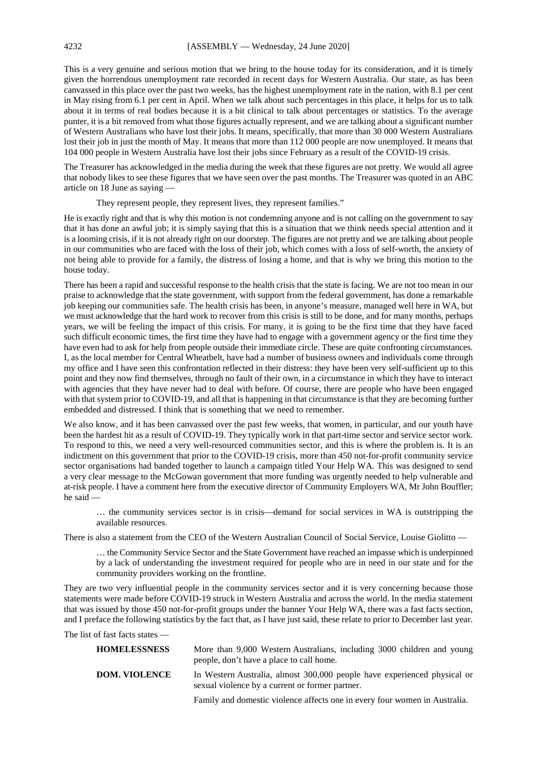This is a very genuine and serious motion that we bring to the house today for its consideration, and it is timely given the horrendous unemployment rate recorded in recent days for Western Australia. Our state, as has been canvassed in this place over the past two weeks, has the highest unemployment rate in the nation, with 8.1 per cent in May rising from 6.1 per cent in April. When we talk about such percentages in this place, it helps for us to talk about it in terms of real bodies because it is a bit clinical to talk about percentages or statistics. To the average punter, it is a bit removed from what those figures actually represent, and we are talking about a significant number of Western Australians who have lost their jobs. It means, specifically, that more than 30 000 Western Australians lost their job in just the month of May. It means that more than 112 000 people are now unemployed. It means that 104 000 people in Western Australia have lost their jobs since February as a result of the COVID-19 crisis.

The Treasurer has acknowledged in the media during the week that these figures are not pretty. We would all agree that nobody likes to see these figures that we have seen over the past months. The Treasurer was quoted in an ABC article on 18 June as saying —

They represent people, they represent lives, they represent families."

He is exactly right and that is why this motion is not condemning anyone and is not calling on the government to say that it has done an awful job; it is simply saying that this is a situation that we think needs special attention and it is a looming crisis, if it is not already right on our doorstep. The figures are not pretty and we are talking about people in our communities who are faced with the loss of their job, which comes with a loss of self-worth, the anxiety of not being able to provide for a family, the distress of losing a home, and that is why we bring this motion to the house today.

There has been a rapid and successful response to the health crisis that the state is facing. We are not too mean in our praise to acknowledge that the state government, with support from the federal government, has done a remarkable job keeping our communities safe. The health crisis has been, in anyone's measure, managed well here in WA, but we must acknowledge that the hard work to recover from this crisis is still to be done, and for many months, perhaps years, we will be feeling the impact of this crisis. For many, it is going to be the first time that they have faced such difficult economic times, the first time they have had to engage with a government agency or the first time they have even had to ask for help from people outside their immediate circle. These are quite confronting circumstances. I, as the local member for Central Wheatbelt, have had a number of business owners and individuals come through my office and I have seen this confrontation reflected in their distress: they have been very self-sufficient up to this point and they now find themselves, through no fault of their own, in a circumstance in which they have to interact with agencies that they have never had to deal with before. Of course, there are people who have been engaged with that system prior to COVID-19, and all that is happening in that circumstance is that they are becoming further embedded and distressed. I think that is something that we need to remember.

We also know, and it has been canvassed over the past few weeks, that women, in particular, and our youth have been the hardest hit as a result of COVID-19. They typically work in that part-time sector and service sector work. To respond to this, we need a very well-resourced communities sector, and this is where the problem is. It is an indictment on this government that prior to the COVID-19 crisis, more than 450 not-for-profit community service sector organisations had banded together to launch a campaign titled Your Help WA. This was designed to send a very clear message to the McGowan government that more funding was urgently needed to help vulnerable and at-risk people. I have a comment here from the executive director of Community Employers WA, Mr John Bouffler; he said —

… the community services sector is in crisis—demand for social services in WA is outstripping the available resources.

There is also a statement from the CEO of the Western Australian Council of Social Service, Louise Giolitto —

… the Community Service Sector and the State Government have reached an impasse which is underpinned by a lack of understanding the investment required for people who are in need in our state and for the community providers working on the frontline.

They are two very influential people in the community services sector and it is very concerning because those statements were made before COVID-19 struck in Western Australia and across the world. In the media statement that was issued by those 450 not-for-profit groups under the banner Your Help WA, there was a fast facts section, and I preface the following statistics by the fact that, as I have just said, these relate to prior to December last year.

The list of fast facts states —

| <b>HOMELESSNESS</b>  | More than 9,000 Western Australians, including 3000 children and young<br>people, don't have a place to call home.          |
|----------------------|-----------------------------------------------------------------------------------------------------------------------------|
| <b>DOM. VIOLENCE</b> | In Western Australia, almost 300,000 people have experienced physical or<br>sexual violence by a current or former partner. |
|                      | Family and domestic violence affects one in every four women in Australia.                                                  |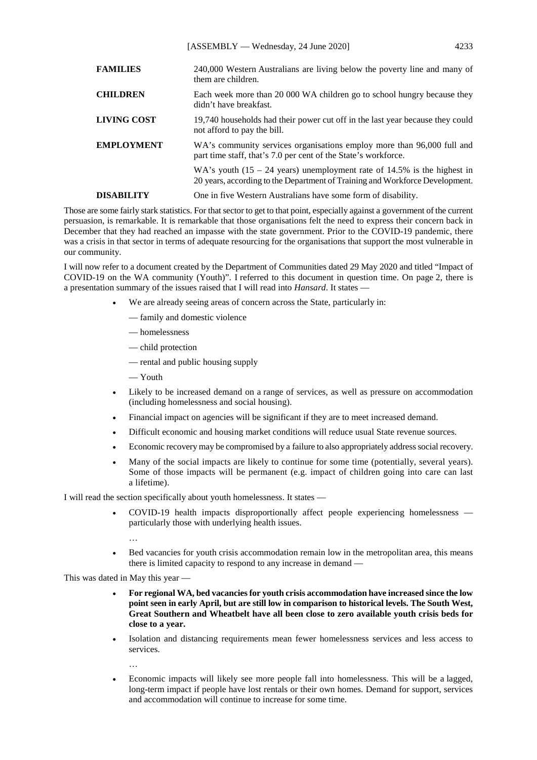[ASSEMBLY — Wednesday, 24 June 2020] 4233

| <b>FAMILIES</b>    | 240,000 Western Australians are living below the poverty line and many of<br>them are children.                                                           |
|--------------------|-----------------------------------------------------------------------------------------------------------------------------------------------------------|
| <b>CHILDREN</b>    | Each week more than 20 000 WA children go to school hungry because they<br>didn't have breakfast.                                                         |
| <b>LIVING COST</b> | 19,740 households had their power cut off in the last year because they could<br>not afford to pay the bill.                                              |
| <b>EMPLOYMENT</b>  | WA's community services organisations employ more than 96,000 full and<br>part time staff, that's 7.0 per cent of the State's workforce.                  |
|                    | WA's youth $(15 - 24$ years) unemployment rate of 14.5% is the highest in<br>20 years, according to the Department of Training and Workforce Development. |
| <b>DISABILITY</b>  | One in five Western Australians have some form of disability.                                                                                             |

Those are some fairly stark statistics. For that sector to get to that point, especially against a government of the current persuasion, is remarkable. It is remarkable that those organisations felt the need to express their concern back in December that they had reached an impasse with the state government. Prior to the COVID-19 pandemic, there was a crisis in that sector in terms of adequate resourcing for the organisations that support the most vulnerable in our community.

I will now refer to a document created by the Department of Communities dated 29 May 2020 and titled "Impact of COVID-19 on the WA community (Youth)". I referred to this document in question time. On page 2, there is a presentation summary of the issues raised that I will read into *Hansard*. It states —

- We are already seeing areas of concern across the State, particularly in:
	- family and domestic violence
	- homelessness
	- child protection
	- rental and public housing supply
	- Youth
- Likely to be increased demand on a range of services, as well as pressure on accommodation (including homelessness and social housing).
- Financial impact on agencies will be significant if they are to meet increased demand.
- Difficult economic and housing market conditions will reduce usual State revenue sources.
- Economic recovery may be compromised by a failure to also appropriately address social recovery.
- Many of the social impacts are likely to continue for some time (potentially, several years). Some of those impacts will be permanent (e.g. impact of children going into care can last a lifetime).

I will read the section specifically about youth homelessness. It states —

- COVID-19 health impacts disproportionally affect people experiencing homelessness particularly those with underlying health issues.
	- …
- Bed vacancies for youth crisis accommodation remain low in the metropolitan area, this means there is limited capacity to respond to any increase in demand —

This was dated in May this year —

- **For regional WA, bed vacancies for youth crisis accommodation have increased since the low point seen in early April, but are still low in comparison to historical levels. The South West, Great Southern and Wheatbelt have all been close to zero available youth crisis beds for close to a year.**
- Isolation and distancing requirements mean fewer homelessness services and less access to services.

…

• Economic impacts will likely see more people fall into homelessness. This will be a lagged, long-term impact if people have lost rentals or their own homes. Demand for support, services and accommodation will continue to increase for some time.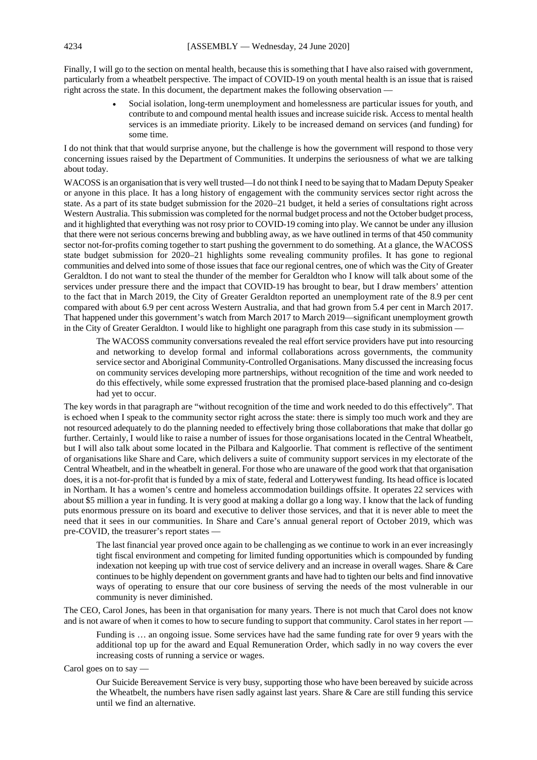Finally, I will go to the section on mental health, because this is something that I have also raised with government, particularly from a wheatbelt perspective. The impact of COVID-19 on youth mental health is an issue that is raised right across the state. In this document, the department makes the following observation —

> • Social isolation, long-term unemployment and homelessness are particular issues for youth, and contribute to and compound mental health issues and increase suicide risk. Access to mental health services is an immediate priority. Likely to be increased demand on services (and funding) for some time.

I do not think that that would surprise anyone, but the challenge is how the government will respond to those very concerning issues raised by the Department of Communities. It underpins the seriousness of what we are talking about today.

WACOSS is an organisation that is very well trusted—I do not think I need to be saying that to Madam Deputy Speaker or anyone in this place. It has a long history of engagement with the community services sector right across the state. As a part of its state budget submission for the 2020–21 budget, it held a series of consultations right across Western Australia. This submission was completed for the normal budget process and not the October budget process, and it highlighted that everything was not rosy prior to COVID-19 coming into play. We cannot be under any illusion that there were not serious concerns brewing and bubbling away, as we have outlined in terms of that 450 community sector not-for-profits coming together to start pushing the government to do something. At a glance, the WACOSS state budget submission for 2020–21 highlights some revealing community profiles. It has gone to regional communities and delved into some of those issues that face our regional centres, one of which was the City of Greater Geraldton. I do not want to steal the thunder of the member for Geraldton who I know will talk about some of the services under pressure there and the impact that COVID-19 has brought to bear, but I draw members' attention to the fact that in March 2019, the City of Greater Geraldton reported an unemployment rate of the 8.9 per cent compared with about 6.9 per cent across Western Australia, and that had grown from 5.4 per cent in March 2017. That happened under this government's watch from March 2017 to March 2019—significant unemployment growth in the City of Greater Geraldton. I would like to highlight one paragraph from this case study in its submission —

The WACOSS community conversations revealed the real effort service providers have put into resourcing and networking to develop formal and informal collaborations across governments, the community service sector and Aboriginal Community-Controlled Organisations. Many discussed the increasing focus on community services developing more partnerships, without recognition of the time and work needed to do this effectively, while some expressed frustration that the promised place-based planning and co-design had yet to occur.

The key words in that paragraph are "without recognition of the time and work needed to do this effectively". That is echoed when I speak to the community sector right across the state: there is simply too much work and they are not resourced adequately to do the planning needed to effectively bring those collaborations that make that dollar go further. Certainly, I would like to raise a number of issues for those organisations located in the Central Wheatbelt, but I will also talk about some located in the Pilbara and Kalgoorlie. That comment is reflective of the sentiment of organisations like Share and Care, which delivers a suite of community support services in my electorate of the Central Wheatbelt, and in the wheatbelt in general. For those who are unaware of the good work that that organisation does, it is a not-for-profit that is funded by a mix of state, federal and Lotterywest funding. Its head office is located in Northam. It has a women's centre and homeless accommodation buildings offsite. It operates 22 services with about \$5 million a year in funding. It is very good at making a dollar go a long way. I know that the lack of funding puts enormous pressure on its board and executive to deliver those services, and that it is never able to meet the need that it sees in our communities. In Share and Care's annual general report of October 2019, which was pre-COVID, the treasurer's report states —

The last financial year proved once again to be challenging as we continue to work in an ever increasingly tight fiscal environment and competing for limited funding opportunities which is compounded by funding indexation not keeping up with true cost of service delivery and an increase in overall wages. Share & Care continues to be highly dependent on government grants and have had to tighten our belts and find innovative ways of operating to ensure that our core business of serving the needs of the most vulnerable in our community is never diminished.

The CEO, Carol Jones, has been in that organisation for many years. There is not much that Carol does not know and is not aware of when it comes to how to secure funding to support that community. Carol states in her report —

Funding is … an ongoing issue. Some services have had the same funding rate for over 9 years with the additional top up for the award and Equal Remuneration Order, which sadly in no way covers the ever increasing costs of running a service or wages.

Carol goes on to say —

Our Suicide Bereavement Service is very busy, supporting those who have been bereaved by suicide across the Wheatbelt, the numbers have risen sadly against last years. Share  $\&$  Care are still funding this service until we find an alternative.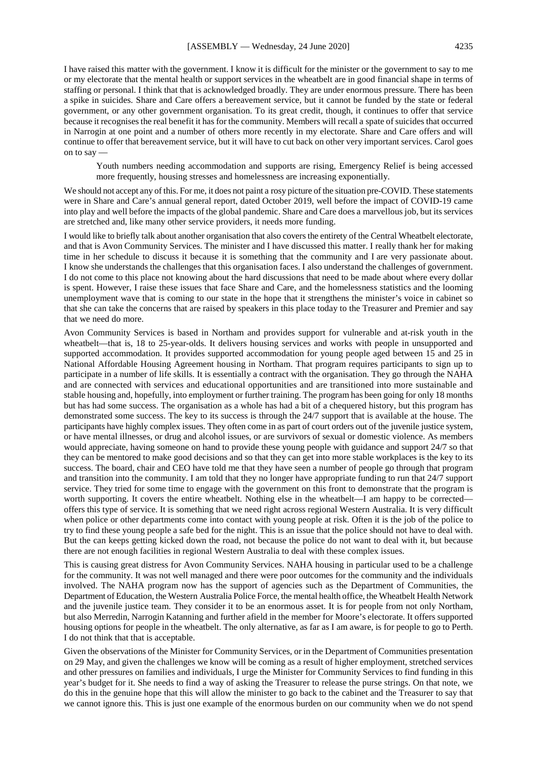I have raised this matter with the government. I know it is difficult for the minister or the government to say to me or my electorate that the mental health or support services in the wheatbelt are in good financial shape in terms of staffing or personal. I think that that is acknowledged broadly. They are under enormous pressure. There has been a spike in suicides. Share and Care offers a bereavement service, but it cannot be funded by the state or federal government, or any other government organisation. To its great credit, though, it continues to offer that service because it recognises the real benefit it has for the community. Members will recall a spate of suicides that occurred in Narrogin at one point and a number of others more recently in my electorate. Share and Care offers and will continue to offer that bereavement service, but it will have to cut back on other very important services. Carol goes on to say —

Youth numbers needing accommodation and supports are rising, Emergency Relief is being accessed more frequently, housing stresses and homelessness are increasing exponentially.

We should not accept any of this. For me, it does not paint a rosy picture of the situation pre-COVID. These statements were in Share and Care's annual general report, dated October 2019, well before the impact of COVID-19 came into play and well before the impacts of the global pandemic. Share and Care does a marvellous job, but its services are stretched and, like many other service providers, it needs more funding.

I would like to briefly talk about another organisation that also covers the entirety of the Central Wheatbelt electorate, and that is Avon Community Services. The minister and I have discussed this matter. I really thank her for making time in her schedule to discuss it because it is something that the community and I are very passionate about. I know she understands the challenges that this organisation faces. I also understand the challenges of government. I do not come to this place not knowing about the hard discussions that need to be made about where every dollar is spent. However, I raise these issues that face Share and Care, and the homelessness statistics and the looming unemployment wave that is coming to our state in the hope that it strengthens the minister's voice in cabinet so that she can take the concerns that are raised by speakers in this place today to the Treasurer and Premier and say that we need do more.

Avon Community Services is based in Northam and provides support for vulnerable and at-risk youth in the wheatbelt—that is, 18 to 25-year-olds. It delivers housing services and works with people in unsupported and supported accommodation. It provides supported accommodation for young people aged between 15 and 25 in National Affordable Housing Agreement housing in Northam. That program requires participants to sign up to participate in a number of life skills. It is essentially a contract with the organisation. They go through the NAHA and are connected with services and educational opportunities and are transitioned into more sustainable and stable housing and, hopefully, into employment or further training. The program has been going for only 18 months but has had some success. The organisation as a whole has had a bit of a chequered history, but this program has demonstrated some success. The key to its success is through the 24/7 support that is available at the house. The participants have highly complex issues. They often come in as part of court orders out of the juvenile justice system, or have mental illnesses, or drug and alcohol issues, or are survivors of sexual or domestic violence. As members would appreciate, having someone on hand to provide these young people with guidance and support 24/7 so that they can be mentored to make good decisions and so that they can get into more stable workplaces is the key to its success. The board, chair and CEO have told me that they have seen a number of people go through that program and transition into the community. I am told that they no longer have appropriate funding to run that 24/7 support service. They tried for some time to engage with the government on this front to demonstrate that the program is worth supporting. It covers the entire wheatbelt. Nothing else in the wheatbelt—I am happy to be corrected offers this type of service. It is something that we need right across regional Western Australia. It is very difficult when police or other departments come into contact with young people at risk. Often it is the job of the police to try to find these young people a safe bed for the night. This is an issue that the police should not have to deal with. But the can keeps getting kicked down the road, not because the police do not want to deal with it, but because there are not enough facilities in regional Western Australia to deal with these complex issues.

This is causing great distress for Avon Community Services. NAHA housing in particular used to be a challenge for the community. It was not well managed and there were poor outcomes for the community and the individuals involved. The NAHA program now has the support of agencies such as the Department of Communities, the Department of Education, the Western Australia Police Force, the mental health office, the Wheatbelt Health Network and the juvenile justice team. They consider it to be an enormous asset. It is for people from not only Northam, but also Merredin, Narrogin Katanning and further afield in the member for Moore's electorate. It offers supported housing options for people in the wheatbelt. The only alternative, as far as I am aware, is for people to go to Perth. I do not think that that is acceptable.

Given the observations of the Minister for Community Services, or in the Department of Communities presentation on 29 May, and given the challenges we know will be coming as a result of higher employment, stretched services and other pressures on families and individuals, I urge the Minister for Community Services to find funding in this year's budget for it. She needs to find a way of asking the Treasurer to release the purse strings. On that note, we do this in the genuine hope that this will allow the minister to go back to the cabinet and the Treasurer to say that we cannot ignore this. This is just one example of the enormous burden on our community when we do not spend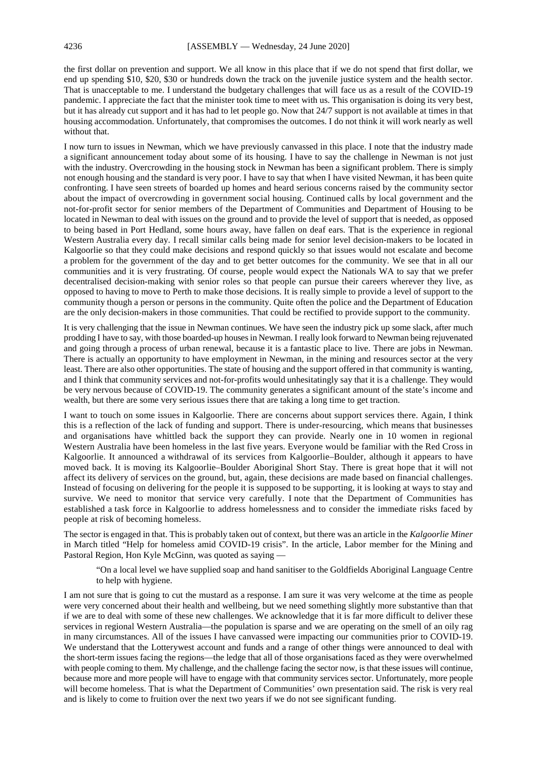the first dollar on prevention and support. We all know in this place that if we do not spend that first dollar, we end up spending \$10, \$20, \$30 or hundreds down the track on the juvenile justice system and the health sector. That is unacceptable to me. I understand the budgetary challenges that will face us as a result of the COVID-19 pandemic. I appreciate the fact that the minister took time to meet with us. This organisation is doing its very best, but it has already cut support and it has had to let people go. Now that 24/7 support is not available at times in that housing accommodation. Unfortunately, that compromises the outcomes. I do not think it will work nearly as well without that.

I now turn to issues in Newman, which we have previously canvassed in this place. I note that the industry made a significant announcement today about some of its housing. I have to say the challenge in Newman is not just with the industry. Overcrowding in the housing stock in Newman has been a significant problem. There is simply not enough housing and the standard is very poor. I have to say that when I have visited Newman, it has been quite confronting. I have seen streets of boarded up homes and heard serious concerns raised by the community sector about the impact of overcrowding in government social housing. Continued calls by local government and the not-for-profit sector for senior members of the Department of Communities and Department of Housing to be located in Newman to deal with issues on the ground and to provide the level of support that is needed, as opposed to being based in Port Hedland, some hours away, have fallen on deaf ears. That is the experience in regional Western Australia every day. I recall similar calls being made for senior level decision-makers to be located in Kalgoorlie so that they could make decisions and respond quickly so that issues would not escalate and become a problem for the government of the day and to get better outcomes for the community. We see that in all our communities and it is very frustrating. Of course, people would expect the Nationals WA to say that we prefer decentralised decision-making with senior roles so that people can pursue their careers wherever they live, as opposed to having to move to Perth to make those decisions. It is really simple to provide a level of support to the community though a person or persons in the community. Quite often the police and the Department of Education are the only decision-makers in those communities. That could be rectified to provide support to the community.

It is very challenging that the issue in Newman continues. We have seen the industry pick up some slack, after much prodding I have to say, with those boarded-up houses in Newman. I really look forward to Newman being rejuvenated and going through a process of urban renewal, because it is a fantastic place to live. There are jobs in Newman. There is actually an opportunity to have employment in Newman, in the mining and resources sector at the very least. There are also other opportunities. The state of housing and the support offered in that community is wanting, and I think that community services and not-for-profits would unhesitatingly say that it is a challenge. They would be very nervous because of COVID-19. The community generates a significant amount of the state's income and wealth, but there are some very serious issues there that are taking a long time to get traction.

I want to touch on some issues in Kalgoorlie. There are concerns about support services there. Again, I think this is a reflection of the lack of funding and support. There is under-resourcing, which means that businesses and organisations have whittled back the support they can provide. Nearly one in 10 women in regional Western Australia have been homeless in the last five years. Everyone would be familiar with the Red Cross in Kalgoorlie. It announced a withdrawal of its services from Kalgoorlie–Boulder, although it appears to have moved back. It is moving its Kalgoorlie–Boulder Aboriginal Short Stay. There is great hope that it will not affect its delivery of services on the ground, but, again, these decisions are made based on financial challenges. Instead of focusing on delivering for the people it is supposed to be supporting, it is looking at ways to stay and survive. We need to monitor that service very carefully. I note that the Department of Communities has established a task force in Kalgoorlie to address homelessness and to consider the immediate risks faced by people at risk of becoming homeless.

The sector is engaged in that. This is probably taken out of context, but there was an article in the *Kalgoorlie Miner*  in March titled "Help for homeless amid COVID-19 crisis". In the article, Labor member for the Mining and Pastoral Region, Hon Kyle McGinn, was quoted as saying —

"On a local level we have supplied soap and hand sanitiser to the Goldfields Aboriginal Language Centre to help with hygiene.

I am not sure that is going to cut the mustard as a response. I am sure it was very welcome at the time as people were very concerned about their health and wellbeing, but we need something slightly more substantive than that if we are to deal with some of these new challenges. We acknowledge that it is far more difficult to deliver these services in regional Western Australia—the population is sparse and we are operating on the smell of an oily rag in many circumstances. All of the issues I have canvassed were impacting our communities prior to COVID-19. We understand that the Lotterywest account and funds and a range of other things were announced to deal with the short-term issues facing the regions—the ledge that all of those organisations faced as they were overwhelmed with people coming to them. My challenge, and the challenge facing the sector now, is that these issues will continue, because more and more people will have to engage with that community services sector. Unfortunately, more people will become homeless. That is what the Department of Communities' own presentation said. The risk is very real and is likely to come to fruition over the next two years if we do not see significant funding.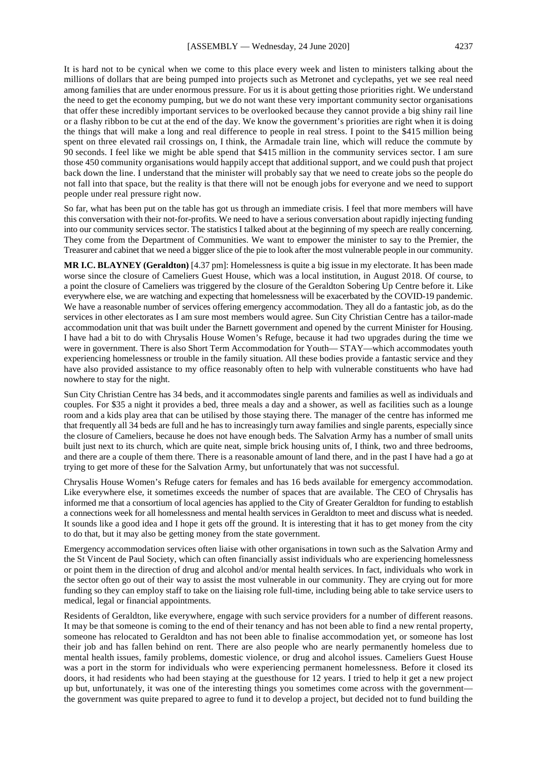It is hard not to be cynical when we come to this place every week and listen to ministers talking about the millions of dollars that are being pumped into projects such as Metronet and cyclepaths, yet we see real need among families that are under enormous pressure. For us it is about getting those priorities right. We understand the need to get the economy pumping, but we do not want these very important community sector organisations that offer these incredibly important services to be overlooked because they cannot provide a big shiny rail line or a flashy ribbon to be cut at the end of the day. We know the government's priorities are right when it is doing the things that will make a long and real difference to people in real stress. I point to the \$415 million being spent on three elevated rail crossings on, I think, the Armadale train line, which will reduce the commute by 90 seconds. I feel like we might be able spend that \$415 million in the community services sector. I am sure those 450 community organisations would happily accept that additional support, and we could push that project back down the line. I understand that the minister will probably say that we need to create jobs so the people do not fall into that space, but the reality is that there will not be enough jobs for everyone and we need to support people under real pressure right now.

So far, what has been put on the table has got us through an immediate crisis. I feel that more members will have this conversation with their not-for-profits. We need to have a serious conversation about rapidly injecting funding into our community services sector. The statistics I talked about at the beginning of my speech are really concerning. They come from the Department of Communities. We want to empower the minister to say to the Premier, the Treasurer and cabinet that we need a bigger slice of the pie to look after the most vulnerable people in our community.

**MR I.C. BLAYNEY (Geraldton)** [4.37 pm]: Homelessness is quite a big issue in my electorate. It has been made worse since the closure of Cameliers Guest House, which was a local institution, in August 2018. Of course, to a point the closure of Cameliers was triggered by the closure of the Geraldton Sobering Up Centre before it. Like everywhere else, we are watching and expecting that homelessness will be exacerbated by the COVID-19 pandemic. We have a reasonable number of services offering emergency accommodation. They all do a fantastic job, as do the services in other electorates as I am sure most members would agree. Sun City Christian Centre has a tailor-made accommodation unit that was built under the Barnett government and opened by the current Minister for Housing. I have had a bit to do with Chrysalis House Women's Refuge, because it had two upgrades during the time we were in government. There is also Short Term Accommodation for Youth— STAY—which accommodates youth experiencing homelessness or trouble in the family situation. All these bodies provide a fantastic service and they have also provided assistance to my office reasonably often to help with vulnerable constituents who have had nowhere to stay for the night.

Sun City Christian Centre has 34 beds, and it accommodates single parents and families as well as individuals and couples. For \$35 a night it provides a bed, three meals a day and a shower, as well as facilities such as a lounge room and a kids play area that can be utilised by those staying there. The manager of the centre has informed me that frequently all 34 beds are full and he has to increasingly turn away families and single parents, especially since the closure of Cameliers, because he does not have enough beds. The Salvation Army has a number of small units built just next to its church, which are quite neat, simple brick housing units of, I think, two and three bedrooms, and there are a couple of them there. There is a reasonable amount of land there, and in the past I have had a go at trying to get more of these for the Salvation Army, but unfortunately that was not successful.

Chrysalis House Women's Refuge caters for females and has 16 beds available for emergency accommodation. Like everywhere else, it sometimes exceeds the number of spaces that are available. The CEO of Chrysalis has informed me that a consortium of local agencies has applied to the City of Greater Geraldton for funding to establish a connections week for all homelessness and mental health services in Geraldton to meet and discuss what is needed. It sounds like a good idea and I hope it gets off the ground. It is interesting that it has to get money from the city to do that, but it may also be getting money from the state government.

Emergency accommodation services often liaise with other organisations in town such as the Salvation Army and the St Vincent de Paul Society, which can often financially assist individuals who are experiencing homelessness or point them in the direction of drug and alcohol and/or mental health services. In fact, individuals who work in the sector often go out of their way to assist the most vulnerable in our community. They are crying out for more funding so they can employ staff to take on the liaising role full-time, including being able to take service users to medical, legal or financial appointments.

Residents of Geraldton, like everywhere, engage with such service providers for a number of different reasons. It may be that someone is coming to the end of their tenancy and has not been able to find a new rental property, someone has relocated to Geraldton and has not been able to finalise accommodation yet, or someone has lost their job and has fallen behind on rent. There are also people who are nearly permanently homeless due to mental health issues, family problems, domestic violence, or drug and alcohol issues. Cameliers Guest House was a port in the storm for individuals who were experiencing permanent homelessness. Before it closed its doors, it had residents who had been staying at the guesthouse for 12 years. I tried to help it get a new project up but, unfortunately, it was one of the interesting things you sometimes come across with the government the government was quite prepared to agree to fund it to develop a project, but decided not to fund building the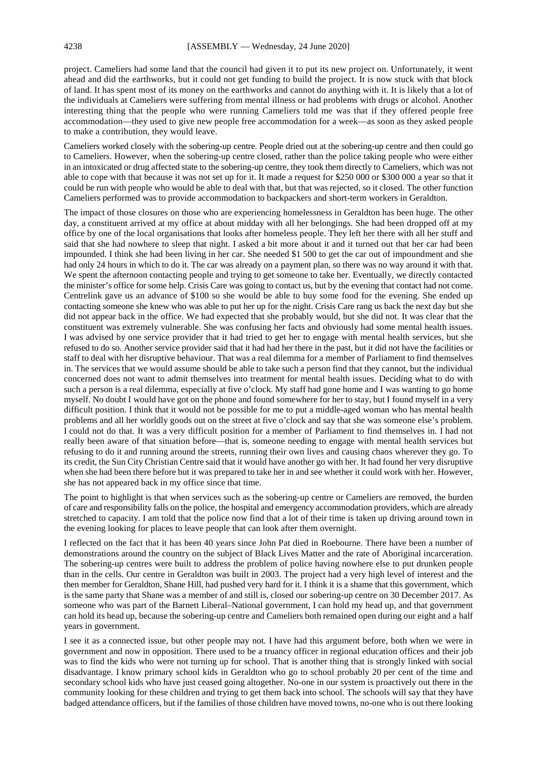project. Cameliers had some land that the council had given it to put its new project on. Unfortunately, it went ahead and did the earthworks, but it could not get funding to build the project. It is now stuck with that block of land. It has spent most of its money on the earthworks and cannot do anything with it. It is likely that a lot of the individuals at Cameliers were suffering from mental illness or had problems with drugs or alcohol. Another interesting thing that the people who were running Cameliers told me was that if they offered people free accommodation—they used to give new people free accommodation for a week—as soon as they asked people to make a contribution, they would leave.

Cameliers worked closely with the sobering-up centre. People dried out at the sobering-up centre and then could go to Cameliers. However, when the sobering-up centre closed, rather than the police taking people who were either in an intoxicated or drug affected state to the sobering-up centre, they took them directly to Cameliers, which was not able to cope with that because it was not set up for it. It made a request for \$250 000 or \$300 000 a year so that it could be run with people who would be able to deal with that, but that was rejected, so it closed. The other function Cameliers performed was to provide accommodation to backpackers and short-term workers in Geraldton.

The impact of those closures on those who are experiencing homelessness in Geraldton has been huge. The other day, a constituent arrived at my office at about midday with all her belongings. She had been dropped off at my office by one of the local organisations that looks after homeless people. They left her there with all her stuff and said that she had nowhere to sleep that night. I asked a bit more about it and it turned out that her car had been impounded. I think she had been living in her car. She needed \$1 500 to get the car out of impoundment and she had only 24 hours in which to do it. The car was already on a payment plan, so there was no way around it with that. We spent the afternoon contacting people and trying to get someone to take her. Eventually, we directly contacted the minister's office for some help. Crisis Care was going to contact us, but by the evening that contact had not come. Centrelink gave us an advance of \$100 so she would be able to buy some food for the evening. She ended up contacting someone she knew who was able to put her up for the night. Crisis Care rang us back the next day but she did not appear back in the office. We had expected that she probably would, but she did not. It was clear that the constituent was extremely vulnerable. She was confusing her facts and obviously had some mental health issues. I was advised by one service provider that it had tried to get her to engage with mental health services, but she refused to do so. Another service provider said that it had had her there in the past, but it did not have the facilities or staff to deal with her disruptive behaviour. That was a real dilemma for a member of Parliament to find themselves in. The services that we would assume should be able to take such a person find that they cannot, but the individual concerned does not want to admit themselves into treatment for mental health issues. Deciding what to do with such a person is a real dilemma, especially at five o'clock. My staff had gone home and I was wanting to go home myself. No doubt I would have got on the phone and found somewhere for her to stay, but I found myself in a very difficult position. I think that it would not be possible for me to put a middle-aged woman who has mental health problems and all her worldly goods out on the street at five o'clock and say that she was someone else's problem. I could not do that. It was a very difficult position for a member of Parliament to find themselves in. I had not really been aware of that situation before—that is, someone needing to engage with mental health services but refusing to do it and running around the streets, running their own lives and causing chaos wherever they go. To its credit, the Sun City Christian Centre said that it would have another go with her. It had found her very disruptive when she had been there before but it was prepared to take her in and see whether it could work with her. However, she has not appeared back in my office since that time.

The point to highlight is that when services such as the sobering-up centre or Cameliers are removed, the burden of care and responsibility falls on the police, the hospital and emergency accommodation providers, which are already stretched to capacity. I am told that the police now find that a lot of their time is taken up driving around town in the evening looking for places to leave people that can look after them overnight.

I reflected on the fact that it has been 40 years since John Pat died in Roebourne. There have been a number of demonstrations around the country on the subject of Black Lives Matter and the rate of Aboriginal incarceration. The sobering-up centres were built to address the problem of police having nowhere else to put drunken people than in the cells. Our centre in Geraldton was built in 2003. The project had a very high level of interest and the then member for Geraldton, Shane Hill, had pushed very hard for it. I think it is a shame that this government, which is the same party that Shane was a member of and still is, closed our sobering-up centre on 30 December 2017. As someone who was part of the Barnett Liberal–National government, I can hold my head up, and that government can hold its head up, because the sobering-up centre and Cameliers both remained open during our eight and a half years in government.

I see it as a connected issue, but other people may not. I have had this argument before, both when we were in government and now in opposition. There used to be a truancy officer in regional education offices and their job was to find the kids who were not turning up for school. That is another thing that is strongly linked with social disadvantage. I know primary school kids in Geraldton who go to school probably 20 per cent of the time and secondary school kids who have just ceased going altogether. No-one in our system is proactively out there in the community looking for these children and trying to get them back into school. The schools will say that they have badged attendance officers, but if the families of those children have moved towns, no-one who is out there looking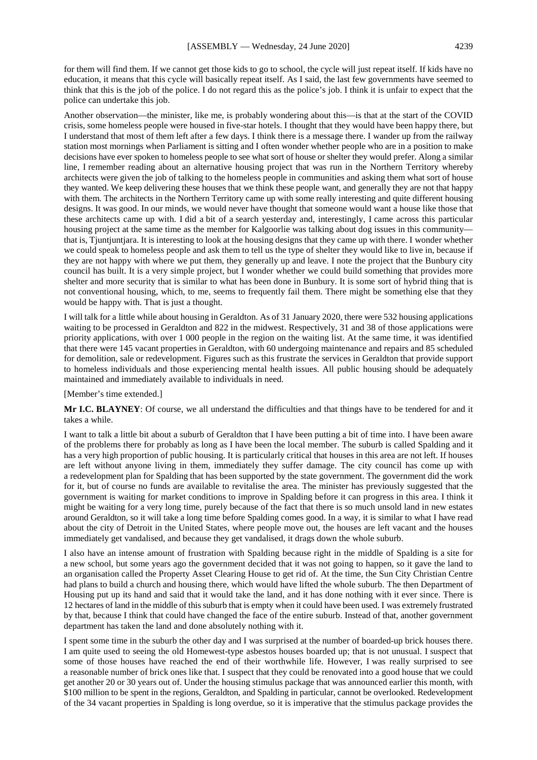for them will find them. If we cannot get those kids to go to school, the cycle will just repeat itself. If kids have no education, it means that this cycle will basically repeat itself. As I said, the last few governments have seemed to think that this is the job of the police. I do not regard this as the police's job. I think it is unfair to expect that the police can undertake this job.

Another observation—the minister, like me, is probably wondering about this—is that at the start of the COVID crisis, some homeless people were housed in five-star hotels. I thought that they would have been happy there, but I understand that most of them left after a few days. I think there is a message there. I wander up from the railway station most mornings when Parliament is sitting and I often wonder whether people who are in a position to make decisions have ever spoken to homeless people to see what sort of house or shelter they would prefer. Along a similar line, I remember reading about an alternative housing project that was run in the Northern Territory whereby architects were given the job of talking to the homeless people in communities and asking them what sort of house they wanted. We keep delivering these houses that we think these people want, and generally they are not that happy with them. The architects in the Northern Territory came up with some really interesting and quite different housing designs. It was good. In our minds, we would never have thought that someone would want a house like those that these architects came up with. I did a bit of a search yesterday and, interestingly, I came across this particular housing project at the same time as the member for Kalgoorlie was talking about dog issues in this community that is, Tjuntjuntjara. It is interesting to look at the housing designs that they came up with there. I wonder whether we could speak to homeless people and ask them to tell us the type of shelter they would like to live in, because if they are not happy with where we put them, they generally up and leave. I note the project that the Bunbury city council has built. It is a very simple project, but I wonder whether we could build something that provides more shelter and more security that is similar to what has been done in Bunbury. It is some sort of hybrid thing that is not conventional housing, which, to me, seems to frequently fail them. There might be something else that they would be happy with. That is just a thought.

I will talk for a little while about housing in Geraldton. As of 31 January 2020, there were 532 housing applications waiting to be processed in Geraldton and 822 in the midwest. Respectively, 31 and 38 of those applications were priority applications, with over 1 000 people in the region on the waiting list. At the same time, it was identified that there were 145 vacant properties in Geraldton, with 60 undergoing maintenance and repairs and 85 scheduled for demolition, sale or redevelopment. Figures such as this frustrate the services in Geraldton that provide support to homeless individuals and those experiencing mental health issues. All public housing should be adequately maintained and immediately available to individuals in need.

#### [Member's time extended.]

**Mr I.C. BLAYNEY**: Of course, we all understand the difficulties and that things have to be tendered for and it takes a while.

I want to talk a little bit about a suburb of Geraldton that I have been putting a bit of time into. I have been aware of the problems there for probably as long as I have been the local member. The suburb is called Spalding and it has a very high proportion of public housing. It is particularly critical that houses in this area are not left. If houses are left without anyone living in them, immediately they suffer damage. The city council has come up with a redevelopment plan for Spalding that has been supported by the state government. The government did the work for it, but of course no funds are available to revitalise the area. The minister has previously suggested that the government is waiting for market conditions to improve in Spalding before it can progress in this area. I think it might be waiting for a very long time, purely because of the fact that there is so much unsold land in new estates around Geraldton, so it will take a long time before Spalding comes good. In a way, it is similar to what I have read about the city of Detroit in the United States, where people move out, the houses are left vacant and the houses immediately get vandalised, and because they get vandalised, it drags down the whole suburb.

I also have an intense amount of frustration with Spalding because right in the middle of Spalding is a site for a new school, but some years ago the government decided that it was not going to happen, so it gave the land to an organisation called the Property Asset Clearing House to get rid of. At the time, the Sun City Christian Centre had plans to build a church and housing there, which would have lifted the whole suburb. The then Department of Housing put up its hand and said that it would take the land, and it has done nothing with it ever since. There is 12 hectares of land in the middle of this suburb that is empty when it could have been used. I was extremely frustrated by that, because I think that could have changed the face of the entire suburb. Instead of that, another government department has taken the land and done absolutely nothing with it.

I spent some time in the suburb the other day and I was surprised at the number of boarded-up brick houses there. I am quite used to seeing the old Homewest-type asbestos houses boarded up; that is not unusual. I suspect that some of those houses have reached the end of their worthwhile life. However, I was really surprised to see a reasonable number of brick ones like that. I suspect that they could be renovated into a good house that we could get another 20 or 30 years out of. Under the housing stimulus package that was announced earlier this month, with \$100 million to be spent in the regions, Geraldton, and Spalding in particular, cannot be overlooked. Redevelopment of the 34 vacant properties in Spalding is long overdue, so it is imperative that the stimulus package provides the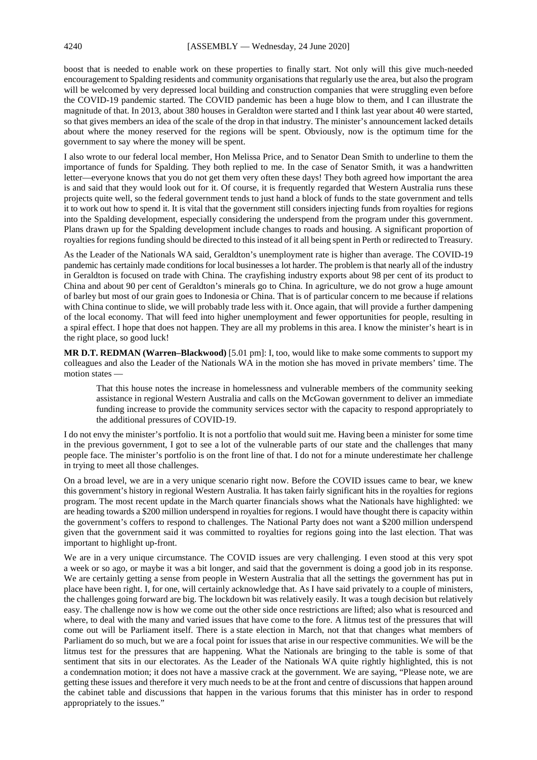boost that is needed to enable work on these properties to finally start. Not only will this give much-needed encouragement to Spalding residents and community organisations that regularly use the area, but also the program will be welcomed by very depressed local building and construction companies that were struggling even before the COVID-19 pandemic started. The COVID pandemic has been a huge blow to them, and I can illustrate the magnitude of that. In 2013, about 380 houses in Geraldton were started and I think last year about 40 were started, so that gives members an idea of the scale of the drop in that industry. The minister's announcement lacked details about where the money reserved for the regions will be spent. Obviously, now is the optimum time for the government to say where the money will be spent.

I also wrote to our federal local member, Hon Melissa Price, and to Senator Dean Smith to underline to them the importance of funds for Spalding. They both replied to me. In the case of Senator Smith, it was a handwritten letter—everyone knows that you do not get them very often these days! They both agreed how important the area is and said that they would look out for it. Of course, it is frequently regarded that Western Australia runs these projects quite well, so the federal government tends to just hand a block of funds to the state government and tells it to work out how to spend it. It is vital that the government still considers injecting funds from royalties for regions into the Spalding development, especially considering the underspend from the program under this government. Plans drawn up for the Spalding development include changes to roads and housing. A significant proportion of royalties for regions funding should be directed to this instead of it all being spent in Perth or redirected to Treasury.

As the Leader of the Nationals WA said, Geraldton's unemployment rate is higher than average. The COVID-19 pandemic has certainly made conditions for local businesses a lot harder. The problem is that nearly all of the industry in Geraldton is focused on trade with China. The crayfishing industry exports about 98 per cent of its product to China and about 90 per cent of Geraldton's minerals go to China. In agriculture, we do not grow a huge amount of barley but most of our grain goes to Indonesia or China. That is of particular concern to me because if relations with China continue to slide, we will probably trade less with it. Once again, that will provide a further dampening of the local economy. That will feed into higher unemployment and fewer opportunities for people, resulting in a spiral effect. I hope that does not happen. They are all my problems in this area. I know the minister's heart is in the right place, so good luck!

**MR D.T. REDMAN (Warren–Blackwood)** [5.01 pm]: I, too, would like to make some comments to support my colleagues and also the Leader of the Nationals WA in the motion she has moved in private members' time. The motion states —

That this house notes the increase in homelessness and vulnerable members of the community seeking assistance in regional Western Australia and calls on the McGowan government to deliver an immediate funding increase to provide the community services sector with the capacity to respond appropriately to the additional pressures of COVID-19.

I do not envy the minister's portfolio. It is not a portfolio that would suit me. Having been a minister for some time in the previous government, I got to see a lot of the vulnerable parts of our state and the challenges that many people face. The minister's portfolio is on the front line of that. I do not for a minute underestimate her challenge in trying to meet all those challenges.

On a broad level, we are in a very unique scenario right now. Before the COVID issues came to bear, we knew this government's history in regional Western Australia. It has taken fairly significant hits in the royalties for regions program. The most recent update in the March quarter financials shows what the Nationals have highlighted: we are heading towards a \$200 million underspend in royalties for regions. I would have thought there is capacity within the government's coffers to respond to challenges. The National Party does not want a \$200 million underspend given that the government said it was committed to royalties for regions going into the last election. That was important to highlight up-front.

We are in a very unique circumstance. The COVID issues are very challenging. I even stood at this very spot a week or so ago, or maybe it was a bit longer, and said that the government is doing a good job in its response. We are certainly getting a sense from people in Western Australia that all the settings the government has put in place have been right. I, for one, will certainly acknowledge that. As I have said privately to a couple of ministers, the challenges going forward are big. The lockdown bit was relatively easily. It was a tough decision but relatively easy. The challenge now is how we come out the other side once restrictions are lifted; also what is resourced and where, to deal with the many and varied issues that have come to the fore. A litmus test of the pressures that will come out will be Parliament itself. There is a state election in March, not that that changes what members of Parliament do so much, but we are a focal point for issues that arise in our respective communities. We will be the litmus test for the pressures that are happening. What the Nationals are bringing to the table is some of that sentiment that sits in our electorates. As the Leader of the Nationals WA quite rightly highlighted, this is not a condemnation motion; it does not have a massive crack at the government. We are saying, "Please note, we are getting these issues and therefore it very much needs to be at the front and centre of discussions that happen around the cabinet table and discussions that happen in the various forums that this minister has in order to respond appropriately to the issues."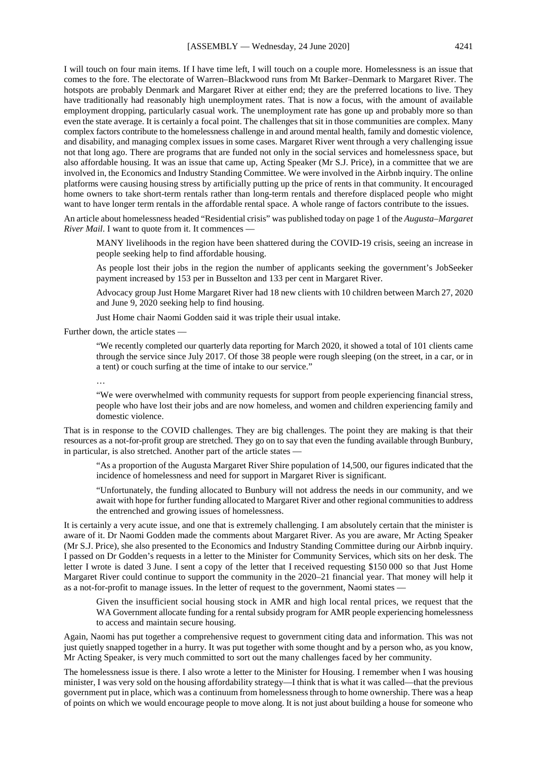I will touch on four main items. If I have time left, I will touch on a couple more. Homelessness is an issue that comes to the fore. The electorate of Warren–Blackwood runs from Mt Barker–Denmark to Margaret River. The hotspots are probably Denmark and Margaret River at either end; they are the preferred locations to live. They have traditionally had reasonably high unemployment rates. That is now a focus, with the amount of available employment dropping, particularly casual work. The unemployment rate has gone up and probably more so than even the state average. It is certainly a focal point. The challenges that sit in those communities are complex. Many complex factors contribute to the homelessness challenge in and around mental health, family and domestic violence, and disability, and managing complex issues in some cases. Margaret River went through a very challenging issue not that long ago. There are programs that are funded not only in the social services and homelessness space, but also affordable housing. It was an issue that came up, Acting Speaker (Mr S.J. Price), in a committee that we are involved in, the Economics and Industry Standing Committee. We were involved in the Airbnb inquiry. The online platforms were causing housing stress by artificially putting up the price of rents in that community. It encouraged home owners to take short-term rentals rather than long-term rentals and therefore displaced people who might want to have longer term rentals in the affordable rental space. A whole range of factors contribute to the issues.

An article about homelessness headed "Residential crisis" was published today on page 1 of the *Augusta–Margaret River Mail*. I want to quote from it. It commences —

MANY livelihoods in the region have been shattered during the COVID-19 crisis, seeing an increase in people seeking help to find affordable housing.

As people lost their jobs in the region the number of applicants seeking the government's JobSeeker payment increased by 153 per in Busselton and 133 per cent in Margaret River.

Advocacy group Just Home Margaret River had 18 new clients with 10 children between March 27, 2020 and June 9, 2020 seeking help to find housing.

Just Home chair Naomi Godden said it was triple their usual intake.

Further down, the article states —

"We recently completed our quarterly data reporting for March 2020, it showed a total of 101 clients came through the service since July 2017. Of those 38 people were rough sleeping (on the street, in a car, or in a tent) or couch surfing at the time of intake to our service."

…

"We were overwhelmed with community requests for support from people experiencing financial stress, people who have lost their jobs and are now homeless, and women and children experiencing family and domestic violence.

That is in response to the COVID challenges. They are big challenges. The point they are making is that their resources as a not-for-profit group are stretched. They go on to say that even the funding available through Bunbury, in particular, is also stretched. Another part of the article states —

"As a proportion of the Augusta Margaret River Shire population of 14,500, our figures indicated that the incidence of homelessness and need for support in Margaret River is significant.

"Unfortunately, the funding allocated to Bunbury will not address the needs in our community, and we await with hope for further funding allocated to Margaret River and other regional communities to address the entrenched and growing issues of homelessness.

It is certainly a very acute issue, and one that is extremely challenging. I am absolutely certain that the minister is aware of it. Dr Naomi Godden made the comments about Margaret River. As you are aware, Mr Acting Speaker (Mr S.J. Price), she also presented to the Economics and Industry Standing Committee during our Airbnb inquiry. I passed on Dr Godden's requests in a letter to the Minister for Community Services, which sits on her desk. The letter I wrote is dated 3 June. I sent a copy of the letter that I received requesting \$150 000 so that Just Home Margaret River could continue to support the community in the 2020–21 financial year. That money will help it as a not-for-profit to manage issues. In the letter of request to the government, Naomi states -

Given the insufficient social housing stock in AMR and high local rental prices, we request that the WA Government allocate funding for a rental subsidy program for AMR people experiencing homelessness to access and maintain secure housing.

Again, Naomi has put together a comprehensive request to government citing data and information. This was not just quietly snapped together in a hurry. It was put together with some thought and by a person who, as you know, Mr Acting Speaker, is very much committed to sort out the many challenges faced by her community.

The homelessness issue is there. I also wrote a letter to the Minister for Housing. I remember when I was housing minister, I was very sold on the housing affordability strategy—I think that is what it was called—that the previous government put in place, which was a continuum from homelessness through to home ownership. There was a heap of points on which we would encourage people to move along. It is not just about building a house for someone who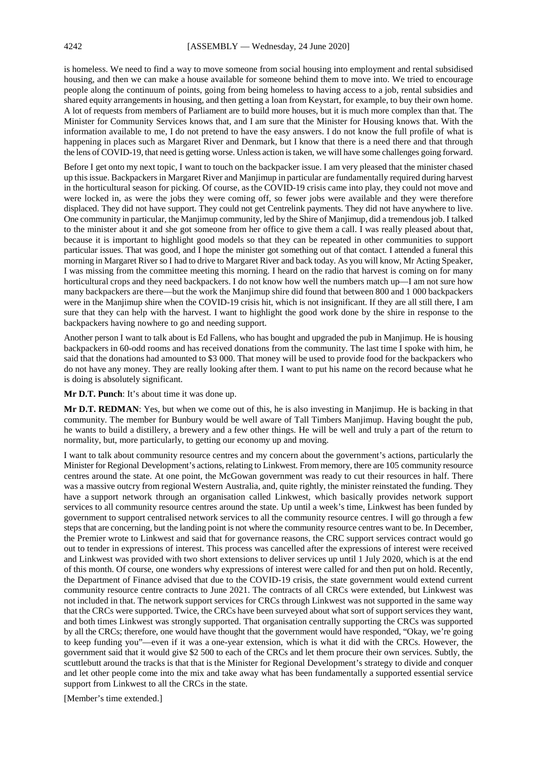is homeless. We need to find a way to move someone from social housing into employment and rental subsidised housing, and then we can make a house available for someone behind them to move into. We tried to encourage people along the continuum of points, going from being homeless to having access to a job, rental subsidies and shared equity arrangements in housing, and then getting a loan from Keystart, for example, to buy their own home. A lot of requests from members of Parliament are to build more houses, but it is much more complex than that. The Minister for Community Services knows that, and I am sure that the Minister for Housing knows that. With the information available to me, I do not pretend to have the easy answers. I do not know the full profile of what is happening in places such as Margaret River and Denmark, but I know that there is a need there and that through the lens of COVID-19, that need is getting worse. Unless action is taken, we will have some challenges going forward.

Before I get onto my next topic, I want to touch on the backpacker issue. I am very pleased that the minister chased up this issue. Backpackers in Margaret River and Manjimup in particular are fundamentally required during harvest in the horticultural season for picking. Of course, as the COVID-19 crisis came into play, they could not move and were locked in, as were the jobs they were coming off, so fewer jobs were available and they were therefore displaced. They did not have support. They could not get Centrelink payments. They did not have anywhere to live. One community in particular, the Manjimup community, led by the Shire of Manjimup, did a tremendous job. I talked to the minister about it and she got someone from her office to give them a call. I was really pleased about that, because it is important to highlight good models so that they can be repeated in other communities to support particular issues. That was good, and I hope the minister got something out of that contact. I attended a funeral this morning in Margaret River so I had to drive to Margaret River and back today. As you will know, Mr Acting Speaker, I was missing from the committee meeting this morning. I heard on the radio that harvest is coming on for many horticultural crops and they need backpackers. I do not know how well the numbers match up—I am not sure how many backpackers are there—but the work the Manjimup shire did found that between 800 and 1 000 backpackers were in the Manjimup shire when the COVID-19 crisis hit, which is not insignificant. If they are all still there, I am sure that they can help with the harvest. I want to highlight the good work done by the shire in response to the backpackers having nowhere to go and needing support.

Another person I want to talk about is Ed Fallens, who has bought and upgraded the pub in Manjimup. He is housing backpackers in 60-odd rooms and has received donations from the community. The last time I spoke with him, he said that the donations had amounted to \$3 000. That money will be used to provide food for the backpackers who do not have any money. They are really looking after them. I want to put his name on the record because what he is doing is absolutely significant.

**Mr D.T. Punch**: It's about time it was done up.

**Mr D.T. REDMAN**: Yes, but when we come out of this, he is also investing in Manjimup. He is backing in that community. The member for Bunbury would be well aware of Tall Timbers Manjimup. Having bought the pub, he wants to build a distillery, a brewery and a few other things. He will be well and truly a part of the return to normality, but, more particularly, to getting our economy up and moving.

I want to talk about community resource centres and my concern about the government's actions, particularly the Minister for Regional Development's actions, relating to Linkwest. From memory, there are 105 community resource centres around the state. At one point, the McGowan government was ready to cut their resources in half. There was a massive outcry from regional Western Australia, and, quite rightly, the minister reinstated the funding. They have a support network through an organisation called Linkwest, which basically provides network support services to all community resource centres around the state. Up until a week's time, Linkwest has been funded by government to support centralised network services to all the community resource centres. I will go through a few steps that are concerning, but the landing point is not where the community resource centres want to be. In December, the Premier wrote to Linkwest and said that for governance reasons, the CRC support services contract would go out to tender in expressions of interest. This process was cancelled after the expressions of interest were received and Linkwest was provided with two short extensions to deliver services up until 1 July 2020, which is at the end of this month. Of course, one wonders why expressions of interest were called for and then put on hold. Recently, the Department of Finance advised that due to the COVID-19 crisis, the state government would extend current community resource centre contracts to June 2021. The contracts of all CRCs were extended, but Linkwest was not included in that. The network support services for CRCs through Linkwest was not supported in the same way that the CRCs were supported. Twice, the CRCs have been surveyed about what sort of support services they want, and both times Linkwest was strongly supported. That organisation centrally supporting the CRCs was supported by all the CRCs; therefore, one would have thought that the government would have responded, "Okay, we're going to keep funding you"—even if it was a one-year extension, which is what it did with the CRCs. However, the government said that it would give \$2 500 to each of the CRCs and let them procure their own services. Subtly, the scuttlebutt around the tracks is that that is the Minister for Regional Development's strategy to divide and conquer and let other people come into the mix and take away what has been fundamentally a supported essential service support from Linkwest to all the CRCs in the state.

[Member's time extended.]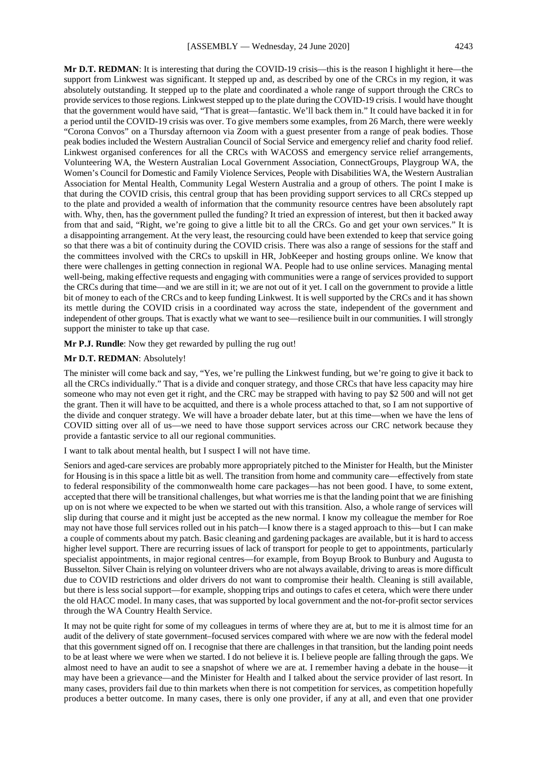**Mr D.T. REDMAN**: It is interesting that during the COVID-19 crisis—this is the reason I highlight it here—the support from Linkwest was significant. It stepped up and, as described by one of the CRCs in my region, it was absolutely outstanding. It stepped up to the plate and coordinated a whole range of support through the CRCs to provide services to those regions. Linkwest stepped up to the plate during the COVID-19 crisis. I would have thought that the government would have said, "That is great—fantastic. We'll back them in." It could have backed it in for a period until the COVID-19 crisis was over. To give members some examples, from 26 March, there were weekly "Corona Convos" on a Thursday afternoon via Zoom with a guest presenter from a range of peak bodies. Those peak bodies included the Western Australian Council of Social Service and emergency relief and charity food relief. Linkwest organised conferences for all the CRCs with WACOSS and emergency service relief arrangements, Volunteering WA, the Western Australian Local Government Association, ConnectGroups, Playgroup WA, the Women's Council for Domestic and Family Violence Services, People with Disabilities WA, the Western Australian Association for Mental Health, Community Legal Western Australia and a group of others. The point I make is that during the COVID crisis, this central group that has been providing support services to all CRCs stepped up to the plate and provided a wealth of information that the community resource centres have been absolutely rapt with. Why, then, has the government pulled the funding? It tried an expression of interest, but then it backed away from that and said, "Right, we're going to give a little bit to all the CRCs. Go and get your own services." It is a disappointing arrangement. At the very least, the resourcing could have been extended to keep that service going so that there was a bit of continuity during the COVID crisis. There was also a range of sessions for the staff and the committees involved with the CRCs to upskill in HR, JobKeeper and hosting groups online. We know that there were challenges in getting connection in regional WA. People had to use online services. Managing mental well-being, making effective requests and engaging with communities were a range of services provided to support the CRCs during that time—and we are still in it; we are not out of it yet. I call on the government to provide a little bit of money to each of the CRCs and to keep funding Linkwest. It is well supported by the CRCs and it has shown its mettle during the COVID crisis in a coordinated way across the state, independent of the government and independent of other groups. That is exactly what we want to see—resilience built in our communities. I will strongly support the minister to take up that case.

**Mr P.J. Rundle**: Now they get rewarded by pulling the rug out!

#### **Mr D.T. REDMAN**: Absolutely!

The minister will come back and say, "Yes, we're pulling the Linkwest funding, but we're going to give it back to all the CRCs individually." That is a divide and conquer strategy, and those CRCs that have less capacity may hire someone who may not even get it right, and the CRC may be strapped with having to pay \$2 500 and will not get the grant. Then it will have to be acquitted, and there is a whole process attached to that, so I am not supportive of the divide and conquer strategy. We will have a broader debate later, but at this time—when we have the lens of COVID sitting over all of us—we need to have those support services across our CRC network because they provide a fantastic service to all our regional communities.

I want to talk about mental health, but I suspect I will not have time.

Seniors and aged-care services are probably more appropriately pitched to the Minister for Health, but the Minister for Housing is in this space a little bit as well. The transition from home and community care—effectively from state to federal responsibility of the commonwealth home care packages—has not been good. I have, to some extent, accepted that there will be transitional challenges, but what worries me is that the landing point that we are finishing up on is not where we expected to be when we started out with this transition. Also, a whole range of services will slip during that course and it might just be accepted as the new normal. I know my colleague the member for Roe may not have those full services rolled out in his patch—I know there is a staged approach to this—but I can make a couple of comments about my patch. Basic cleaning and gardening packages are available, but it is hard to access higher level support. There are recurring issues of lack of transport for people to get to appointments, particularly specialist appointments, in major regional centres—for example, from Boyup Brook to Bunbury and Augusta to Busselton. Silver Chain is relying on volunteer drivers who are not always available, driving to areas is more difficult due to COVID restrictions and older drivers do not want to compromise their health. Cleaning is still available, but there is less social support—for example, shopping trips and outings to cafes et cetera, which were there under the old HACC model. In many cases, that was supported by local government and the not-for-profit sector services through the WA Country Health Service.

It may not be quite right for some of my colleagues in terms of where they are at, but to me it is almost time for an audit of the delivery of state government–focused services compared with where we are now with the federal model that this government signed off on. I recognise that there are challenges in that transition, but the landing point needs to be at least where we were when we started. I do not believe it is. I believe people are falling through the gaps. We almost need to have an audit to see a snapshot of where we are at. I remember having a debate in the house—it may have been a grievance—and the Minister for Health and I talked about the service provider of last resort. In many cases, providers fail due to thin markets when there is not competition for services, as competition hopefully produces a better outcome. In many cases, there is only one provider, if any at all, and even that one provider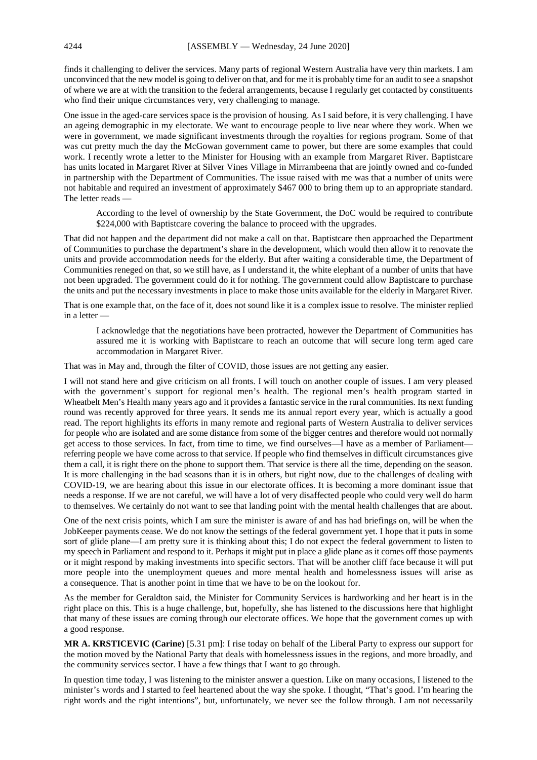finds it challenging to deliver the services. Many parts of regional Western Australia have very thin markets. I am unconvinced that the new model is going to deliver on that, and for me it is probably time for an audit to see a snapshot of where we are at with the transition to the federal arrangements, because I regularly get contacted by constituents who find their unique circumstances very, very challenging to manage.

One issue in the aged-care services space is the provision of housing. As I said before, it is very challenging. I have an ageing demographic in my electorate. We want to encourage people to live near where they work. When we were in government, we made significant investments through the royalties for regions program. Some of that was cut pretty much the day the McGowan government came to power, but there are some examples that could work. I recently wrote a letter to the Minister for Housing with an example from Margaret River. Baptistcare has units located in Margaret River at Silver Vines Village in Mirrambeena that are jointly owned and co-funded in partnership with the Department of Communities. The issue raised with me was that a number of units were not habitable and required an investment of approximately \$467 000 to bring them up to an appropriate standard. The letter reads —

According to the level of ownership by the State Government, the DoC would be required to contribute \$224,000 with Baptistcare covering the balance to proceed with the upgrades.

That did not happen and the department did not make a call on that. Baptistcare then approached the Department of Communities to purchase the department's share in the development, which would then allow it to renovate the units and provide accommodation needs for the elderly. But after waiting a considerable time, the Department of Communities reneged on that, so we still have, as I understand it, the white elephant of a number of units that have not been upgraded. The government could do it for nothing. The government could allow Baptistcare to purchase the units and put the necessary investments in place to make those units available for the elderly in Margaret River.

That is one example that, on the face of it, does not sound like it is a complex issue to resolve. The minister replied in a letter —

I acknowledge that the negotiations have been protracted, however the Department of Communities has assured me it is working with Baptistcare to reach an outcome that will secure long term aged care accommodation in Margaret River.

That was in May and, through the filter of COVID, those issues are not getting any easier.

I will not stand here and give criticism on all fronts. I will touch on another couple of issues. I am very pleased with the government's support for regional men's health. The regional men's health program started in Wheatbelt Men's Health many years ago and it provides a fantastic service in the rural communities. Its next funding round was recently approved for three years. It sends me its annual report every year, which is actually a good read. The report highlights its efforts in many remote and regional parts of Western Australia to deliver services for people who are isolated and are some distance from some of the bigger centres and therefore would not normally get access to those services. In fact, from time to time, we find ourselves—I have as a member of Parliament referring people we have come across to that service. If people who find themselves in difficult circumstances give them a call, it is right there on the phone to support them. That service is there all the time, depending on the season. It is more challenging in the bad seasons than it is in others, but right now, due to the challenges of dealing with COVID-19, we are hearing about this issue in our electorate offices. It is becoming a more dominant issue that needs a response. If we are not careful, we will have a lot of very disaffected people who could very well do harm to themselves. We certainly do not want to see that landing point with the mental health challenges that are about.

One of the next crisis points, which I am sure the minister is aware of and has had briefings on, will be when the JobKeeper payments cease. We do not know the settings of the federal government yet. I hope that it puts in some sort of glide plane—I am pretty sure it is thinking about this; I do not expect the federal government to listen to my speech in Parliament and respond to it. Perhaps it might put in place a glide plane as it comes off those payments or it might respond by making investments into specific sectors. That will be another cliff face because it will put more people into the unemployment queues and more mental health and homelessness issues will arise as a consequence. That is another point in time that we have to be on the lookout for.

As the member for Geraldton said, the Minister for Community Services is hardworking and her heart is in the right place on this. This is a huge challenge, but, hopefully, she has listened to the discussions here that highlight that many of these issues are coming through our electorate offices. We hope that the government comes up with a good response.

**MR A. KRSTICEVIC (Carine)** [5.31 pm]: I rise today on behalf of the Liberal Party to express our support for the motion moved by the National Party that deals with homelessness issues in the regions, and more broadly, and the community services sector. I have a few things that I want to go through.

In question time today, I was listening to the minister answer a question. Like on many occasions, I listened to the minister's words and I started to feel heartened about the way she spoke. I thought, "That's good. I'm hearing the right words and the right intentions", but, unfortunately, we never see the follow through. I am not necessarily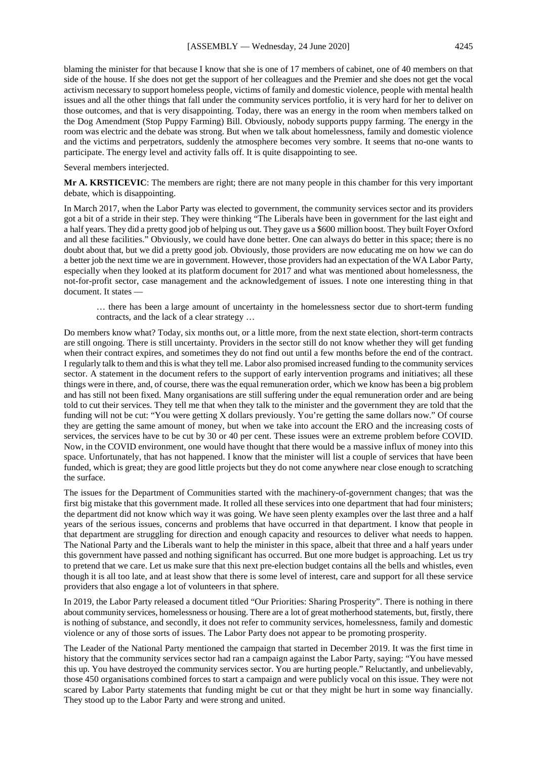blaming the minister for that because I know that she is one of 17 members of cabinet, one of 40 members on that side of the house. If she does not get the support of her colleagues and the Premier and she does not get the vocal activism necessary to support homeless people, victims of family and domestic violence, people with mental health issues and all the other things that fall under the community services portfolio, it is very hard for her to deliver on those outcomes, and that is very disappointing. Today, there was an energy in the room when members talked on the Dog Amendment (Stop Puppy Farming) Bill. Obviously, nobody supports puppy farming. The energy in the room was electric and the debate was strong. But when we talk about homelessness, family and domestic violence and the victims and perpetrators, suddenly the atmosphere becomes very sombre. It seems that no-one wants to participate. The energy level and activity falls off. It is quite disappointing to see.

Several members interjected.

**Mr A. KRSTICEVIC**: The members are right; there are not many people in this chamber for this very important debate, which is disappointing.

In March 2017, when the Labor Party was elected to government, the community services sector and its providers got a bit of a stride in their step. They were thinking "The Liberals have been in government for the last eight and a half years. They did a pretty good job of helping us out. They gave us a \$600 million boost. They built Foyer Oxford and all these facilities." Obviously, we could have done better. One can always do better in this space; there is no doubt about that, but we did a pretty good job. Obviously, those providers are now educating me on how we can do a better job the next time we are in government. However, those providers had an expectation of the WA Labor Party, especially when they looked at its platform document for 2017 and what was mentioned about homelessness, the not-for-profit sector, case management and the acknowledgement of issues. I note one interesting thing in that document. It states —

… there has been a large amount of uncertainty in the homelessness sector due to short-term funding contracts, and the lack of a clear strategy …

Do members know what? Today, six months out, or a little more, from the next state election, short-term contracts are still ongoing. There is still uncertainty. Providers in the sector still do not know whether they will get funding when their contract expires, and sometimes they do not find out until a few months before the end of the contract. I regularly talk to them and this is what they tell me. Labor also promised increased funding to the community services sector. A statement in the document refers to the support of early intervention programs and initiatives; all these things were in there, and, of course, there was the equal remuneration order, which we know has been a big problem and has still not been fixed. Many organisations are still suffering under the equal remuneration order and are being told to cut their services. They tell me that when they talk to the minister and the government they are told that the funding will not be cut: "You were getting X dollars previously. You're getting the same dollars now." Of course they are getting the same amount of money, but when we take into account the ERO and the increasing costs of services, the services have to be cut by 30 or 40 per cent. These issues were an extreme problem before COVID. Now, in the COVID environment, one would have thought that there would be a massive influx of money into this space. Unfortunately, that has not happened. I know that the minister will list a couple of services that have been funded, which is great; they are good little projects but they do not come anywhere near close enough to scratching the surface.

The issues for the Department of Communities started with the machinery-of-government changes; that was the first big mistake that this government made. It rolled all these services into one department that had four ministers; the department did not know which way it was going. We have seen plenty examples over the last three and a half years of the serious issues, concerns and problems that have occurred in that department. I know that people in that department are struggling for direction and enough capacity and resources to deliver what needs to happen. The National Party and the Liberals want to help the minister in this space, albeit that three and a half years under this government have passed and nothing significant has occurred. But one more budget is approaching. Let us try to pretend that we care. Let us make sure that this next pre-election budget contains all the bells and whistles, even though it is all too late, and at least show that there is some level of interest, care and support for all these service providers that also engage a lot of volunteers in that sphere.

In 2019, the Labor Party released a document titled "Our Priorities: Sharing Prosperity". There is nothing in there about community services, homelessness or housing. There are a lot of great motherhood statements, but, firstly, there is nothing of substance, and secondly, it does not refer to community services, homelessness, family and domestic violence or any of those sorts of issues. The Labor Party does not appear to be promoting prosperity.

The Leader of the National Party mentioned the campaign that started in December 2019. It was the first time in history that the community services sector had ran a campaign against the Labor Party, saying: "You have messed this up. You have destroyed the community services sector. You are hurting people." Reluctantly, and unbelievably, those 450 organisations combined forces to start a campaign and were publicly vocal on this issue. They were not scared by Labor Party statements that funding might be cut or that they might be hurt in some way financially. They stood up to the Labor Party and were strong and united.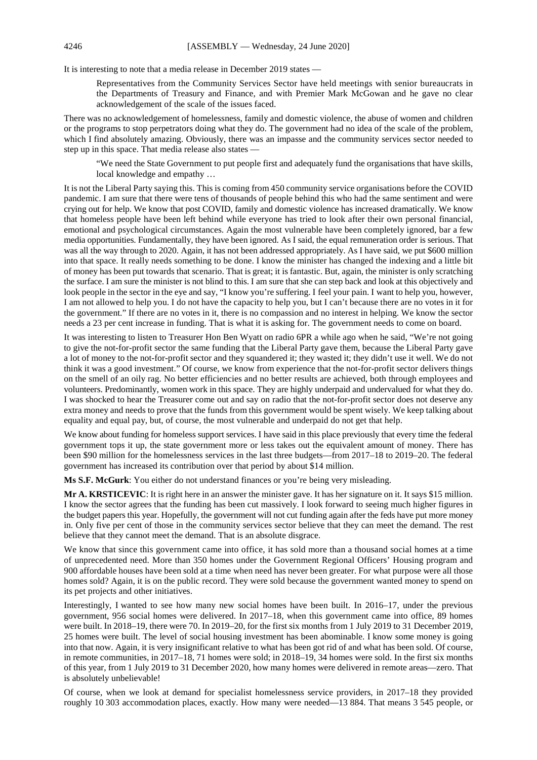It is interesting to note that a media release in December 2019 states —

Representatives from the Community Services Sector have held meetings with senior bureaucrats in the Departments of Treasury and Finance, and with Premier Mark McGowan and he gave no clear acknowledgement of the scale of the issues faced.

There was no acknowledgement of homelessness, family and domestic violence, the abuse of women and children or the programs to stop perpetrators doing what they do. The government had no idea of the scale of the problem, which I find absolutely amazing. Obviously, there was an impasse and the community services sector needed to step up in this space. That media release also states —

"We need the State Government to put people first and adequately fund the organisations that have skills, local knowledge and empathy …

It is not the Liberal Party saying this. This is coming from 450 community service organisations before the COVID pandemic. I am sure that there were tens of thousands of people behind this who had the same sentiment and were crying out for help. We know that post COVID, family and domestic violence has increased dramatically. We know that homeless people have been left behind while everyone has tried to look after their own personal financial, emotional and psychological circumstances. Again the most vulnerable have been completely ignored, bar a few media opportunities. Fundamentally, they have been ignored. As I said, the equal remuneration order is serious. That was all the way through to 2020. Again, it has not been addressed appropriately. As I have said, we put \$600 million into that space. It really needs something to be done. I know the minister has changed the indexing and a little bit of money has been put towards that scenario. That is great; it is fantastic. But, again, the minister is only scratching the surface. I am sure the minister is not blind to this. I am sure that she can step back and look at this objectively and look people in the sector in the eye and say, "I know you're suffering. I feel your pain. I want to help you, however, I am not allowed to help you. I do not have the capacity to help you, but I can't because there are no votes in it for the government." If there are no votes in it, there is no compassion and no interest in helping. We know the sector needs a 23 per cent increase in funding. That is what it is asking for. The government needs to come on board.

It was interesting to listen to Treasurer Hon Ben Wyatt on radio 6PR a while ago when he said, "We're not going to give the not-for-profit sector the same funding that the Liberal Party gave them, because the Liberal Party gave a lot of money to the not-for-profit sector and they squandered it; they wasted it; they didn't use it well. We do not think it was a good investment." Of course, we know from experience that the not-for-profit sector delivers things on the smell of an oily rag. No better efficiencies and no better results are achieved, both through employees and volunteers. Predominantly, women work in this space. They are highly underpaid and undervalued for what they do. I was shocked to hear the Treasurer come out and say on radio that the not-for-profit sector does not deserve any extra money and needs to prove that the funds from this government would be spent wisely. We keep talking about equality and equal pay, but, of course, the most vulnerable and underpaid do not get that help.

We know about funding for homeless support services. I have said in this place previously that every time the federal government tops it up, the state government more or less takes out the equivalent amount of money. There has been \$90 million for the homelessness services in the last three budgets—from 2017–18 to 2019–20. The federal government has increased its contribution over that period by about \$14 million.

**Ms S.F. McGurk**: You either do not understand finances or you're being very misleading.

**Mr A. KRSTICEVIC**: It is right here in an answer the minister gave. It has her signature on it. It says \$15 million. I know the sector agrees that the funding has been cut massively. I look forward to seeing much higher figures in the budget papers this year. Hopefully, the government will not cut funding again after the feds have put more money in. Only five per cent of those in the community services sector believe that they can meet the demand. The rest believe that they cannot meet the demand. That is an absolute disgrace.

We know that since this government came into office, it has sold more than a thousand social homes at a time of unprecedented need. More than 350 homes under the Government Regional Officers' Housing program and 900 affordable houses have been sold at a time when need has never been greater. For what purpose were all those homes sold? Again, it is on the public record. They were sold because the government wanted money to spend on its pet projects and other initiatives.

Interestingly, I wanted to see how many new social homes have been built. In 2016–17, under the previous government, 956 social homes were delivered. In 2017–18, when this government came into office, 89 homes were built. In 2018–19, there were 70. In 2019–20, for the first six months from 1 July 2019 to 31 December 2019, 25 homes were built. The level of social housing investment has been abominable. I know some money is going into that now. Again, it is very insignificant relative to what has been got rid of and what has been sold. Of course, in remote communities, in 2017–18, 71 homes were sold; in 2018–19, 34 homes were sold. In the first six months of this year, from 1 July 2019 to 31 December 2020, how many homes were delivered in remote areas—zero. That is absolutely unbelievable!

Of course, when we look at demand for specialist homelessness service providers, in 2017–18 they provided roughly 10 303 accommodation places, exactly. How many were needed—13 884. That means 3 545 people, or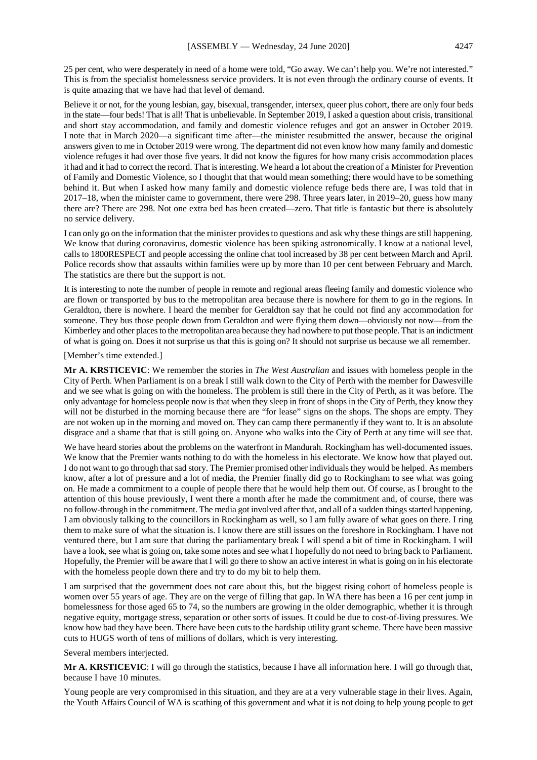25 per cent, who were desperately in need of a home were told, "Go away. We can't help you. We're not interested." This is from the specialist homelessness service providers. It is not even through the ordinary course of events. It is quite amazing that we have had that level of demand.

Believe it or not, for the young lesbian, gay, bisexual, transgender, intersex, queer plus cohort, there are only four beds in the state—four beds! That is all! That is unbelievable. In September 2019, I asked a question about crisis, transitional and short stay accommodation, and family and domestic violence refuges and got an answer in October 2019. I note that in March 2020—a significant time after—the minister resubmitted the answer, because the original answers given to me in October 2019 were wrong. The department did not even know how many family and domestic violence refuges it had over those five years. It did not know the figures for how many crisis accommodation places it had and it had to correct the record. That is interesting. We heard a lot about the creation of a Minister for Prevention of Family and Domestic Violence, so I thought that that would mean something; there would have to be something behind it. But when I asked how many family and domestic violence refuge beds there are, I was told that in 2017–18, when the minister came to government, there were 298. Three years later, in 2019–20, guess how many there are? There are 298. Not one extra bed has been created—zero. That title is fantastic but there is absolutely no service delivery.

I can only go on the information that the minister provides to questions and ask why these things are still happening. We know that during coronavirus, domestic violence has been spiking astronomically. I know at a national level, calls to 1800RESPECT and people accessing the online chat tool increased by 38 per cent between March and April. Police records show that assaults within families were up by more than 10 per cent between February and March. The statistics are there but the support is not.

It is interesting to note the number of people in remote and regional areas fleeing family and domestic violence who are flown or transported by bus to the metropolitan area because there is nowhere for them to go in the regions. In Geraldton, there is nowhere. I heard the member for Geraldton say that he could not find any accommodation for someone. They bus those people down from Geraldton and were flying them down—obviously not now—from the Kimberley and other places to the metropolitan area because they had nowhere to put those people. That is an indictment of what is going on. Does it not surprise us that this is going on? It should not surprise us because we all remember.

#### [Member's time extended.]

**Mr A. KRSTICEVIC**: We remember the stories in *The West Australian* and issues with homeless people in the City of Perth. When Parliament is on a break I still walk down to the City of Perth with the member for Dawesville and we see what is going on with the homeless. The problem is still there in the City of Perth, as it was before. The only advantage for homeless people now is that when they sleep in front of shops in the City of Perth, they know they will not be disturbed in the morning because there are "for lease" signs on the shops. The shops are empty. They are not woken up in the morning and moved on. They can camp there permanently if they want to. It is an absolute disgrace and a shame that that is still going on. Anyone who walks into the City of Perth at any time will see that.

We have heard stories about the problems on the waterfront in Mandurah. Rockingham has well-documented issues. We know that the Premier wants nothing to do with the homeless in his electorate. We know how that played out. I do not want to go through that sad story. The Premier promised other individuals they would be helped. As members know, after a lot of pressure and a lot of media, the Premier finally did go to Rockingham to see what was going on. He made a commitment to a couple of people there that he would help them out. Of course, as I brought to the attention of this house previously, I went there a month after he made the commitment and, of course, there was no follow-through in the commitment. The media got involved after that, and all of a sudden things started happening. I am obviously talking to the councillors in Rockingham as well, so I am fully aware of what goes on there. I ring them to make sure of what the situation is. I know there are still issues on the foreshore in Rockingham. I have not ventured there, but I am sure that during the parliamentary break I will spend a bit of time in Rockingham. I will have a look, see what is going on, take some notes and see what I hopefully do not need to bring back to Parliament. Hopefully, the Premier will be aware that I will go there to show an active interest in what is going on in his electorate with the homeless people down there and try to do my bit to help them.

I am surprised that the government does not care about this, but the biggest rising cohort of homeless people is women over 55 years of age. They are on the verge of filling that gap. In WA there has been a 16 per cent jump in homelessness for those aged 65 to 74, so the numbers are growing in the older demographic, whether it is through negative equity, mortgage stress, separation or other sorts of issues. It could be due to cost-of-living pressures. We know how bad they have been. There have been cuts to the hardship utility grant scheme. There have been massive cuts to HUGS worth of tens of millions of dollars, which is very interesting.

Several members interjected.

**Mr A. KRSTICEVIC**: I will go through the statistics, because I have all information here. I will go through that, because I have 10 minutes.

Young people are very compromised in this situation, and they are at a very vulnerable stage in their lives. Again, the Youth Affairs Council of WA is scathing of this government and what it is not doing to help young people to get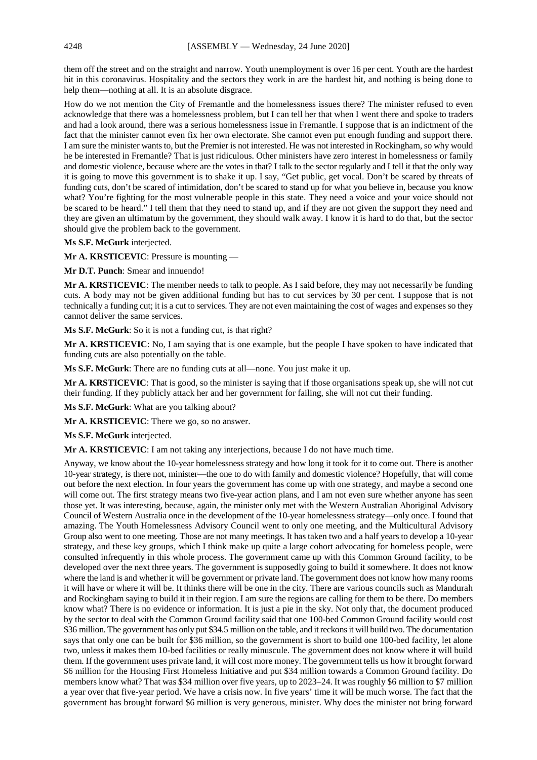them off the street and on the straight and narrow. Youth unemployment is over 16 per cent. Youth are the hardest hit in this coronavirus. Hospitality and the sectors they work in are the hardest hit, and nothing is being done to help them—nothing at all. It is an absolute disgrace.

How do we not mention the City of Fremantle and the homelessness issues there? The minister refused to even acknowledge that there was a homelessness problem, but I can tell her that when I went there and spoke to traders and had a look around, there was a serious homelessness issue in Fremantle. I suppose that is an indictment of the fact that the minister cannot even fix her own electorate. She cannot even put enough funding and support there. I am sure the minister wants to, but the Premier is not interested. He was not interested in Rockingham, so why would he be interested in Fremantle? That is just ridiculous. Other ministers have zero interest in homelessness or family and domestic violence, because where are the votes in that? I talk to the sector regularly and I tell it that the only way it is going to move this government is to shake it up. I say, "Get public, get vocal. Don't be scared by threats of funding cuts, don't be scared of intimidation, don't be scared to stand up for what you believe in, because you know what? You're fighting for the most vulnerable people in this state. They need a voice and your voice should not be scared to be heard." I tell them that they need to stand up, and if they are not given the support they need and they are given an ultimatum by the government, they should walk away. I know it is hard to do that, but the sector should give the problem back to the government.

**Ms S.F. McGurk** interjected.

**Mr A. KRSTICEVIC**: Pressure is mounting —

**Mr D.T. Punch**: Smear and innuendo!

**Mr A. KRSTICEVIC**: The member needs to talk to people. As I said before, they may not necessarily be funding cuts. A body may not be given additional funding but has to cut services by 30 per cent. I suppose that is not technically a funding cut; it is a cut to services. They are not even maintaining the cost of wages and expenses so they cannot deliver the same services.

**Ms S.F. McGurk**: So it is not a funding cut, is that right?

**Mr A. KRSTICEVIC**: No, I am saying that is one example, but the people I have spoken to have indicated that funding cuts are also potentially on the table.

**Ms S.F. McGurk**: There are no funding cuts at all—none. You just make it up.

**Mr A. KRSTICEVIC**: That is good, so the minister is saying that if those organisations speak up, she will not cut their funding. If they publicly attack her and her government for failing, she will not cut their funding.

**Ms S.F. McGurk**: What are you talking about?

**Mr A. KRSTICEVIC**: There we go, so no answer.

**Ms S.F. McGurk** interjected.

**Mr A. KRSTICEVIC**: I am not taking any interjections, because I do not have much time.

Anyway, we know about the 10-year homelessness strategy and how long it took for it to come out. There is another 10-year strategy, is there not, minister—the one to do with family and domestic violence? Hopefully, that will come out before the next election. In four years the government has come up with one strategy, and maybe a second one will come out. The first strategy means two five-year action plans, and I am not even sure whether anyone has seen those yet. It was interesting, because, again, the minister only met with the Western Australian Aboriginal Advisory Council of Western Australia once in the development of the 10-year homelessness strategy—only once. I found that amazing. The Youth Homelessness Advisory Council went to only one meeting, and the Multicultural Advisory Group also went to one meeting. Those are not many meetings. It has taken two and a half years to develop a 10-year strategy, and these key groups, which I think make up quite a large cohort advocating for homeless people, were consulted infrequently in this whole process. The government came up with this Common Ground facility, to be developed over the next three years. The government is supposedly going to build it somewhere. It does not know where the land is and whether it will be government or private land. The government does not know how many rooms it will have or where it will be. It thinks there will be one in the city. There are various councils such as Mandurah and Rockingham saying to build it in their region. I am sure the regions are calling for them to be there. Do members know what? There is no evidence or information. It is just a pie in the sky. Not only that, the document produced by the sector to deal with the Common Ground facility said that one 100-bed Common Ground facility would cost \$36 million. The government has only put \$34.5 million on the table, and it reckons it will build two. The documentation says that only one can be built for \$36 million, so the government is short to build one 100-bed facility, let alone two, unless it makes them 10-bed facilities or really minuscule. The government does not know where it will build them. If the government uses private land, it will cost more money. The government tells us how it brought forward \$6 million for the Housing First Homeless Initiative and put \$34 million towards a Common Ground facility. Do members know what? That was \$34 million over five years, up to 2023–24. It was roughly \$6 million to \$7 million a year over that five-year period. We have a crisis now. In five years' time it will be much worse. The fact that the government has brought forward \$6 million is very generous, minister. Why does the minister not bring forward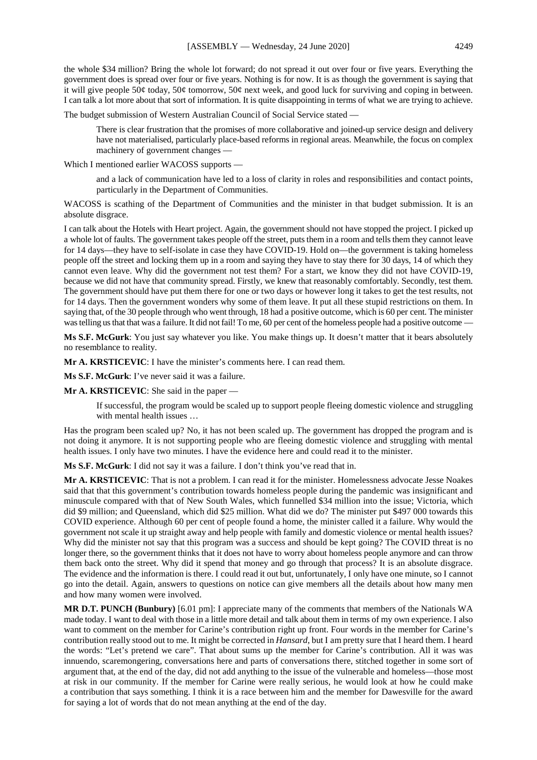the whole \$34 million? Bring the whole lot forward; do not spread it out over four or five years. Everything the government does is spread over four or five years. Nothing is for now. It is as though the government is saying that it will give people 50¢ today, 50¢ tomorrow, 50¢ next week, and good luck for surviving and coping in between. I can talk a lot more about that sort of information. It is quite disappointing in terms of what we are trying to achieve.

The budget submission of Western Australian Council of Social Service stated —

There is clear frustration that the promises of more collaborative and joined-up service design and delivery have not materialised, particularly place-based reforms in regional areas. Meanwhile, the focus on complex machinery of government changes —

Which I mentioned earlier WACOSS supports —

and a lack of communication have led to a loss of clarity in roles and responsibilities and contact points, particularly in the Department of Communities.

WACOSS is scathing of the Department of Communities and the minister in that budget submission. It is an absolute disgrace.

I can talk about the Hotels with Heart project. Again, the government should not have stopped the project. I picked up a whole lot of faults. The government takes people off the street, puts them in a room and tells them they cannot leave for 14 days—they have to self-isolate in case they have COVID-19. Hold on—the government is taking homeless people off the street and locking them up in a room and saying they have to stay there for 30 days, 14 of which they cannot even leave. Why did the government not test them? For a start, we know they did not have COVID-19, because we did not have that community spread. Firstly, we knew that reasonably comfortably. Secondly, test them. The government should have put them there for one or two days or however long it takes to get the test results, not for 14 days. Then the government wonders why some of them leave. It put all these stupid restrictions on them. In saying that, of the 30 people through who went through, 18 had a positive outcome, which is 60 per cent. The minister was telling us that that was a failure. It did not fail! To me, 60 per cent of the homeless people had a positive outcome -

**Ms S.F. McGurk**: You just say whatever you like. You make things up. It doesn't matter that it bears absolutely no resemblance to reality.

**Mr A. KRSTICEVIC**: I have the minister's comments here. I can read them.

**Ms S.F. McGurk**: I've never said it was a failure.

**Mr A. KRSTICEVIC**: She said in the paper —

If successful, the program would be scaled up to support people fleeing domestic violence and struggling with mental health issues …

Has the program been scaled up? No, it has not been scaled up. The government has dropped the program and is not doing it anymore. It is not supporting people who are fleeing domestic violence and struggling with mental health issues. I only have two minutes. I have the evidence here and could read it to the minister.

**Ms S.F. McGurk**: I did not say it was a failure. I don't think you've read that in.

**Mr A. KRSTICEVIC**: That is not a problem. I can read it for the minister. Homelessness advocate Jesse Noakes said that that this government's contribution towards homeless people during the pandemic was insignificant and minuscule compared with that of New South Wales, which funnelled \$34 million into the issue; Victoria, which did \$9 million; and Queensland, which did \$25 million. What did we do? The minister put \$497 000 towards this COVID experience. Although 60 per cent of people found a home, the minister called it a failure. Why would the government not scale it up straight away and help people with family and domestic violence or mental health issues? Why did the minister not say that this program was a success and should be kept going? The COVID threat is no longer there, so the government thinks that it does not have to worry about homeless people anymore and can throw them back onto the street. Why did it spend that money and go through that process? It is an absolute disgrace. The evidence and the information is there. I could read it out but, unfortunately, I only have one minute, so I cannot go into the detail. Again, answers to questions on notice can give members all the details about how many men and how many women were involved.

**MR D.T. PUNCH (Bunbury)** [6.01 pm]: I appreciate many of the comments that members of the Nationals WA made today. I want to deal with those in a little more detail and talk about them in terms of my own experience. I also want to comment on the member for Carine's contribution right up front. Four words in the member for Carine's contribution really stood out to me. It might be corrected in *Hansard*, but I am pretty sure that I heard them. I heard the words: "Let's pretend we care". That about sums up the member for Carine's contribution. All it was was innuendo, scaremongering, conversations here and parts of conversations there, stitched together in some sort of argument that, at the end of the day, did not add anything to the issue of the vulnerable and homeless—those most at risk in our community. If the member for Carine were really serious, he would look at how he could make a contribution that says something. I think it is a race between him and the member for Dawesville for the award for saying a lot of words that do not mean anything at the end of the day.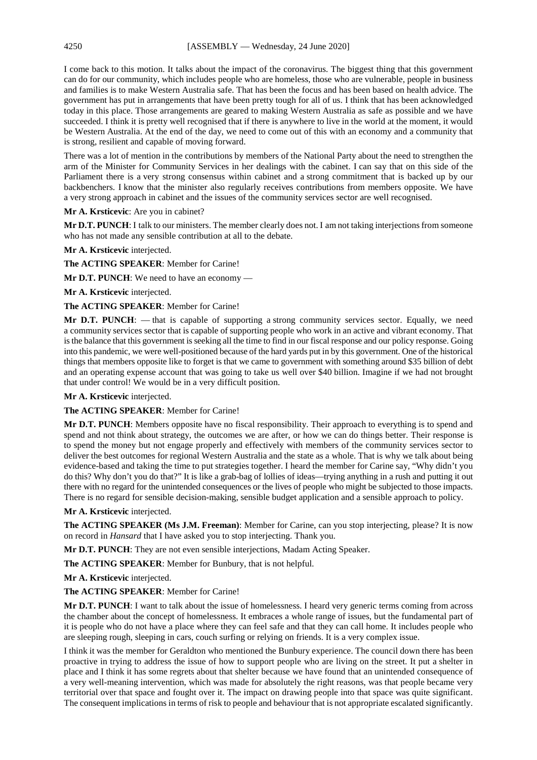I come back to this motion. It talks about the impact of the coronavirus. The biggest thing that this government can do for our community, which includes people who are homeless, those who are vulnerable, people in business and families is to make Western Australia safe. That has been the focus and has been based on health advice. The government has put in arrangements that have been pretty tough for all of us. I think that has been acknowledged today in this place. Those arrangements are geared to making Western Australia as safe as possible and we have succeeded. I think it is pretty well recognised that if there is anywhere to live in the world at the moment, it would be Western Australia. At the end of the day, we need to come out of this with an economy and a community that is strong, resilient and capable of moving forward.

There was a lot of mention in the contributions by members of the National Party about the need to strengthen the arm of the Minister for Community Services in her dealings with the cabinet. I can say that on this side of the Parliament there is a very strong consensus within cabinet and a strong commitment that is backed up by our backbenchers. I know that the minister also regularly receives contributions from members opposite. We have a very strong approach in cabinet and the issues of the community services sector are well recognised.

# **Mr A. Krsticevic**: Are you in cabinet?

**Mr D.T. PUNCH**: I talk to our ministers. The member clearly does not. I am not taking interjections from someone who has not made any sensible contribution at all to the debate.

# **Mr A. Krsticevic** interjected.

**The ACTING SPEAKER**: Member for Carine!

**Mr D.T. PUNCH**: We need to have an economy —

**Mr A. Krsticevic** interjected.

# **The ACTING SPEAKER**: Member for Carine!

Mr D.T. PUNCH: — that is capable of supporting a strong community services sector. Equally, we need a community services sector that is capable of supporting people who work in an active and vibrant economy. That is the balance that this government is seeking all the time to find in our fiscal response and our policy response. Going into this pandemic, we were well-positioned because of the hard yards put in by this government. One of the historical things that members opposite like to forget is that we came to government with something around \$35 billion of debt and an operating expense account that was going to take us well over \$40 billion. Imagine if we had not brought that under control! We would be in a very difficult position.

### **Mr A. Krsticevic** interjected.

# **The ACTING SPEAKER**: Member for Carine!

**Mr D.T. PUNCH**: Members opposite have no fiscal responsibility. Their approach to everything is to spend and spend and not think about strategy, the outcomes we are after, or how we can do things better. Their response is to spend the money but not engage properly and effectively with members of the community services sector to deliver the best outcomes for regional Western Australia and the state as a whole. That is why we talk about being evidence-based and taking the time to put strategies together. I heard the member for Carine say, "Why didn't you do this? Why don't you do that?" It is like a grab-bag of lollies of ideas—trying anything in a rush and putting it out there with no regard for the unintended consequences or the lives of people who might be subjected to those impacts. There is no regard for sensible decision-making, sensible budget application and a sensible approach to policy.

### **Mr A. Krsticevic** interjected.

**The ACTING SPEAKER (Ms J.M. Freeman)**: Member for Carine, can you stop interjecting, please? It is now on record in *Hansard* that I have asked you to stop interjecting. Thank you.

**Mr D.T. PUNCH**: They are not even sensible interjections, Madam Acting Speaker.

**The ACTING SPEAKER**: Member for Bunbury, that is not helpful.

**Mr A. Krsticevic** interjected.

### **The ACTING SPEAKER**: Member for Carine!

**Mr D.T. PUNCH**: I want to talk about the issue of homelessness. I heard very generic terms coming from across the chamber about the concept of homelessness. It embraces a whole range of issues, but the fundamental part of it is people who do not have a place where they can feel safe and that they can call home. It includes people who are sleeping rough, sleeping in cars, couch surfing or relying on friends. It is a very complex issue.

I think it was the member for Geraldton who mentioned the Bunbury experience. The council down there has been proactive in trying to address the issue of how to support people who are living on the street. It put a shelter in place and I think it has some regrets about that shelter because we have found that an unintended consequence of a very well-meaning intervention, which was made for absolutely the right reasons, was that people became very territorial over that space and fought over it. The impact on drawing people into that space was quite significant. The consequent implications in terms of risk to people and behaviour that is not appropriate escalated significantly.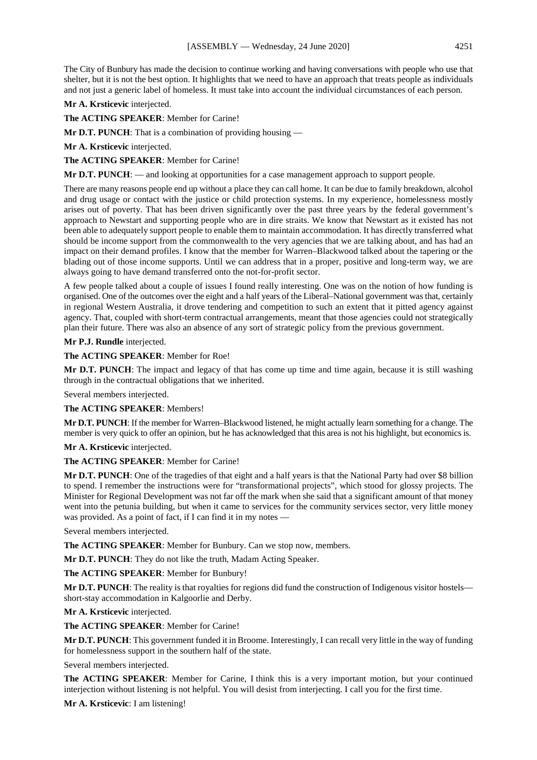The City of Bunbury has made the decision to continue working and having conversations with people who use that shelter, but it is not the best option. It highlights that we need to have an approach that treats people as individuals and not just a generic label of homeless. It must take into account the individual circumstances of each person.

**Mr A. Krsticevic** interjected.

**The ACTING SPEAKER**: Member for Carine!

**Mr D.T. PUNCH:** That is a combination of providing housing —

**Mr A. Krsticevic** interjected.

**The ACTING SPEAKER**: Member for Carine!

**Mr D.T. PUNCH**: — and looking at opportunities for a case management approach to support people.

There are many reasons people end up without a place they can call home. It can be due to family breakdown, alcohol and drug usage or contact with the justice or child protection systems. In my experience, homelessness mostly arises out of poverty. That has been driven significantly over the past three years by the federal government's approach to Newstart and supporting people who are in dire straits. We know that Newstart as it existed has not been able to adequately support people to enable them to maintain accommodation. It has directly transferred what should be income support from the commonwealth to the very agencies that we are talking about, and has had an impact on their demand profiles. I know that the member for Warren–Blackwood talked about the tapering or the blading out of those income supports. Until we can address that in a proper, positive and long-term way, we are always going to have demand transferred onto the not-for-profit sector.

A few people talked about a couple of issues I found really interesting. One was on the notion of how funding is organised. One of the outcomes over the eight and a half years of the Liberal–National government was that, certainly in regional Western Australia, it drove tendering and competition to such an extent that it pitted agency against agency. That, coupled with short-term contractual arrangements, meant that those agencies could not strategically plan their future. There was also an absence of any sort of strategic policy from the previous government.

**Mr P.J. Rundle** interjected.

**The ACTING SPEAKER**: Member for Roe!

**Mr D.T. PUNCH**: The impact and legacy of that has come up time and time again, because it is still washing through in the contractual obligations that we inherited.

Several members interjected.

**The ACTING SPEAKER**: Members!

**Mr D.T. PUNCH**: If the member for Warren–Blackwood listened, he might actually learn something for a change. The member is very quick to offer an opinion, but he has acknowledged that this area is not his highlight, but economics is.

**Mr A. Krsticevic** interjected.

# **The ACTING SPEAKER**: Member for Carine!

**Mr D.T. PUNCH**: One of the tragedies of that eight and a half years is that the National Party had over \$8 billion to spend. I remember the instructions were for "transformational projects", which stood for glossy projects. The Minister for Regional Development was not far off the mark when she said that a significant amount of that money went into the petunia building, but when it came to services for the community services sector, very little money was provided. As a point of fact, if I can find it in my notes —

Several members interjected.

**The ACTING SPEAKER**: Member for Bunbury. Can we stop now, members.

**Mr D.T. PUNCH**: They do not like the truth, Madam Acting Speaker.

**The ACTING SPEAKER**: Member for Bunbury!

**Mr D.T. PUNCH**: The reality is that royalties for regions did fund the construction of Indigenous visitor hostels short-stay accommodation in Kalgoorlie and Derby.

**Mr A. Krsticevic** interjected.

**The ACTING SPEAKER**: Member for Carine!

**Mr D.T. PUNCH**: This government funded it in Broome. Interestingly, I can recall very little in the way of funding for homelessness support in the southern half of the state.

Several members interjected.

**The ACTING SPEAKER**: Member for Carine, I think this is a very important motion, but your continued interjection without listening is not helpful. You will desist from interjecting. I call you for the first time.

**Mr A. Krsticevic**: I am listening!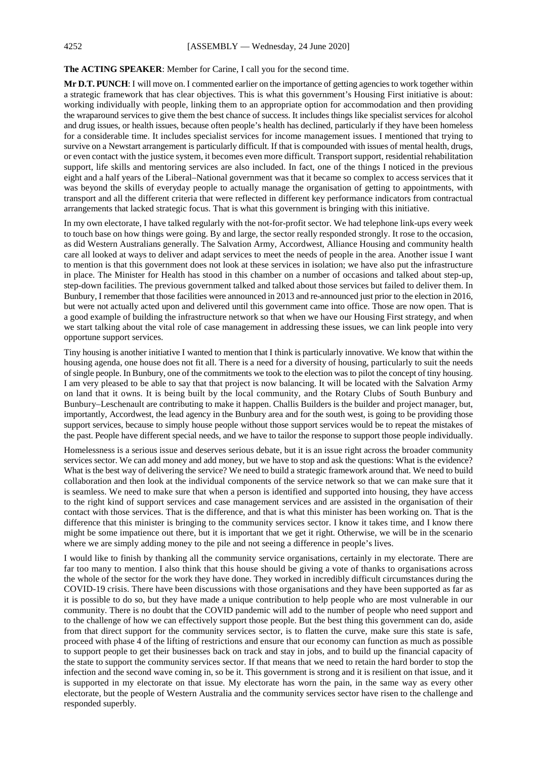### **The ACTING SPEAKER**: Member for Carine, I call you for the second time.

**Mr D.T. PUNCH**: I will move on. I commented earlier on the importance of getting agencies to work together within a strategic framework that has clear objectives. This is what this government's Housing First initiative is about: working individually with people, linking them to an appropriate option for accommodation and then providing the wraparound services to give them the best chance of success. It includes things like specialist services for alcohol and drug issues, or health issues, because often people's health has declined, particularly if they have been homeless for a considerable time. It includes specialist services for income management issues. I mentioned that trying to survive on a Newstart arrangement is particularly difficult. If that is compounded with issues of mental health, drugs, or even contact with the justice system, it becomes even more difficult. Transport support, residential rehabilitation support, life skills and mentoring services are also included. In fact, one of the things I noticed in the previous eight and a half years of the Liberal–National government was that it became so complex to access services that it was beyond the skills of everyday people to actually manage the organisation of getting to appointments, with transport and all the different criteria that were reflected in different key performance indicators from contractual arrangements that lacked strategic focus. That is what this government is bringing with this initiative.

In my own electorate, I have talked regularly with the not-for-profit sector. We had telephone link-ups every week to touch base on how things were going. By and large, the sector really responded strongly. It rose to the occasion, as did Western Australians generally. The Salvation Army, Accordwest, Alliance Housing and community health care all looked at ways to deliver and adapt services to meet the needs of people in the area. Another issue I want to mention is that this government does not look at these services in isolation; we have also put the infrastructure in place. The Minister for Health has stood in this chamber on a number of occasions and talked about step-up, step-down facilities. The previous government talked and talked about those services but failed to deliver them. In Bunbury, I remember that those facilities were announced in 2013 and re-announced just prior to the election in 2016, but were not actually acted upon and delivered until this government came into office. Those are now open. That is a good example of building the infrastructure network so that when we have our Housing First strategy, and when we start talking about the vital role of case management in addressing these issues, we can link people into very opportune support services.

Tiny housing is another initiative I wanted to mention that I think is particularly innovative. We know that within the housing agenda, one house does not fit all. There is a need for a diversity of housing, particularly to suit the needs of single people. In Bunbury, one of the commitments we took to the election was to pilot the concept of tiny housing. I am very pleased to be able to say that that project is now balancing. It will be located with the Salvation Army on land that it owns. It is being built by the local community, and the Rotary Clubs of South Bunbury and Bunbury–Leschenault are contributing to make it happen. Challis Builders is the builder and project manager, but, importantly, Accordwest, the lead agency in the Bunbury area and for the south west, is going to be providing those support services, because to simply house people without those support services would be to repeat the mistakes of the past. People have different special needs, and we have to tailor the response to support those people individually.

Homelessness is a serious issue and deserves serious debate, but it is an issue right across the broader community services sector. We can add money and add money, but we have to stop and ask the questions: What is the evidence? What is the best way of delivering the service? We need to build a strategic framework around that. We need to build collaboration and then look at the individual components of the service network so that we can make sure that it is seamless. We need to make sure that when a person is identified and supported into housing, they have access to the right kind of support services and case management services and are assisted in the organisation of their contact with those services. That is the difference, and that is what this minister has been working on. That is the difference that this minister is bringing to the community services sector. I know it takes time, and I know there might be some impatience out there, but it is important that we get it right. Otherwise, we will be in the scenario where we are simply adding money to the pile and not seeing a difference in people's lives.

I would like to finish by thanking all the community service organisations, certainly in my electorate. There are far too many to mention. I also think that this house should be giving a vote of thanks to organisations across the whole of the sector for the work they have done. They worked in incredibly difficult circumstances during the COVID-19 crisis. There have been discussions with those organisations and they have been supported as far as it is possible to do so, but they have made a unique contribution to help people who are most vulnerable in our community. There is no doubt that the COVID pandemic will add to the number of people who need support and to the challenge of how we can effectively support those people. But the best thing this government can do, aside from that direct support for the community services sector, is to flatten the curve, make sure this state is safe, proceed with phase 4 of the lifting of restrictions and ensure that our economy can function as much as possible to support people to get their businesses back on track and stay in jobs, and to build up the financial capacity of the state to support the community services sector. If that means that we need to retain the hard border to stop the infection and the second wave coming in, so be it. This government is strong and it is resilient on that issue, and it is supported in my electorate on that issue. My electorate has worn the pain, in the same way as every other electorate, but the people of Western Australia and the community services sector have risen to the challenge and responded superbly.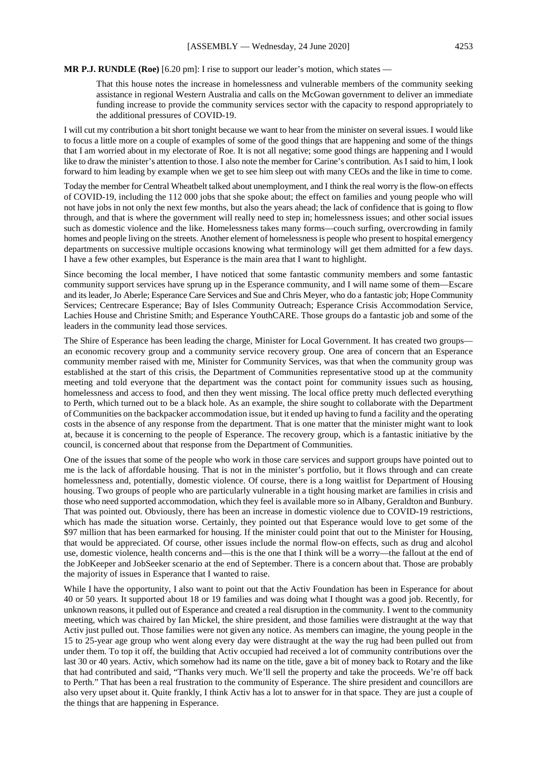#### **MR P.J. RUNDLE (Roe)** [6.20 pm]: I rise to support our leader's motion, which states —

That this house notes the increase in homelessness and vulnerable members of the community seeking assistance in regional Western Australia and calls on the McGowan government to deliver an immediate funding increase to provide the community services sector with the capacity to respond appropriately to the additional pressures of COVID-19.

I will cut my contribution a bit short tonight because we want to hear from the minister on several issues. I would like to focus a little more on a couple of examples of some of the good things that are happening and some of the things that I am worried about in my electorate of Roe. It is not all negative; some good things are happening and I would like to draw the minister's attention to those. I also note the member for Carine's contribution. As I said to him, I look forward to him leading by example when we get to see him sleep out with many CEOs and the like in time to come.

Today the member for Central Wheatbelt talked about unemployment, and I think the real worry is the flow-on effects of COVID-19, including the 112 000 jobs that she spoke about; the effect on families and young people who will not have jobs in not only the next few months, but also the years ahead; the lack of confidence that is going to flow through, and that is where the government will really need to step in; homelessness issues; and other social issues such as domestic violence and the like. Homelessness takes many forms—couch surfing, overcrowding in family homes and people living on the streets. Another element of homelessness is people who present to hospital emergency departments on successive multiple occasions knowing what terminology will get them admitted for a few days. I have a few other examples, but Esperance is the main area that I want to highlight.

Since becoming the local member, I have noticed that some fantastic community members and some fantastic community support services have sprung up in the Esperance community, and I will name some of them—Escare and its leader, Jo Aberle; Esperance Care Services and Sue and Chris Meyer, who do a fantastic job; Hope Community Services; Centrecare Esperance; Bay of Isles Community Outreach; Esperance Crisis Accommodation Service, Lachies House and Christine Smith; and Esperance YouthCARE. Those groups do a fantastic job and some of the leaders in the community lead those services.

The Shire of Esperance has been leading the charge, Minister for Local Government. It has created two groups an economic recovery group and a community service recovery group. One area of concern that an Esperance community member raised with me, Minister for Community Services, was that when the community group was established at the start of this crisis, the Department of Communities representative stood up at the community meeting and told everyone that the department was the contact point for community issues such as housing, homelessness and access to food, and then they went missing. The local office pretty much deflected everything to Perth, which turned out to be a black hole. As an example, the shire sought to collaborate with the Department of Communities on the backpacker accommodation issue, but it ended up having to fund a facility and the operating costs in the absence of any response from the department. That is one matter that the minister might want to look at, because it is concerning to the people of Esperance. The recovery group, which is a fantastic initiative by the council, is concerned about that response from the Department of Communities.

One of the issues that some of the people who work in those care services and support groups have pointed out to me is the lack of affordable housing. That is not in the minister's portfolio, but it flows through and can create homelessness and, potentially, domestic violence. Of course, there is a long waitlist for Department of Housing housing. Two groups of people who are particularly vulnerable in a tight housing market are families in crisis and those who need supported accommodation, which they feel is available more so in Albany, Geraldton and Bunbury. That was pointed out. Obviously, there has been an increase in domestic violence due to COVID-19 restrictions, which has made the situation worse. Certainly, they pointed out that Esperance would love to get some of the \$97 million that has been earmarked for housing. If the minister could point that out to the Minister for Housing, that would be appreciated. Of course, other issues include the normal flow-on effects, such as drug and alcohol use, domestic violence, health concerns and—this is the one that I think will be a worry—the fallout at the end of the JobKeeper and JobSeeker scenario at the end of September. There is a concern about that. Those are probably the majority of issues in Esperance that I wanted to raise.

While I have the opportunity, I also want to point out that the Activ Foundation has been in Esperance for about 40 or 50 years. It supported about 18 or 19 families and was doing what I thought was a good job. Recently, for unknown reasons, it pulled out of Esperance and created a real disruption in the community. I went to the community meeting, which was chaired by Ian Mickel, the shire president, and those families were distraught at the way that Activ just pulled out. Those families were not given any notice. As members can imagine, the young people in the 15 to 25-year age group who went along every day were distraught at the way the rug had been pulled out from under them. To top it off, the building that Activ occupied had received a lot of community contributions over the last 30 or 40 years. Activ, which somehow had its name on the title, gave a bit of money back to Rotary and the like that had contributed and said, "Thanks very much. We'll sell the property and take the proceeds. We're off back to Perth." That has been a real frustration to the community of Esperance. The shire president and councillors are also very upset about it. Quite frankly, I think Activ has a lot to answer for in that space. They are just a couple of the things that are happening in Esperance.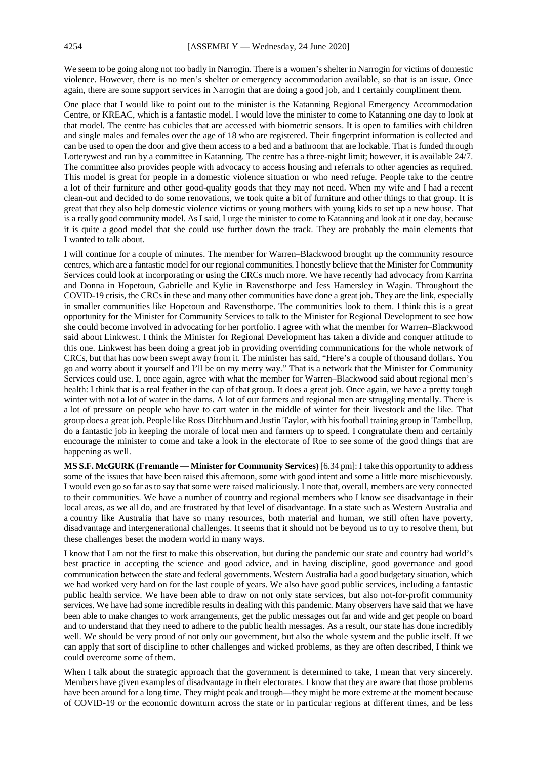We seem to be going along not too badly in Narrogin. There is a women's shelter in Narrogin for victims of domestic violence. However, there is no men's shelter or emergency accommodation available, so that is an issue. Once again, there are some support services in Narrogin that are doing a good job, and I certainly compliment them.

One place that I would like to point out to the minister is the Katanning Regional Emergency Accommodation Centre, or KREAC, which is a fantastic model. I would love the minister to come to Katanning one day to look at that model. The centre has cubicles that are accessed with biometric sensors. It is open to families with children and single males and females over the age of 18 who are registered. Their fingerprint information is collected and can be used to open the door and give them access to a bed and a bathroom that are lockable. That is funded through Lotterywest and run by a committee in Katanning. The centre has a three-night limit; however, it is available 24/7. The committee also provides people with advocacy to access housing and referrals to other agencies as required. This model is great for people in a domestic violence situation or who need refuge. People take to the centre a lot of their furniture and other good-quality goods that they may not need. When my wife and I had a recent clean-out and decided to do some renovations, we took quite a bit of furniture and other things to that group. It is great that they also help domestic violence victims or young mothers with young kids to set up a new house. That is a really good community model. As I said, I urge the minister to come to Katanning and look at it one day, because it is quite a good model that she could use further down the track. They are probably the main elements that I wanted to talk about.

I will continue for a couple of minutes. The member for Warren–Blackwood brought up the community resource centres, which are a fantastic model for our regional communities. I honestly believe that the Minister for Community Services could look at incorporating or using the CRCs much more. We have recently had advocacy from Karrina and Donna in Hopetoun, Gabrielle and Kylie in Ravensthorpe and Jess Hamersley in Wagin. Throughout the COVID-19 crisis, the CRCs in these and many other communities have done a great job. They are the link, especially in smaller communities like Hopetoun and Ravensthorpe. The communities look to them. I think this is a great opportunity for the Minister for Community Services to talk to the Minister for Regional Development to see how she could become involved in advocating for her portfolio. I agree with what the member for Warren–Blackwood said about Linkwest. I think the Minister for Regional Development has taken a divide and conquer attitude to this one. Linkwest has been doing a great job in providing overriding communications for the whole network of CRCs, but that has now been swept away from it. The minister has said, "Here's a couple of thousand dollars. You go and worry about it yourself and I'll be on my merry way." That is a network that the Minister for Community Services could use. I, once again, agree with what the member for Warren–Blackwood said about regional men's health: I think that is a real feather in the cap of that group. It does a great job. Once again, we have a pretty tough winter with not a lot of water in the dams. A lot of our farmers and regional men are struggling mentally. There is a lot of pressure on people who have to cart water in the middle of winter for their livestock and the like. That group does a great job. People like Ross Ditchburn and Justin Taylor, with his football training group in Tambellup, do a fantastic job in keeping the morale of local men and farmers up to speed. I congratulate them and certainly encourage the minister to come and take a look in the electorate of Roe to see some of the good things that are happening as well.

**MS S.F. McGURK (Fremantle — Minister for Community Services)** [6.34 pm]: I take this opportunity to address some of the issues that have been raised this afternoon, some with good intent and some a little more mischievously. I would even go so far as to say that some were raised maliciously. I note that, overall, members are very connected to their communities. We have a number of country and regional members who I know see disadvantage in their local areas, as we all do, and are frustrated by that level of disadvantage. In a state such as Western Australia and a country like Australia that have so many resources, both material and human, we still often have poverty, disadvantage and intergenerational challenges. It seems that it should not be beyond us to try to resolve them, but these challenges beset the modern world in many ways.

I know that I am not the first to make this observation, but during the pandemic our state and country had world's best practice in accepting the science and good advice, and in having discipline, good governance and good communication between the state and federal governments. Western Australia had a good budgetary situation, which we had worked very hard on for the last couple of years. We also have good public services, including a fantastic public health service. We have been able to draw on not only state services, but also not-for-profit community services. We have had some incredible results in dealing with this pandemic. Many observers have said that we have been able to make changes to work arrangements, get the public messages out far and wide and get people on board and to understand that they need to adhere to the public health messages. As a result, our state has done incredibly well. We should be very proud of not only our government, but also the whole system and the public itself. If we can apply that sort of discipline to other challenges and wicked problems, as they are often described, I think we could overcome some of them.

When I talk about the strategic approach that the government is determined to take, I mean that very sincerely. Members have given examples of disadvantage in their electorates. I know that they are aware that those problems have been around for a long time. They might peak and trough—they might be more extreme at the moment because of COVID-19 or the economic downturn across the state or in particular regions at different times, and be less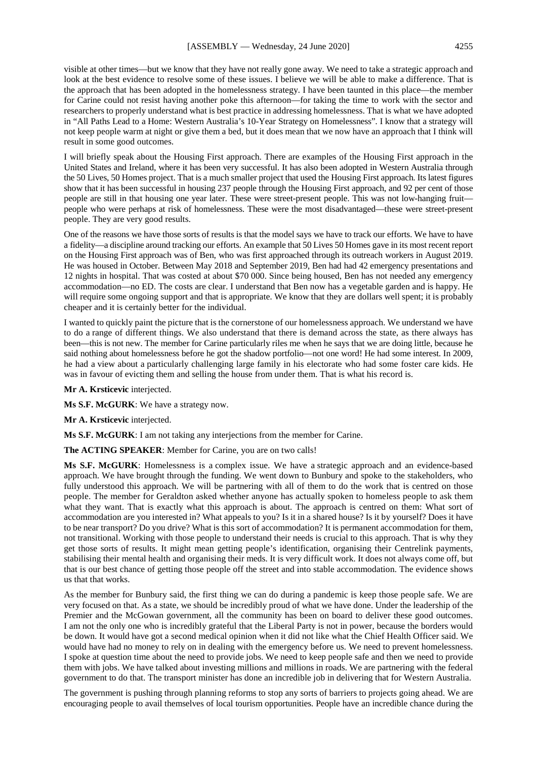visible at other times—but we know that they have not really gone away. We need to take a strategic approach and look at the best evidence to resolve some of these issues. I believe we will be able to make a difference. That is the approach that has been adopted in the homelessness strategy. I have been taunted in this place—the member for Carine could not resist having another poke this afternoon—for taking the time to work with the sector and researchers to properly understand what is best practice in addressing homelessness. That is what we have adopted in "All Paths Lead to a Home: Western Australia's 10-Year Strategy on Homelessness". I know that a strategy will not keep people warm at night or give them a bed, but it does mean that we now have an approach that I think will result in some good outcomes.

I will briefly speak about the Housing First approach. There are examples of the Housing First approach in the United States and Ireland, where it has been very successful. It has also been adopted in Western Australia through the 50 Lives, 50 Homes project. That is a much smaller project that used the Housing First approach. Its latest figures show that it has been successful in housing 237 people through the Housing First approach, and 92 per cent of those people are still in that housing one year later. These were street-present people. This was not low-hanging fruit people who were perhaps at risk of homelessness. These were the most disadvantaged—these were street-present people. They are very good results.

One of the reasons we have those sorts of results is that the model says we have to track our efforts. We have to have a fidelity—a discipline around tracking our efforts. An example that 50 Lives 50 Homes gave in its most recent report on the Housing First approach was of Ben, who was first approached through its outreach workers in August 2019. He was housed in October. Between May 2018 and September 2019, Ben had had 42 emergency presentations and 12 nights in hospital. That was costed at about \$70 000. Since being housed, Ben has not needed any emergency accommodation—no ED. The costs are clear. I understand that Ben now has a vegetable garden and is happy. He will require some ongoing support and that is appropriate. We know that they are dollars well spent; it is probably cheaper and it is certainly better for the individual.

I wanted to quickly paint the picture that is the cornerstone of our homelessness approach. We understand we have to do a range of different things. We also understand that there is demand across the state, as there always has been—this is not new. The member for Carine particularly riles me when he says that we are doing little, because he said nothing about homelessness before he got the shadow portfolio—not one word! He had some interest. In 2009, he had a view about a particularly challenging large family in his electorate who had some foster care kids. He was in favour of evicting them and selling the house from under them. That is what his record is.

**Mr A. Krsticevic** interjected.

**Ms S.F. McGURK**: We have a strategy now.

**Mr A. Krsticevic** interjected.

**Ms S.F. McGURK**: I am not taking any interjections from the member for Carine.

**The ACTING SPEAKER**: Member for Carine, you are on two calls!

**Ms S.F. McGURK**: Homelessness is a complex issue. We have a strategic approach and an evidence-based approach. We have brought through the funding. We went down to Bunbury and spoke to the stakeholders, who fully understood this approach. We will be partnering with all of them to do the work that is centred on those people. The member for Geraldton asked whether anyone has actually spoken to homeless people to ask them what they want. That is exactly what this approach is about. The approach is centred on them: What sort of accommodation are you interested in? What appeals to you? Is it in a shared house? Is it by yourself? Does it have to be near transport? Do you drive? What is this sort of accommodation? It is permanent accommodation for them, not transitional. Working with those people to understand their needs is crucial to this approach. That is why they get those sorts of results. It might mean getting people's identification, organising their Centrelink payments, stabilising their mental health and organising their meds. It is very difficult work. It does not always come off, but that is our best chance of getting those people off the street and into stable accommodation. The evidence shows us that that works.

As the member for Bunbury said, the first thing we can do during a pandemic is keep those people safe. We are very focused on that. As a state, we should be incredibly proud of what we have done. Under the leadership of the Premier and the McGowan government, all the community has been on board to deliver these good outcomes. I am not the only one who is incredibly grateful that the Liberal Party is not in power, because the borders would be down. It would have got a second medical opinion when it did not like what the Chief Health Officer said. We would have had no money to rely on in dealing with the emergency before us. We need to prevent homelessness. I spoke at question time about the need to provide jobs. We need to keep people safe and then we need to provide them with jobs. We have talked about investing millions and millions in roads. We are partnering with the federal government to do that. The transport minister has done an incredible job in delivering that for Western Australia.

The government is pushing through planning reforms to stop any sorts of barriers to projects going ahead. We are encouraging people to avail themselves of local tourism opportunities. People have an incredible chance during the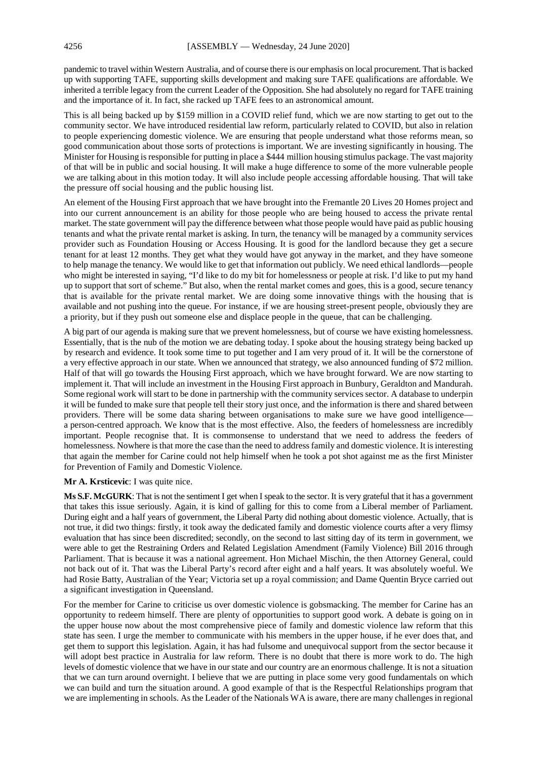pandemic to travel within Western Australia, and of course there is our emphasis on local procurement. That is backed up with supporting TAFE, supporting skills development and making sure TAFE qualifications are affordable. We inherited a terrible legacy from the current Leader of the Opposition. She had absolutely no regard for TAFE training and the importance of it. In fact, she racked up TAFE fees to an astronomical amount.

This is all being backed up by \$159 million in a COVID relief fund, which we are now starting to get out to the community sector. We have introduced residential law reform, particularly related to COVID, but also in relation to people experiencing domestic violence. We are ensuring that people understand what those reforms mean, so good communication about those sorts of protections is important. We are investing significantly in housing. The Minister for Housing is responsible for putting in place a \$444 million housing stimulus package. The vast majority of that will be in public and social housing. It will make a huge difference to some of the more vulnerable people we are talking about in this motion today. It will also include people accessing affordable housing. That will take the pressure off social housing and the public housing list.

An element of the Housing First approach that we have brought into the Fremantle 20 Lives 20 Homes project and into our current announcement is an ability for those people who are being housed to access the private rental market. The state government will pay the difference between what those people would have paid as public housing tenants and what the private rental market is asking. In turn, the tenancy will be managed by a community services provider such as Foundation Housing or Access Housing. It is good for the landlord because they get a secure tenant for at least 12 months. They get what they would have got anyway in the market, and they have someone to help manage the tenancy. We would like to get that information out publicly. We need ethical landlords—people who might be interested in saying, "I'd like to do my bit for homelessness or people at risk. I'd like to put my hand up to support that sort of scheme." But also, when the rental market comes and goes, this is a good, secure tenancy that is available for the private rental market. We are doing some innovative things with the housing that is available and not pushing into the queue. For instance, if we are housing street-present people, obviously they are a priority, but if they push out someone else and displace people in the queue, that can be challenging.

A big part of our agenda is making sure that we prevent homelessness, but of course we have existing homelessness. Essentially, that is the nub of the motion we are debating today. I spoke about the housing strategy being backed up by research and evidence. It took some time to put together and I am very proud of it. It will be the cornerstone of a very effective approach in our state. When we announced that strategy, we also announced funding of \$72 million. Half of that will go towards the Housing First approach, which we have brought forward. We are now starting to implement it. That will include an investment in the Housing First approach in Bunbury, Geraldton and Mandurah. Some regional work will start to be done in partnership with the community services sector. A database to underpin it will be funded to make sure that people tell their story just once, and the information is there and shared between providers. There will be some data sharing between organisations to make sure we have good intelligence a person-centred approach. We know that is the most effective. Also, the feeders of homelessness are incredibly important. People recognise that. It is commonsense to understand that we need to address the feeders of homelessness. Nowhere is that more the case than the need to address family and domestic violence. It is interesting that again the member for Carine could not help himself when he took a pot shot against me as the first Minister for Prevention of Family and Domestic Violence.

#### **Mr A. Krsticevic**: I was quite nice.

**Ms S.F. McGURK**: That is not the sentiment I get when I speak to the sector. It is very grateful that it has a government that takes this issue seriously. Again, it is kind of galling for this to come from a Liberal member of Parliament. During eight and a half years of government, the Liberal Party did nothing about domestic violence. Actually, that is not true, it did two things: firstly, it took away the dedicated family and domestic violence courts after a very flimsy evaluation that has since been discredited; secondly, on the second to last sitting day of its term in government, we were able to get the Restraining Orders and Related Legislation Amendment (Family Violence) Bill 2016 through Parliament. That is because it was a national agreement. Hon Michael Mischin, the then Attorney General, could not back out of it. That was the Liberal Party's record after eight and a half years. It was absolutely woeful. We had Rosie Batty, Australian of the Year; Victoria set up a royal commission; and Dame Quentin Bryce carried out a significant investigation in Queensland.

For the member for Carine to criticise us over domestic violence is gobsmacking. The member for Carine has an opportunity to redeem himself. There are plenty of opportunities to support good work. A debate is going on in the upper house now about the most comprehensive piece of family and domestic violence law reform that this state has seen. I urge the member to communicate with his members in the upper house, if he ever does that, and get them to support this legislation. Again, it has had fulsome and unequivocal support from the sector because it will adopt best practice in Australia for law reform. There is no doubt that there is more work to do. The high levels of domestic violence that we have in our state and our country are an enormous challenge. It is not a situation that we can turn around overnight. I believe that we are putting in place some very good fundamentals on which we can build and turn the situation around. A good example of that is the Respectful Relationships program that we are implementing in schools. As the Leader of the Nationals WA is aware, there are many challenges in regional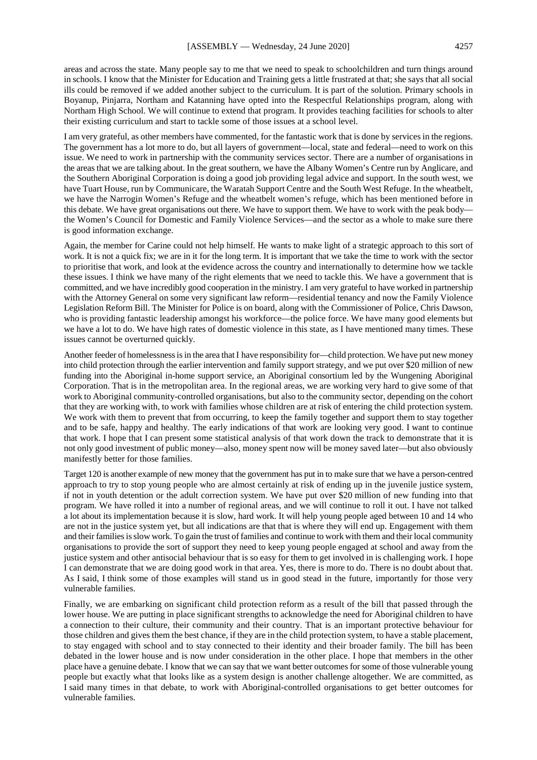areas and across the state. Many people say to me that we need to speak to schoolchildren and turn things around in schools. I know that the Minister for Education and Training gets a little frustrated at that; she says that all social ills could be removed if we added another subject to the curriculum. It is part of the solution. Primary schools in Boyanup, Pinjarra, Northam and Katanning have opted into the Respectful Relationships program, along with Northam High School. We will continue to extend that program. It provides teaching facilities for schools to alter their existing curriculum and start to tackle some of those issues at a school level.

I am very grateful, as other members have commented, for the fantastic work that is done by services in the regions. The government has a lot more to do, but all layers of government—local, state and federal—need to work on this issue. We need to work in partnership with the community services sector. There are a number of organisations in the areas that we are talking about. In the great southern, we have the Albany Women's Centre run by Anglicare, and the Southern Aboriginal Corporation is doing a good job providing legal advice and support. In the south west, we have Tuart House, run by Communicare, the Waratah Support Centre and the South West Refuge. In the wheatbelt, we have the Narrogin Women's Refuge and the wheatbelt women's refuge, which has been mentioned before in this debate. We have great organisations out there. We have to support them. We have to work with the peak body the Women's Council for Domestic and Family Violence Services—and the sector as a whole to make sure there is good information exchange.

Again, the member for Carine could not help himself. He wants to make light of a strategic approach to this sort of work. It is not a quick fix; we are in it for the long term. It is important that we take the time to work with the sector to prioritise that work, and look at the evidence across the country and internationally to determine how we tackle these issues. I think we have many of the right elements that we need to tackle this. We have a government that is committed, and we have incredibly good cooperation in the ministry. I am very grateful to have worked in partnership with the Attorney General on some very significant law reform—residential tenancy and now the Family Violence Legislation Reform Bill. The Minister for Police is on board, along with the Commissioner of Police, Chris Dawson, who is providing fantastic leadership amongst his workforce—the police force. We have many good elements but we have a lot to do. We have high rates of domestic violence in this state, as I have mentioned many times. These issues cannot be overturned quickly.

Another feeder of homelessness is in the area that I have responsibility for—child protection. We have put new money into child protection through the earlier intervention and family support strategy, and we put over \$20 million of new funding into the Aboriginal in-home support service, an Aboriginal consortium led by the Wungening Aboriginal Corporation. That is in the metropolitan area. In the regional areas, we are working very hard to give some of that work to Aboriginal community-controlled organisations, but also to the community sector, depending on the cohort that they are working with, to work with families whose children are at risk of entering the child protection system. We work with them to prevent that from occurring, to keep the family together and support them to stay together and to be safe, happy and healthy. The early indications of that work are looking very good. I want to continue that work. I hope that I can present some statistical analysis of that work down the track to demonstrate that it is not only good investment of public money—also, money spent now will be money saved later—but also obviously manifestly better for those families.

Target 120 is another example of new money that the government has put in to make sure that we have a person-centred approach to try to stop young people who are almost certainly at risk of ending up in the juvenile justice system, if not in youth detention or the adult correction system. We have put over \$20 million of new funding into that program. We have rolled it into a number of regional areas, and we will continue to roll it out. I have not talked a lot about its implementation because it is slow, hard work. It will help young people aged between 10 and 14 who are not in the justice system yet, but all indications are that that is where they will end up. Engagement with them and their families is slow work. To gain the trust of families and continue to work with them and their local community organisations to provide the sort of support they need to keep young people engaged at school and away from the justice system and other antisocial behaviour that is so easy for them to get involved in is challenging work. I hope I can demonstrate that we are doing good work in that area. Yes, there is more to do. There is no doubt about that. As I said, I think some of those examples will stand us in good stead in the future, importantly for those very vulnerable families.

Finally, we are embarking on significant child protection reform as a result of the bill that passed through the lower house. We are putting in place significant strengths to acknowledge the need for Aboriginal children to have a connection to their culture, their community and their country. That is an important protective behaviour for those children and gives them the best chance, if they are in the child protection system, to have a stable placement, to stay engaged with school and to stay connected to their identity and their broader family. The bill has been debated in the lower house and is now under consideration in the other place. I hope that members in the other place have a genuine debate. I know that we can say that we want better outcomes for some of those vulnerable young people but exactly what that looks like as a system design is another challenge altogether. We are committed, as I said many times in that debate, to work with Aboriginal-controlled organisations to get better outcomes for vulnerable families.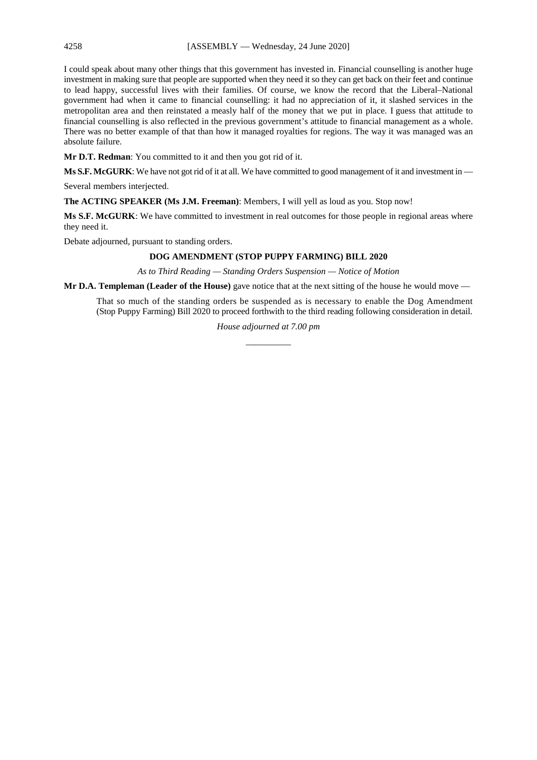I could speak about many other things that this government has invested in. Financial counselling is another huge investment in making sure that people are supported when they need it so they can get back on their feet and continue to lead happy, successful lives with their families. Of course, we know the record that the Liberal–National government had when it came to financial counselling: it had no appreciation of it, it slashed services in the metropolitan area and then reinstated a measly half of the money that we put in place. I guess that attitude to financial counselling is also reflected in the previous government's attitude to financial management as a whole. There was no better example of that than how it managed royalties for regions. The way it was managed was an absolute failure.

**Mr D.T. Redman**: You committed to it and then you got rid of it.

**Ms S.F. McGURK**: We have not got rid of it at all. We have committed to good management of it and investment in —

Several members interjected.

**The ACTING SPEAKER (Ms J.M. Freeman)**: Members, I will yell as loud as you. Stop now!

**Ms S.F. McGURK**: We have committed to investment in real outcomes for those people in regional areas where they need it.

Debate adjourned, pursuant to standing orders.

# **DOG AMENDMENT (STOP PUPPY FARMING) BILL 2020**

*As to Third Reading — Standing Orders Suspension — Notice of Motion*

**Mr D.A. Templeman (Leader of the House)** gave notice that at the next sitting of the house he would move —

That so much of the standing orders be suspended as is necessary to enable the Dog Amendment (Stop Puppy Farming) Bill 2020 to proceed forthwith to the third reading following consideration in detail.

> *House adjourned at 7.00 pm \_\_\_\_\_\_\_\_\_\_*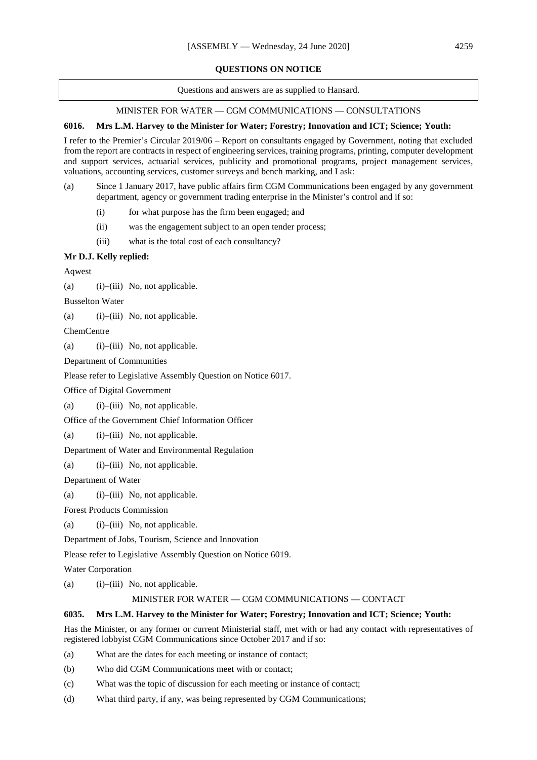### **QUESTIONS ON NOTICE**

Questions and answers are as supplied to Hansard.

# MINISTER FOR WATER — CGM COMMUNICATIONS — CONSULTATIONS

## **6016. Mrs L.M. Harvey to the Minister for Water; Forestry; Innovation and ICT; Science; Youth:**

I refer to the Premier's Circular 2019/06 – Report on consultants engaged by Government, noting that excluded from the report are contracts in respect of engineering services, training programs, printing, computer development and support services, actuarial services, publicity and promotional programs, project management services, valuations, accounting services, customer surveys and bench marking, and I ask:

- (a) Since 1 January 2017, have public affairs firm CGM Communications been engaged by any government department, agency or government trading enterprise in the Minister's control and if so:
	- (i) for what purpose has the firm been engaged; and
	- (ii) was the engagement subject to an open tender process;
	- (iii) what is the total cost of each consultancy?

# **Mr D.J. Kelly replied:**

Aqwest

(a)  $(i)$ –(iii) No, not applicable.

Busselton Water

(a)  $(i)$ –(iii) No, not applicable.

**ChemCentre** 

(a)  $(i)$ –(iii) No, not applicable.

Department of Communities

Please refer to Legislative Assembly Question on Notice 6017.

Office of Digital Government

(a) (i)–(iii) No, not applicable.

Office of the Government Chief Information Officer

```
(a) (i)–(iii) No, not applicable.
```
Department of Water and Environmental Regulation

(a)  $(i)$ –(iii) No, not applicable.

Department of Water

(a) (i)–(iii) No, not applicable.

Forest Products Commission

(a)  $(i)$ –(iii) No, not applicable.

Department of Jobs, Tourism, Science and Innovation

Please refer to Legislative Assembly Question on Notice 6019.

Water Corporation

(a)  $(i)$ –(iii) No, not applicable.

### MINISTER FOR WATER — CGM COMMUNICATIONS — CONTACT

### **6035. Mrs L.M. Harvey to the Minister for Water; Forestry; Innovation and ICT; Science; Youth:**

Has the Minister, or any former or current Ministerial staff, met with or had any contact with representatives of registered lobbyist CGM Communications since October 2017 and if so:

(a) What are the dates for each meeting or instance of contact;

(b) Who did CGM Communications meet with or contact;

- (c) What was the topic of discussion for each meeting or instance of contact;
- (d) What third party, if any, was being represented by CGM Communications;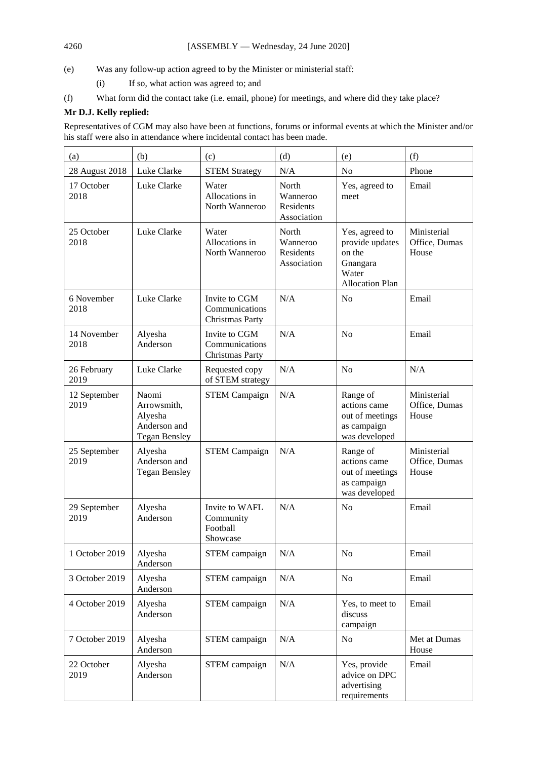(e) Was any follow-up action agreed to by the Minister or ministerial staff:

- (i) If so, what action was agreed to; and
- (f) What form did the contact take (i.e. email, phone) for meetings, and where did they take place?

# **Mr D.J. Kelly replied:**

Representatives of CGM may also have been at functions, forums or informal events at which the Minister and/or his staff were also in attendance where incidental contact has been made.

| (a)                  | (b)                                                                     | (c)                                                 | (d)                                                  | (e)                                                                                        | (f)                                   |
|----------------------|-------------------------------------------------------------------------|-----------------------------------------------------|------------------------------------------------------|--------------------------------------------------------------------------------------------|---------------------------------------|
| 28 August 2018       | Luke Clarke                                                             | <b>STEM Strategy</b>                                | N/A                                                  | N <sub>o</sub>                                                                             | Phone                                 |
| 17 October<br>2018   | Luke Clarke                                                             | Water<br>Allocations in<br>North Wanneroo           | North<br>Wanneroo<br><b>Residents</b><br>Association | Yes, agreed to<br>meet                                                                     | Email                                 |
| 25 October<br>2018   | Luke Clarke                                                             | Water<br>Allocations in<br>North Wanneroo           | North<br>Wanneroo<br>Residents<br>Association        | Yes, agreed to<br>provide updates<br>on the<br>Gnangara<br>Water<br><b>Allocation Plan</b> | Ministerial<br>Office, Dumas<br>House |
| 6 November<br>2018   | Luke Clarke                                                             | Invite to CGM<br>Communications<br>Christmas Party  | N/A                                                  | N <sub>0</sub>                                                                             | Email                                 |
| 14 November<br>2018  | Alyesha<br>Anderson                                                     | Invite to CGM<br>Communications<br>Christmas Party  | N/A                                                  | N <sub>o</sub>                                                                             | Email                                 |
| 26 February<br>2019  | Luke Clarke                                                             | Requested copy<br>of STEM strategy                  | N/A                                                  | N <sub>o</sub>                                                                             | N/A                                   |
| 12 September<br>2019 | Naomi<br>Arrowsmith,<br>Alyesha<br>Anderson and<br><b>Tegan Bensley</b> | <b>STEM Campaign</b>                                | N/A                                                  | Range of<br>actions came<br>out of meetings<br>as campaign<br>was developed                | Ministerial<br>Office, Dumas<br>House |
| 25 September<br>2019 | Alyesha<br>Anderson and<br><b>Tegan Bensley</b>                         | <b>STEM Campaign</b>                                | N/A                                                  | Range of<br>actions came<br>out of meetings<br>as campaign<br>was developed                | Ministerial<br>Office, Dumas<br>House |
| 29 September<br>2019 | Alyesha<br>Anderson                                                     | Invite to WAFL<br>Community<br>Football<br>Showcase | N/A                                                  | N <sub>o</sub>                                                                             | Email                                 |
| 1 October 2019       | Alyesha<br>Anderson                                                     | STEM campaign                                       | N/A                                                  | No                                                                                         | Email                                 |
| 3 October 2019       | Alyesha<br>Anderson                                                     | STEM campaign                                       | $\rm N/A$                                            | No                                                                                         | Email                                 |
| 4 October 2019       | Alyesha<br>Anderson                                                     | STEM campaign                                       | $\rm N/A$                                            | Yes, to meet to<br>discuss<br>campaign                                                     | Email                                 |
| 7 October 2019       | Alyesha<br>Anderson                                                     | STEM campaign                                       | $\rm N/A$                                            | No                                                                                         | Met at Dumas<br>House                 |
| 22 October<br>2019   | Alyesha<br>Anderson                                                     | STEM campaign                                       | $\rm N/A$                                            | Yes, provide<br>advice on DPC<br>advertising<br>requirements                               | Email                                 |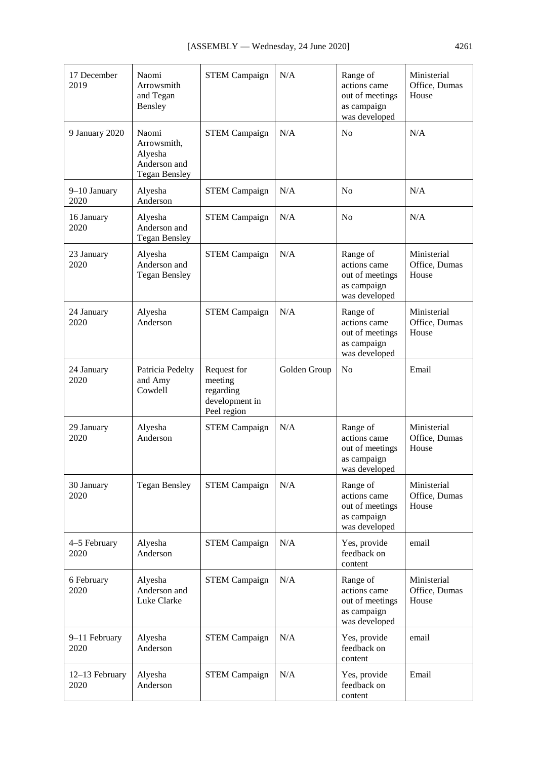| 17 December<br>2019    | Naomi<br>Arrowsmith<br>and Tegan<br>Bensley                             | <b>STEM Campaign</b>                                                 | N/A          | Range of<br>actions came<br>out of meetings<br>as campaign<br>was developed | Ministerial<br>Office, Dumas<br>House |
|------------------------|-------------------------------------------------------------------------|----------------------------------------------------------------------|--------------|-----------------------------------------------------------------------------|---------------------------------------|
| 9 January 2020         | Naomi<br>Arrowsmith,<br>Alyesha<br>Anderson and<br><b>Tegan Bensley</b> | <b>STEM Campaign</b>                                                 | N/A          | N <sub>0</sub>                                                              | N/A                                   |
| 9-10 January<br>2020   | Alyesha<br>Anderson                                                     | <b>STEM Campaign</b>                                                 | N/A          | N <sub>o</sub>                                                              | N/A                                   |
| 16 January<br>2020     | Alyesha<br>Anderson and<br><b>Tegan Bensley</b>                         | <b>STEM Campaign</b>                                                 | N/A          | N <sub>0</sub>                                                              | N/A                                   |
| 23 January<br>2020     | Alyesha<br>Anderson and<br><b>Tegan Bensley</b>                         | <b>STEM Campaign</b>                                                 | N/A          | Range of<br>actions came<br>out of meetings<br>as campaign<br>was developed | Ministerial<br>Office, Dumas<br>House |
| 24 January<br>2020     | Alyesha<br>Anderson                                                     | <b>STEM Campaign</b>                                                 | N/A          | Range of<br>actions came<br>out of meetings<br>as campaign<br>was developed | Ministerial<br>Office, Dumas<br>House |
| 24 January<br>2020     | Patricia Pedelty<br>and Amy<br>Cowdell                                  | Request for<br>meeting<br>regarding<br>development in<br>Peel region | Golden Group | N <sub>o</sub>                                                              | Email                                 |
| 29 January<br>2020     | Alyesha<br>Anderson                                                     | <b>STEM Campaign</b>                                                 | N/A          | Range of<br>actions came<br>out of meetings<br>as campaign<br>was developed | Ministerial<br>Office, Dumas<br>House |
| 30 January<br>2020     | <b>Tegan Bensley</b>                                                    | <b>STEM Campaign</b>                                                 | N/A          | Range of<br>actions came<br>out of meetings<br>as campaign<br>was developed | Ministerial<br>Office, Dumas<br>House |
| 4-5 February<br>2020   | Alyesha<br>Anderson                                                     | <b>STEM Campaign</b>                                                 | N/A          | Yes, provide<br>feedback on<br>content                                      | email                                 |
| 6 February<br>2020     | Alyesha<br>Anderson and<br>Luke Clarke                                  | <b>STEM Campaign</b>                                                 | N/A          | Range of<br>actions came<br>out of meetings<br>as campaign<br>was developed | Ministerial<br>Office, Dumas<br>House |
| 9-11 February<br>2020  | Alyesha<br>Anderson                                                     | <b>STEM Campaign</b>                                                 | N/A          | Yes, provide<br>feedback on<br>content                                      | email                                 |
| 12-13 February<br>2020 | Alyesha<br>Anderson                                                     | <b>STEM Campaign</b>                                                 | N/A          | Yes, provide<br>feedback on<br>content                                      | Email                                 |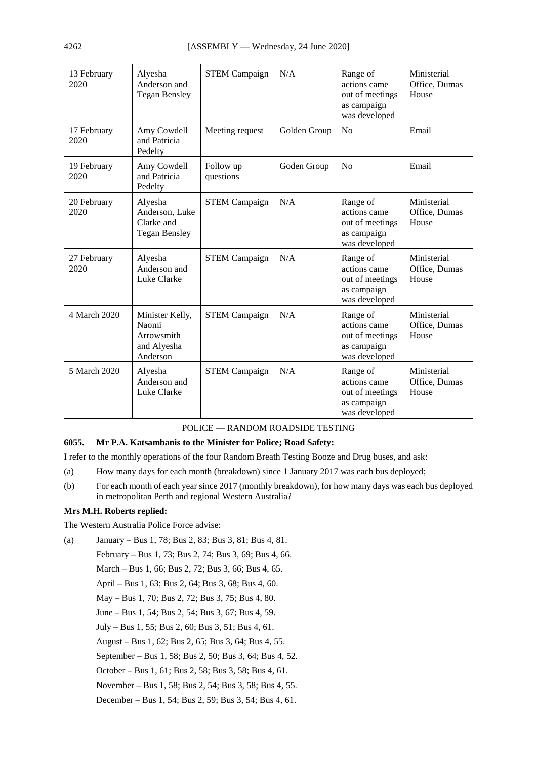| 13 February<br>2020 | Alyesha<br>Anderson and<br><b>Tegan Bensley</b>                   | <b>STEM Campaign</b>   | N/A          | Range of<br>actions came<br>out of meetings<br>as campaign<br>was developed | Ministerial<br>Office, Dumas<br>House |
|---------------------|-------------------------------------------------------------------|------------------------|--------------|-----------------------------------------------------------------------------|---------------------------------------|
| 17 February<br>2020 | Amy Cowdell<br>and Patricia<br>Pedelty                            | Meeting request        | Golden Group | N <sub>o</sub>                                                              | Email                                 |
| 19 February<br>2020 | Amy Cowdell<br>and Patricia<br>Pedelty                            | Follow up<br>questions | Goden Group  | No                                                                          | Email                                 |
| 20 February<br>2020 | Alyesha<br>Anderson, Luke<br>Clarke and<br><b>Tegan Bensley</b>   | <b>STEM Campaign</b>   | N/A          | Range of<br>actions came<br>out of meetings<br>as campaign<br>was developed | Ministerial<br>Office, Dumas<br>House |
| 27 February<br>2020 | Alyesha<br>Anderson and<br>Luke Clarke                            | <b>STEM Campaign</b>   | N/A          | Range of<br>actions came<br>out of meetings<br>as campaign<br>was developed | Ministerial<br>Office, Dumas<br>House |
| 4 March 2020        | Minister Kelly,<br>Naomi<br>Arrowsmith<br>and Alyesha<br>Anderson | <b>STEM Campaign</b>   | N/A          | Range of<br>actions came<br>out of meetings<br>as campaign<br>was developed | Ministerial<br>Office, Dumas<br>House |
| 5 March 2020        | Alyesha<br>Anderson and<br>Luke Clarke                            | <b>STEM Campaign</b>   | N/A          | Range of<br>actions came<br>out of meetings<br>as campaign<br>was developed | Ministerial<br>Office, Dumas<br>House |

# POLICE — RANDOM ROADSIDE TESTING

# **6055. Mr P.A. Katsambanis to the Minister for Police; Road Safety:**

I refer to the monthly operations of the four Random Breath Testing Booze and Drug buses, and ask:

- (a) How many days for each month (breakdown) since 1 January 2017 was each bus deployed;
- (b) For each month of each year since 2017 (monthly breakdown), for how many days was each bus deployed in metropolitan Perth and regional Western Australia?

### **Mrs M.H. Roberts replied:**

The Western Australia Police Force advise:

(a) January – Bus 1, 78; Bus 2, 83; Bus 3, 81; Bus 4, 81. February – Bus 1, 73; Bus 2, 74; Bus 3, 69; Bus 4, 66. March – Bus 1, 66; Bus 2, 72; Bus 3, 66; Bus 4, 65. April – Bus 1, 63; Bus 2, 64; Bus 3, 68; Bus 4, 60. May – Bus 1, 70; Bus 2, 72; Bus 3, 75; Bus 4, 80. June – Bus 1, 54; Bus 2, 54; Bus 3, 67; Bus 4, 59. July – Bus 1, 55; Bus 2, 60; Bus 3, 51; Bus 4, 61. August – Bus 1, 62; Bus 2, 65; Bus 3, 64; Bus 4, 55. September – Bus 1, 58; Bus 2, 50; Bus 3, 64; Bus 4, 52. October – Bus 1, 61; Bus 2, 58; Bus 3, 58; Bus 4, 61. November – Bus 1, 58; Bus 2, 54; Bus 3, 58; Bus 4, 55. December – Bus 1, 54; Bus 2, 59; Bus 3, 54; Bus 4, 61.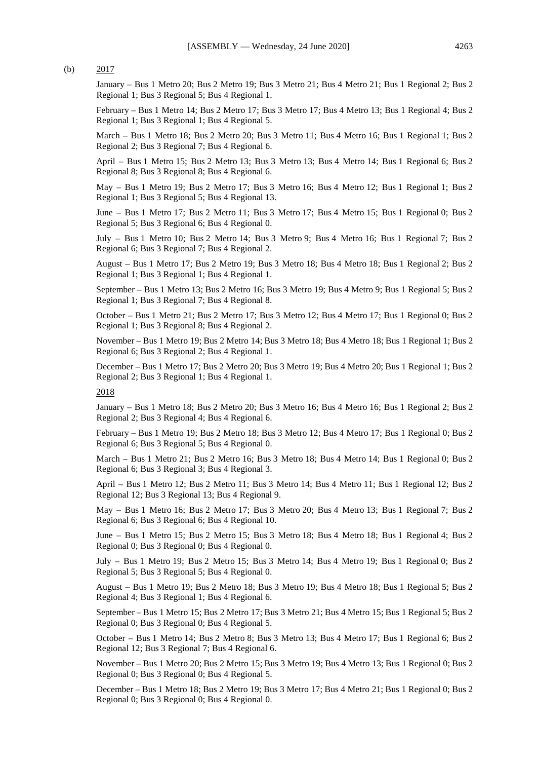#### (b)  $2017$

January – Bus 1 Metro 20; Bus 2 Metro 19; Bus 3 Metro 21; Bus 4 Metro 21; Bus 1 Regional 2; Bus 2 Regional 1; Bus 3 Regional 5; Bus 4 Regional 1.

February – Bus 1 Metro 14; Bus 2 Metro 17; Bus 3 Metro 17; Bus 4 Metro 13; Bus 1 Regional 4; Bus 2 Regional 1; Bus 3 Regional 1; Bus 4 Regional 5.

March – Bus 1 Metro 18; Bus 2 Metro 20; Bus 3 Metro 11; Bus 4 Metro 16; Bus 1 Regional 1; Bus 2 Regional 2; Bus 3 Regional 7; Bus 4 Regional 6.

April – Bus 1 Metro 15; Bus 2 Metro 13; Bus 3 Metro 13; Bus 4 Metro 14; Bus 1 Regional 6; Bus 2 Regional 8; Bus 3 Regional 8; Bus 4 Regional 6.

May – Bus 1 Metro 19; Bus 2 Metro 17; Bus 3 Metro 16; Bus 4 Metro 12; Bus 1 Regional 1; Bus 2 Regional 1; Bus 3 Regional 5; Bus 4 Regional 13.

June – Bus 1 Metro 17; Bus 2 Metro 11; Bus 3 Metro 17; Bus 4 Metro 15; Bus 1 Regional 0; Bus 2 Regional 5; Bus 3 Regional 6; Bus 4 Regional 0.

July – Bus 1 Metro 10; Bus 2 Metro 14; Bus 3 Metro 9; Bus 4 Metro 16; Bus 1 Regional 7; Bus 2 Regional 6; Bus 3 Regional 7; Bus 4 Regional 2.

August – Bus 1 Metro 17; Bus 2 Metro 19; Bus 3 Metro 18; Bus 4 Metro 18; Bus 1 Regional 2; Bus 2 Regional 1; Bus 3 Regional 1; Bus 4 Regional 1.

September – Bus 1 Metro 13; Bus 2 Metro 16; Bus 3 Metro 19; Bus 4 Metro 9; Bus 1 Regional 5; Bus 2 Regional 1; Bus 3 Regional 7; Bus 4 Regional 8.

October – Bus 1 Metro 21; Bus 2 Metro 17; Bus 3 Metro 12; Bus 4 Metro 17; Bus 1 Regional 0; Bus 2 Regional 1; Bus 3 Regional 8; Bus 4 Regional 2.

November – Bus 1 Metro 19; Bus 2 Metro 14; Bus 3 Metro 18; Bus 4 Metro 18; Bus 1 Regional 1; Bus 2 Regional 6; Bus 3 Regional 2; Bus 4 Regional 1.

December – Bus 1 Metro 17; Bus 2 Metro 20; Bus 3 Metro 19; Bus 4 Metro 20; Bus 1 Regional 1; Bus 2 Regional 2; Bus 3 Regional 1; Bus 4 Regional 1.

#### 2018

January – Bus 1 Metro 18; Bus 2 Metro 20; Bus 3 Metro 16; Bus 4 Metro 16; Bus 1 Regional 2; Bus 2 Regional 2; Bus 3 Regional 4; Bus 4 Regional 6.

February – Bus 1 Metro 19; Bus 2 Metro 18; Bus 3 Metro 12; Bus 4 Metro 17; Bus 1 Regional 0; Bus 2 Regional 6; Bus 3 Regional 5; Bus 4 Regional 0.

March – Bus 1 Metro 21; Bus 2 Metro 16; Bus 3 Metro 18; Bus 4 Metro 14; Bus 1 Regional 0; Bus 2 Regional 6; Bus 3 Regional 3; Bus 4 Regional 3.

April – Bus 1 Metro 12; Bus 2 Metro 11; Bus 3 Metro 14; Bus 4 Metro 11; Bus 1 Regional 12; Bus 2 Regional 12; Bus 3 Regional 13; Bus 4 Regional 9.

May – Bus 1 Metro 16; Bus 2 Metro 17; Bus 3 Metro 20; Bus 4 Metro 13; Bus 1 Regional 7; Bus 2 Regional 6; Bus 3 Regional 6; Bus 4 Regional 10.

June – Bus 1 Metro 15; Bus 2 Metro 15; Bus 3 Metro 18; Bus 4 Metro 18; Bus 1 Regional 4; Bus 2 Regional 0; Bus 3 Regional 0; Bus 4 Regional 0.

July – Bus 1 Metro 19; Bus 2 Metro 15; Bus 3 Metro 14; Bus 4 Metro 19; Bus 1 Regional 0; Bus 2 Regional 5; Bus 3 Regional 5; Bus 4 Regional 0.

August – Bus 1 Metro 19; Bus 2 Metro 18; Bus 3 Metro 19; Bus 4 Metro 18; Bus 1 Regional 5; Bus 2 Regional 4; Bus 3 Regional 1; Bus 4 Regional 6.

September – Bus 1 Metro 15; Bus 2 Metro 17; Bus 3 Metro 21; Bus 4 Metro 15; Bus 1 Regional 5; Bus 2 Regional 0; Bus 3 Regional 0; Bus 4 Regional 5.

October – Bus 1 Metro 14; Bus 2 Metro 8; Bus 3 Metro 13; Bus 4 Metro 17; Bus 1 Regional 6; Bus 2 Regional 12; Bus 3 Regional 7; Bus 4 Regional 6.

November – Bus 1 Metro 20; Bus 2 Metro 15; Bus 3 Metro 19; Bus 4 Metro 13; Bus 1 Regional 0; Bus 2 Regional 0; Bus 3 Regional 0; Bus 4 Regional 5.

December – Bus 1 Metro 18; Bus 2 Metro 19; Bus 3 Metro 17; Bus 4 Metro 21; Bus 1 Regional 0; Bus 2 Regional 0; Bus 3 Regional 0; Bus 4 Regional 0.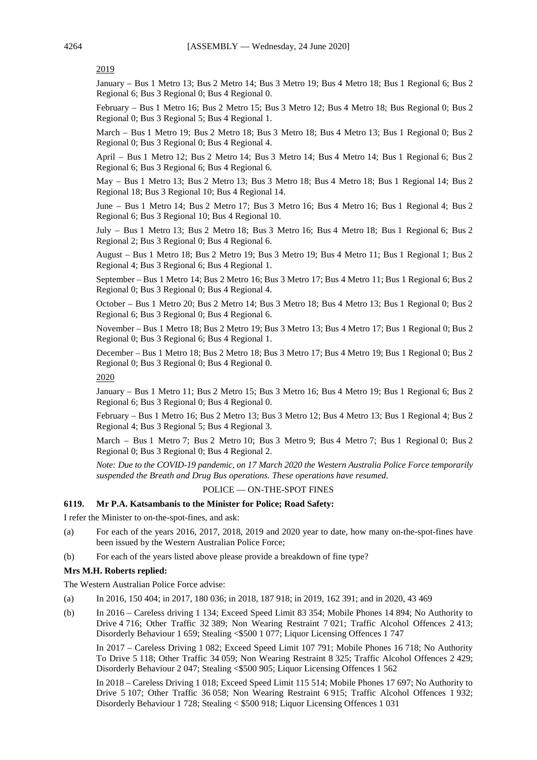### 2019

January – Bus 1 Metro 13; Bus 2 Metro 14; Bus 3 Metro 19; Bus 4 Metro 18; Bus 1 Regional 6; Bus 2 Regional 6; Bus 3 Regional 0; Bus 4 Regional 0.

February – Bus 1 Metro 16; Bus 2 Metro 15; Bus 3 Metro 12; Bus 4 Metro 18; Bus Regional 0; Bus 2 Regional 0; Bus 3 Regional 5; Bus 4 Regional 1.

March – Bus 1 Metro 19; Bus 2 Metro 18; Bus 3 Metro 18; Bus 4 Metro 13; Bus 1 Regional 0; Bus 2 Regional 0; Bus 3 Regional 0; Bus 4 Regional 4.

April – Bus 1 Metro 12; Bus 2 Metro 14; Bus 3 Metro 14; Bus 4 Metro 14; Bus 1 Regional 6; Bus 2 Regional 6; Bus 3 Regional 6; Bus 4 Regional 6.

May – Bus 1 Metro 13; Bus 2 Metro 13; Bus 3 Metro 18; Bus 4 Metro 18; Bus 1 Regional 14; Bus 2 Regional 18; Bus 3 Regional 10; Bus 4 Regional 14.

June – Bus 1 Metro 14; Bus 2 Metro 17; Bus 3 Metro 16; Bus 4 Metro 16; Bus 1 Regional 4; Bus 2 Regional 6; Bus 3 Regional 10; Bus 4 Regional 10.

July – Bus 1 Metro 13; Bus 2 Metro 18; Bus 3 Metro 16; Bus 4 Metro 18; Bus 1 Regional 6; Bus 2 Regional 2; Bus 3 Regional 0; Bus 4 Regional 6.

August – Bus 1 Metro 18; Bus 2 Metro 19; Bus 3 Metro 19; Bus 4 Metro 11; Bus 1 Regional 1; Bus 2 Regional 4; Bus 3 Regional 6; Bus 4 Regional 1.

September – Bus 1 Metro 14; Bus 2 Metro 16; Bus 3 Metro 17; Bus 4 Metro 11; Bus 1 Regional 6; Bus 2 Regional 0; Bus 3 Regional 0; Bus 4 Regional 4.

October – Bus 1 Metro 20; Bus 2 Metro 14; Bus 3 Metro 18; Bus 4 Metro 13; Bus 1 Regional 0; Bus 2 Regional 6; Bus 3 Regional 0; Bus 4 Regional 6.

November – Bus 1 Metro 18; Bus 2 Metro 19; Bus 3 Metro 13; Bus 4 Metro 17; Bus 1 Regional 0; Bus 2 Regional 0; Bus 3 Regional 6; Bus 4 Regional 1.

December – Bus 1 Metro 18; Bus 2 Metro 18; Bus 3 Metro 17; Bus 4 Metro 19; Bus 1 Regional 0; Bus 2 Regional 0; Bus 3 Regional 0; Bus 4 Regional 0.

2020

January – Bus 1 Metro 11; Bus 2 Metro 15; Bus 3 Metro 16; Bus 4 Metro 19; Bus 1 Regional 6; Bus 2 Regional 6; Bus 3 Regional 0; Bus 4 Regional 0.

February – Bus 1 Metro 16; Bus 2 Metro 13; Bus 3 Metro 12; Bus 4 Metro 13; Bus 1 Regional 4; Bus 2 Regional 4; Bus 3 Regional 5; Bus 4 Regional 3.

March – Bus 1 Metro 7; Bus 2 Metro 10; Bus 3 Metro 9; Bus 4 Metro 7; Bus 1 Regional 0; Bus 2 Regional 0; Bus 3 Regional 0; Bus 4 Regional 2.

*Note: Due to the COVID-19 pandemic, on 17 March 2020 the Western Australia Police Force temporarily suspended the Breath and Drug Bus operations. These operations have resumed.*

## POLICE — ON-THE-SPOT FINES

#### **6119. Mr P.A. Katsambanis to the Minister for Police; Road Safety:**

I refer the Minister to on-the-spot-fines, and ask:

- (a) For each of the years 2016, 2017, 2018, 2019 and 2020 year to date, how many on-the-spot-fines have been issued by the Western Australian Police Force;
- (b) For each of the years listed above please provide a breakdown of fine type?

#### **Mrs M.H. Roberts replied:**

The Western Australian Police Force advise:

- (a) In 2016, 150 404; in 2017, 180 036; in 2018, 187 918; in 2019, 162 391; and in 2020, 43 469
- (b) In 2016 Careless driving 1 134; Exceed Speed Limit 83 354; Mobile Phones 14 894; No Authority to Drive 4 716; Other Traffic 32 389; Non Wearing Restraint 7 021; Traffic Alcohol Offences 2 413; Disorderly Behaviour 1 659; Stealing <\$500 1 077; Liquor Licensing Offences 1 747

In 2017 – Careless Driving 1 082; Exceed Speed Limit 107 791; Mobile Phones 16 718; No Authority To Drive 5 118; Other Traffic 34 059; Non Wearing Restraint 8 325; Traffic Alcohol Offences 2 429; Disorderly Behaviour 2 047; Stealing <\$500 905; Liquor Licensing Offences 1 562

In 2018 – Careless Driving 1 018; Exceed Speed Limit 115 514; Mobile Phones 17 697; No Authority to Drive 5 107; Other Traffic 36 058; Non Wearing Restraint 6 915; Traffic Alcohol Offences 1 932; Disorderly Behaviour 1 728; Stealing < \$500 918; Liquor Licensing Offences 1 031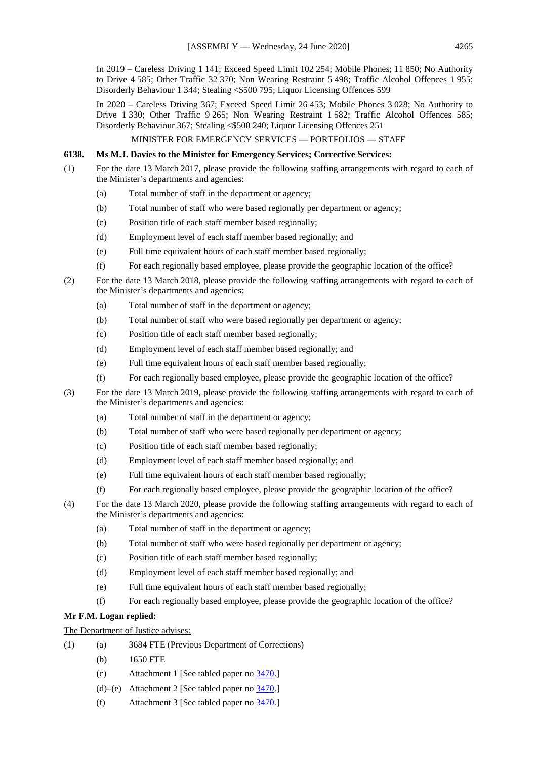In 2019 – Careless Driving 1 141; Exceed Speed Limit 102 254; Mobile Phones; 11 850; No Authority to Drive 4 585; Other Traffic 32 370; Non Wearing Restraint 5 498; Traffic Alcohol Offences 1 955; Disorderly Behaviour 1 344; Stealing <\$500 795; Liquor Licensing Offences 599

In 2020 – Careless Driving 367; Exceed Speed Limit 26 453; Mobile Phones 3 028; No Authority to Drive 1 330; Other Traffic 9 265; Non Wearing Restraint 1 582; Traffic Alcohol Offences 585; Disorderly Behaviour 367; Stealing <\$500 240; Liquor Licensing Offences 251

### MINISTER FOR EMERGENCY SERVICES — PORTFOLIOS — STAFF

## **6138. Ms M.J. Davies to the Minister for Emergency Services; Corrective Services:**

- (1) For the date 13 March 2017, please provide the following staffing arrangements with regard to each of the Minister's departments and agencies:
	- (a) Total number of staff in the department or agency;
	- (b) Total number of staff who were based regionally per department or agency;
	- (c) Position title of each staff member based regionally;
	- (d) Employment level of each staff member based regionally; and
	- (e) Full time equivalent hours of each staff member based regionally;
	- (f) For each regionally based employee, please provide the geographic location of the office?
- (2) For the date 13 March 2018, please provide the following staffing arrangements with regard to each of the Minister's departments and agencies:
	- (a) Total number of staff in the department or agency;
	- (b) Total number of staff who were based regionally per department or agency;
	- (c) Position title of each staff member based regionally;
	- (d) Employment level of each staff member based regionally; and
	- (e) Full time equivalent hours of each staff member based regionally;
	- (f) For each regionally based employee, please provide the geographic location of the office?
- (3) For the date 13 March 2019, please provide the following staffing arrangements with regard to each of the Minister's departments and agencies:
	- (a) Total number of staff in the department or agency;
	- (b) Total number of staff who were based regionally per department or agency;
	- (c) Position title of each staff member based regionally;
	- (d) Employment level of each staff member based regionally; and
	- (e) Full time equivalent hours of each staff member based regionally;
	- (f) For each regionally based employee, please provide the geographic location of the office?
- (4) For the date 13 March 2020, please provide the following staffing arrangements with regard to each of the Minister's departments and agencies:
	- (a) Total number of staff in the department or agency;
	- (b) Total number of staff who were based regionally per department or agency;
	- (c) Position title of each staff member based regionally;
	- (d) Employment level of each staff member based regionally; and
	- (e) Full time equivalent hours of each staff member based regionally;
	- (f) For each regionally based employee, please provide the geographic location of the office?

# **Mr F.M. Logan replied:**

## The Department of Justice advises:

(1) (a) 3684 FTE (Previous Department of Corrections)

- (b) 1650 FTE
- (c) Attachment 1 [See tabled paper no [3470.](https://www.parliament.wa.gov.au/publications/tabledpapers.nsf/displaypaper/4013470ade7f48971905cba048258592000163ae/$file/3470.pdf)]
- (d)–(e) Attachment 2 [See tabled paper no [3470.](https://www.parliament.wa.gov.au/publications/tabledpapers.nsf/displaypaper/4013470ade7f48971905cba048258592000163ae/$file/3470.pdf)]
- (f) Attachment 3 [See tabled paper no [3470.](https://www.parliament.wa.gov.au/publications/tabledpapers.nsf/displaypaper/4013470ade7f48971905cba048258592000163ae/$file/3470.pdf)]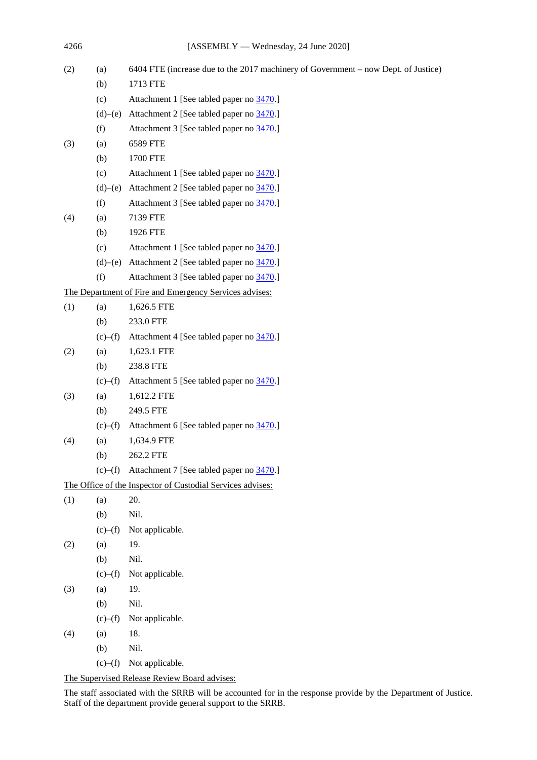| (2) | (a)     | 6404 FTE (increase due to the 2017 machinery of Government - now Dept. of Justice) |
|-----|---------|------------------------------------------------------------------------------------|
|     | (b)     | 1713 FTE                                                                           |
|     | (c)     | Attachment 1 [See tabled paper no 3470.]                                           |
|     | (d)–(e) | Attachment 2 [See tabled paper no 3470.]                                           |
|     | (f)     | Attachment 3 [See tabled paper no 3470.]                                           |
| (3) | (a)     | 6589 FTE                                                                           |
|     | (b)     | 1700 FTE                                                                           |
|     | (c)     | Attachment 1 [See tabled paper no 3470.]                                           |
|     | (d)–(e) | Attachment 2 [See tabled paper no 3470.]                                           |
|     | (f)     | Attachment 3 [See tabled paper no 3470.]                                           |
| (4) | (a)     | 7139 FTE                                                                           |
|     | (b)     | 1926 FTE                                                                           |
|     | (c)     | Attachment 1 [See tabled paper no 3470.]                                           |
|     | (d)–(e) | Attachment 2 [See tabled paper no 3470.]                                           |
|     | (f)     | Attachment 3 [See tabled paper no 3470.]                                           |
|     |         | The Department of Fire and Emergency Services advises:                             |
| (1) | (a)     | 1,626.5 FTE                                                                        |
|     | (b)     | 233.0 FTE                                                                          |
|     | (c)–(f) | Attachment 4 [See tabled paper no 3470.]                                           |
| (2) | (a)     | 1,623.1 FTE                                                                        |
|     | (b)     | 238.8 FTE                                                                          |
|     | (c)–(f) | Attachment 5 [See tabled paper no 3470.]                                           |
| (3) | (a)     | 1,612.2 FTE                                                                        |
|     | (b)     | 249.5 FTE                                                                          |
|     | (c)–(f) | Attachment 6 [See tabled paper no 3470.]                                           |
| (4) | (a)     | 1,634.9 FTE                                                                        |
|     | (b)     | 262.2 FTE                                                                          |
|     | (c)–(f) | Attachment 7 [See tabled paper no 3470.]                                           |
|     |         | The Office of the Inspector of Custodial Services advises:                         |
| (1) | (a)     | 20.                                                                                |
|     | (b)     | Nil.                                                                               |
|     | (c)–(f) | Not applicable.                                                                    |
| (2) | (a)     | 19.                                                                                |
|     | (b)     | Nil.                                                                               |
|     | (c)–(f) | Not applicable.                                                                    |
| (3) | (a)     | 19.                                                                                |
|     | (b)     | Nil.                                                                               |
|     | (c)–(f) | Not applicable.                                                                    |
| (4) | (a)     | 18.                                                                                |
|     | (b)     | Nil.                                                                               |
|     | (c)–(f) | Not applicable.                                                                    |

The Supervised Release Review Board advises:

The staff associated with the SRRB will be accounted for in the response provide by the Department of Justice. Staff of the department provide general support to the SRRB.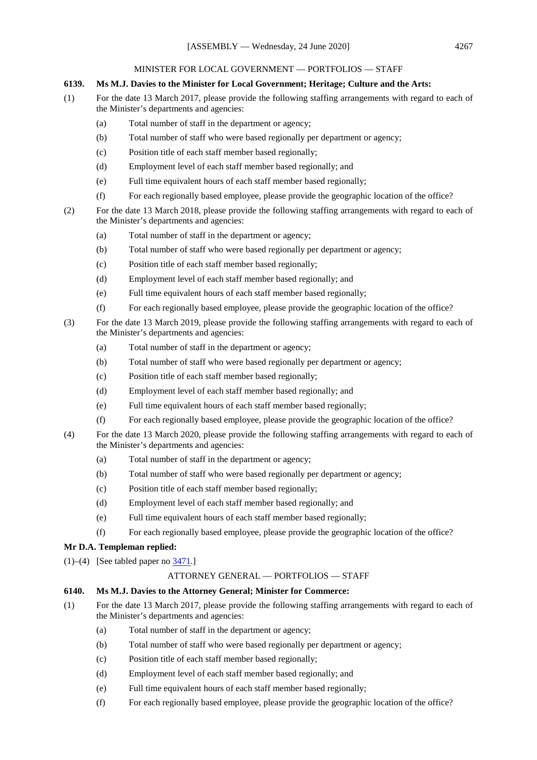### MINISTER FOR LOCAL GOVERNMENT — PORTFOLIOS — STAFF

## **6139. Ms M.J. Davies to the Minister for Local Government; Heritage; Culture and the Arts:**

- (1) For the date 13 March 2017, please provide the following staffing arrangements with regard to each of the Minister's departments and agencies:
	- (a) Total number of staff in the department or agency;
	- (b) Total number of staff who were based regionally per department or agency;
	- (c) Position title of each staff member based regionally;
	- (d) Employment level of each staff member based regionally; and
	- (e) Full time equivalent hours of each staff member based regionally;
	- (f) For each regionally based employee, please provide the geographic location of the office?
- (2) For the date 13 March 2018, please provide the following staffing arrangements with regard to each of the Minister's departments and agencies:
	- (a) Total number of staff in the department or agency;
	- (b) Total number of staff who were based regionally per department or agency;
	- (c) Position title of each staff member based regionally;
	- (d) Employment level of each staff member based regionally; and
	- (e) Full time equivalent hours of each staff member based regionally;
	- (f) For each regionally based employee, please provide the geographic location of the office?
- (3) For the date 13 March 2019, please provide the following staffing arrangements with regard to each of the Minister's departments and agencies:
	- (a) Total number of staff in the department or agency;
	- (b) Total number of staff who were based regionally per department or agency;
	- (c) Position title of each staff member based regionally;
	- (d) Employment level of each staff member based regionally; and
	- (e) Full time equivalent hours of each staff member based regionally;
	- (f) For each regionally based employee, please provide the geographic location of the office?
- (4) For the date 13 March 2020, please provide the following staffing arrangements with regard to each of the Minister's departments and agencies:
	- (a) Total number of staff in the department or agency;
	- (b) Total number of staff who were based regionally per department or agency;
	- (c) Position title of each staff member based regionally;
	- (d) Employment level of each staff member based regionally; and
	- (e) Full time equivalent hours of each staff member based regionally;
	- (f) For each regionally based employee, please provide the geographic location of the office?

### **Mr D.A. Templeman replied:**

(1)–(4) [See tabled paper no  $\frac{3471}{1}$ ]

### ATTORNEY GENERAL — PORTFOLIOS — STAFF

### **6140. Ms M.J. Davies to the Attorney General; Minister for Commerce:**

- (1) For the date 13 March 2017, please provide the following staffing arrangements with regard to each of the Minister's departments and agencies:
	- (a) Total number of staff in the department or agency;
	- (b) Total number of staff who were based regionally per department or agency;
	- (c) Position title of each staff member based regionally;
	- (d) Employment level of each staff member based regionally; and
	- (e) Full time equivalent hours of each staff member based regionally;
	- (f) For each regionally based employee, please provide the geographic location of the office?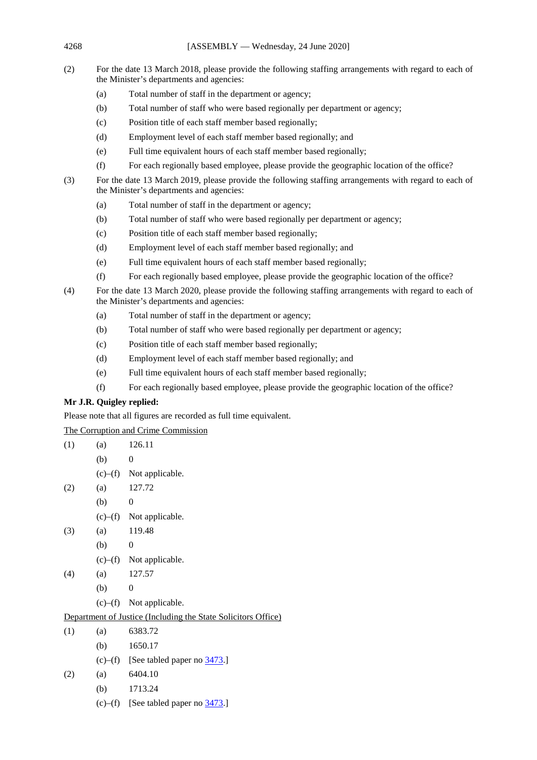- (2) For the date 13 March 2018, please provide the following staffing arrangements with regard to each of the Minister's departments and agencies:
	- (a) Total number of staff in the department or agency;
	- (b) Total number of staff who were based regionally per department or agency;
	- (c) Position title of each staff member based regionally;
	- (d) Employment level of each staff member based regionally; and
	- (e) Full time equivalent hours of each staff member based regionally;
	- (f) For each regionally based employee, please provide the geographic location of the office?
- (3) For the date 13 March 2019, please provide the following staffing arrangements with regard to each of the Minister's departments and agencies:
	- (a) Total number of staff in the department or agency;
	- (b) Total number of staff who were based regionally per department or agency;
	- (c) Position title of each staff member based regionally;
	- (d) Employment level of each staff member based regionally; and
	- (e) Full time equivalent hours of each staff member based regionally;
	- (f) For each regionally based employee, please provide the geographic location of the office?
- (4) For the date 13 March 2020, please provide the following staffing arrangements with regard to each of the Minister's departments and agencies:
	- (a) Total number of staff in the department or agency;
	- (b) Total number of staff who were based regionally per department or agency;
	- (c) Position title of each staff member based regionally;
	- (d) Employment level of each staff member based regionally; and
	- (e) Full time equivalent hours of each staff member based regionally;
	- (f) For each regionally based employee, please provide the geographic location of the office?

# **Mr J.R. Quigley replied:**

Please note that all figures are recorded as full time equivalent.

The Corruption and Crime Commission

| (1)                                                           | (a) | 126.11                                          |  |  |  |
|---------------------------------------------------------------|-----|-------------------------------------------------|--|--|--|
|                                                               | (b) | $\theta$                                        |  |  |  |
|                                                               |     | $(c)$ – $(f)$ Not applicable.                   |  |  |  |
| (2)                                                           | (a) | 127.72                                          |  |  |  |
|                                                               | (b) | $\theta$                                        |  |  |  |
|                                                               |     | $(c)$ – $(f)$ Not applicable.                   |  |  |  |
| (3)                                                           | (a) | 119.48                                          |  |  |  |
|                                                               | (b) | $\theta$                                        |  |  |  |
|                                                               |     | $(c)$ – $(f)$ Not applicable.                   |  |  |  |
| (4)                                                           | (a) | 127.57                                          |  |  |  |
|                                                               | (b) | $\theta$                                        |  |  |  |
|                                                               |     | $(c)$ – $(f)$ Not applicable.                   |  |  |  |
| Department of Justice (Including the State Solicitors Office) |     |                                                 |  |  |  |
| (1)                                                           | (a) | 6383.72                                         |  |  |  |
|                                                               |     | (b) $1650.17$                                   |  |  |  |
|                                                               |     | (c)–(f) [See tabled paper no $\frac{3473}{1}$ ] |  |  |  |
| (2)                                                           | (a) | 6404.10                                         |  |  |  |
|                                                               |     | (b) $1713.24$                                   |  |  |  |
|                                                               |     | (c)–(f) [See tabled paper no $\frac{3473}{1}$ ] |  |  |  |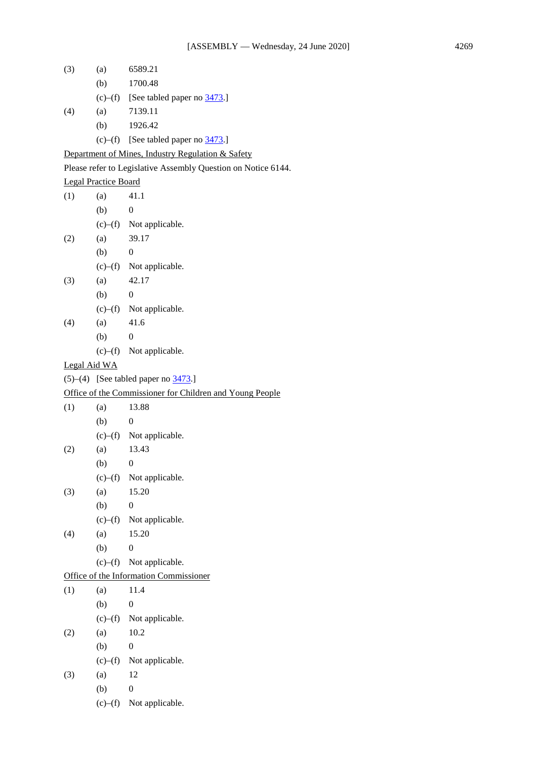- (3) (a) 6589.21 (b) 1700.48 (c)–(f) [See tabled paper no  $\frac{3473}{.}$ ] (4) (a) 7139.11 (b) 1926.42 (c)–(f) [See tabled paper no  $\frac{3473}{.}$ ] Department of Mines, Industry Regulation & Safety Please refer to Legislative Assembly Question on Notice 6144. Legal Practice Board  $(1)$   $(a)$   $41.1$  $(b)$  0 (c)–(f) Not applicable. (2) (a) 39.17  $(b)$  0 (c)–(f) Not applicable.  $(3)$  (a)  $42.17$  $(b)$  0 (c)–(f) Not applicable.  $(4)$  (a) 41.6  $(b)$  0 (c)–(f) Not applicable. Legal Aid WA (5)–(4) [See tabled paper no  $\frac{3473}{.}$ ] Office of the Commissioner for Children and Young People  $(1)$   $(a)$  13.88  $(b)$  0 (c)–(f) Not applicable. (2) (a) 13.43  $(b)$  0 (c)–(f) Not applicable. (3) (a)  $15.20$  $(b)$  0 (c)–(f) Not applicable. (4) (a) 15.20  $(b)$  0 (c)–(f) Not applicable. Office of the Information Commissioner  $(1)$   $(a)$   $11.4$  $(b)$  0 (c)–(f) Not applicable.  $(2)$   $(a)$   $10.2$  $(b)$  0 (c)–(f) Not applicable. (3) (a) 12  $(b)$  0
	- (c)–(f) Not applicable.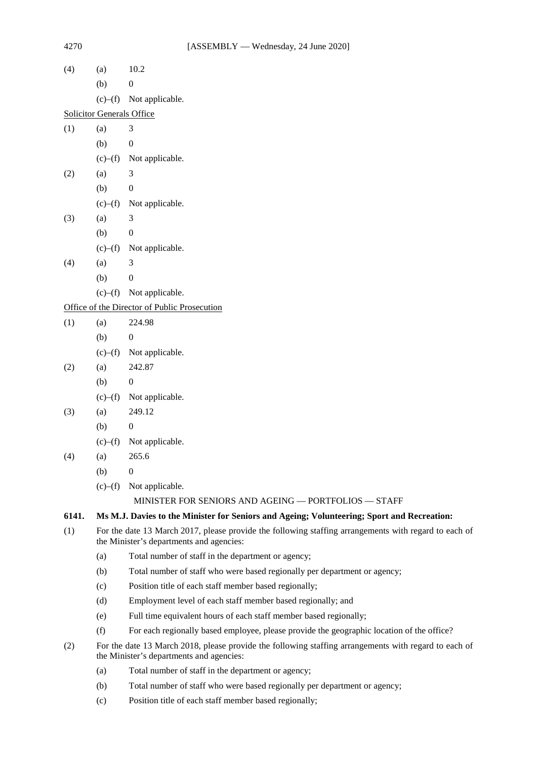| (4)   | (a)                                                                                                                                               | 10.2                                                                                       |  |  |
|-------|---------------------------------------------------------------------------------------------------------------------------------------------------|--------------------------------------------------------------------------------------------|--|--|
|       | (b)                                                                                                                                               | $\boldsymbol{0}$                                                                           |  |  |
|       | (c)–(f)                                                                                                                                           | Not applicable.                                                                            |  |  |
|       | <b>Solicitor Generals Office</b>                                                                                                                  |                                                                                            |  |  |
| (1)   | (a)                                                                                                                                               | 3                                                                                          |  |  |
|       | (b)                                                                                                                                               | $\boldsymbol{0}$                                                                           |  |  |
|       | (c)–(f)                                                                                                                                           | Not applicable.                                                                            |  |  |
| (2)   | (a)                                                                                                                                               | 3                                                                                          |  |  |
|       | (b)                                                                                                                                               | $\boldsymbol{0}$                                                                           |  |  |
|       | (c)–(f)                                                                                                                                           | Not applicable.                                                                            |  |  |
| (3)   | (a)                                                                                                                                               | 3                                                                                          |  |  |
|       | (b)                                                                                                                                               | $\boldsymbol{0}$                                                                           |  |  |
|       | (c)–(f)                                                                                                                                           | Not applicable.                                                                            |  |  |
| (4)   | (a)                                                                                                                                               | 3                                                                                          |  |  |
|       | (b)                                                                                                                                               | $\boldsymbol{0}$                                                                           |  |  |
|       | (c)–(f)                                                                                                                                           | Not applicable.                                                                            |  |  |
|       |                                                                                                                                                   | Office of the Director of Public Prosecution                                               |  |  |
| (1)   | (a)                                                                                                                                               | 224.98                                                                                     |  |  |
|       | (b)                                                                                                                                               | $\boldsymbol{0}$                                                                           |  |  |
|       | (c)–(f)                                                                                                                                           | Not applicable.                                                                            |  |  |
| (2)   | (a)                                                                                                                                               | 242.87                                                                                     |  |  |
|       | (b)                                                                                                                                               | $\boldsymbol{0}$                                                                           |  |  |
|       | (c)–(f)                                                                                                                                           | Not applicable.                                                                            |  |  |
| (3)   | (a)                                                                                                                                               | 249.12                                                                                     |  |  |
|       | (b)                                                                                                                                               | $\boldsymbol{0}$                                                                           |  |  |
|       | (c)–(f)                                                                                                                                           | Not applicable.                                                                            |  |  |
| (4)   | (a)                                                                                                                                               | 265.6                                                                                      |  |  |
|       | (b)                                                                                                                                               | $\boldsymbol{0}$                                                                           |  |  |
|       | (c)–(f)                                                                                                                                           | Not applicable.                                                                            |  |  |
|       |                                                                                                                                                   | MINISTER FOR SENIORS AND AGEING - PORTFOLIOS - STAFF                                       |  |  |
| 6141. |                                                                                                                                                   | Ms M.J. Davies to the Minister for Seniors and Ageing; Volunteering; Sport and Recreation: |  |  |
| (1)   | For the date 13 March 2017, please provide the following staffing arrangements with regard to each of<br>the Minister's departments and agencies: |                                                                                            |  |  |
|       | (a)                                                                                                                                               | Total number of staff in the department or agency;                                         |  |  |
|       | (b)                                                                                                                                               | Total number of staff who were based regionally per department or agency;                  |  |  |
|       | (c)                                                                                                                                               | Position title of each staff member based regionally;                                      |  |  |
|       | (d)                                                                                                                                               | Employment level of each staff member based regionally; and                                |  |  |
|       | (e)                                                                                                                                               | Full time equivalent hours of each staff member based regionally;                          |  |  |
|       | (f)                                                                                                                                               | For each regionally based employee, please provide the geographic location of the office?  |  |  |
| (2)   | For the date 13 March 2018, please provide the following staffing arrangements with regard to each of<br>the Minister's departments and agencies: |                                                                                            |  |  |
|       | (a)                                                                                                                                               | Total number of staff in the department or agency;                                         |  |  |
|       | (b)                                                                                                                                               | Total number of staff who were based regionally per department or agency;                  |  |  |
|       | (c)                                                                                                                                               | Position title of each staff member based regionally;                                      |  |  |
|       |                                                                                                                                                   |                                                                                            |  |  |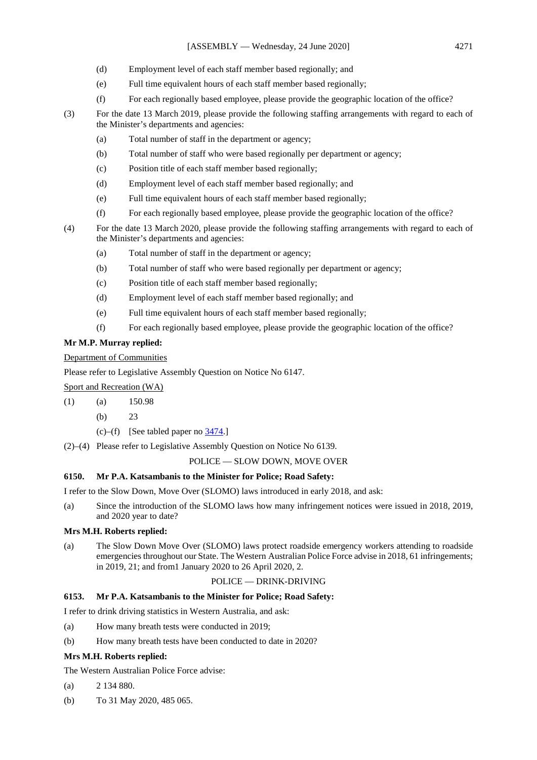- (d) Employment level of each staff member based regionally; and
- (e) Full time equivalent hours of each staff member based regionally;
- (f) For each regionally based employee, please provide the geographic location of the office?
- (3) For the date 13 March 2019, please provide the following staffing arrangements with regard to each of the Minister's departments and agencies:
	- (a) Total number of staff in the department or agency;
	- (b) Total number of staff who were based regionally per department or agency;
	- (c) Position title of each staff member based regionally;
	- (d) Employment level of each staff member based regionally; and
	- (e) Full time equivalent hours of each staff member based regionally;
	- (f) For each regionally based employee, please provide the geographic location of the office?
- (4) For the date 13 March 2020, please provide the following staffing arrangements with regard to each of the Minister's departments and agencies:
	- (a) Total number of staff in the department or agency;
	- (b) Total number of staff who were based regionally per department or agency;
	- (c) Position title of each staff member based regionally;
	- (d) Employment level of each staff member based regionally; and
	- (e) Full time equivalent hours of each staff member based regionally;
	- (f) For each regionally based employee, please provide the geographic location of the office?

# **Mr M.P. Murray replied:**

Department of Communities

Please refer to Legislative Assembly Question on Notice No 6147.

Sport and Recreation (WA)

(1) (a) 150.98

(b) 23

- (c)–(f) [See tabled paper no  $3474$ .]
- (2)–(4) Please refer to Legislative Assembly Question on Notice No 6139.

## POLICE — SLOW DOWN, MOVE OVER

## **6150. Mr P.A. Katsambanis to the Minister for Police; Road Safety:**

I refer to the Slow Down, Move Over (SLOMO) laws introduced in early 2018, and ask:

(a) Since the introduction of the SLOMO laws how many infringement notices were issued in 2018, 2019, and 2020 year to date?

## **Mrs M.H. Roberts replied:**

(a) The Slow Down Move Over (SLOMO) laws protect roadside emergency workers attending to roadside emergencies throughout our State. The Western Australian Police Force advise in 2018, 61 infringements; in 2019, 21; and from1 January 2020 to 26 April 2020, 2.

## POLICE — DRINK-DRIVING

# **6153. Mr P.A. Katsambanis to the Minister for Police; Road Safety:**

I refer to drink driving statistics in Western Australia, and ask:

- (a) How many breath tests were conducted in 2019;
- (b) How many breath tests have been conducted to date in 2020?

## **Mrs M.H. Roberts replied:**

The Western Australian Police Force advise:

- (a) 2 134 880.
- (b) To 31 May 2020, 485 065.